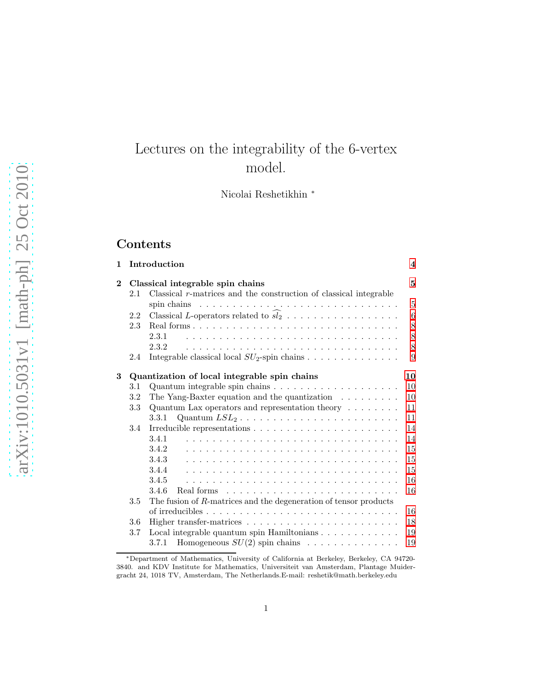# Lectures on the integrability of the 6-vertex model.

Nicolai Reshetikhin <sup>∗</sup>

# Contents

| 1        |     | Introduction                                                                                | $\overline{\mathbf{4}}$ |
|----------|-----|---------------------------------------------------------------------------------------------|-------------------------|
| $\bf{2}$ |     | Classical integrable spin chains                                                            | 5                       |
|          | 2.1 | Classical $r$ -matrices and the construction of classical integrable                        |                         |
|          |     | spin chains $\dots \dots \dots \dots \dots \dots \dots \dots \dots \dots \dots \dots \dots$ | $\overline{5}$          |
|          | 2.2 |                                                                                             | 6                       |
|          | 2.3 |                                                                                             | 8                       |
|          |     | 2.3.1                                                                                       | 8                       |
|          |     | 2.3.2                                                                                       | 8                       |
|          | 2.4 | Integrable classical local $SU_2$ -spin chains                                              | 9                       |
| 3        |     | Quantization of local integrable spin chains                                                | 10                      |
|          | 3.1 | Quantum integrable spin chains $\ldots \ldots \ldots \ldots \ldots \ldots$                  | 10                      |
|          | 3.2 | The Yang-Baxter equation and the quantization $\ldots \ldots \ldots$                        | 10                      |
|          | 3.3 | Quantum Lax operators and representation theory $\dots \dots$                               | 11                      |
|          |     | 3.3.1                                                                                       | 11                      |
|          | 3.4 |                                                                                             | 14                      |
|          |     | 3.4.1                                                                                       | 14                      |
|          |     | 3.4.2                                                                                       | 15                      |
|          |     | 3.4.3                                                                                       | 15                      |
|          |     | 3.4.4                                                                                       | 15                      |
|          |     | 3.4.5                                                                                       | 16                      |
|          |     | 3.4.6<br>Real forms $\ldots \ldots \ldots \ldots \ldots \ldots \ldots \ldots$               | 16                      |
|          | 3.5 | The fusion of R-matrices and the degeneration of tensor products                            |                         |
|          |     |                                                                                             | 16                      |
|          | 3.6 |                                                                                             | 18                      |
|          | 3.7 | Local integrable quantum spin Hamiltonians $\ldots \ldots \ldots \ldots$                    | 19                      |
|          |     |                                                                                             | 19                      |

<sup>∗</sup>Department of Mathematics, University of California at Berkeley, Berkeley, CA 94720- 3840. and KDV Institute for Mathematics, Universiteit van Amsterdam, Plantage Muidergracht 24, 1018 TV, Amsterdam, The Netherlands.E-mail: reshetik@math.berkeley.edu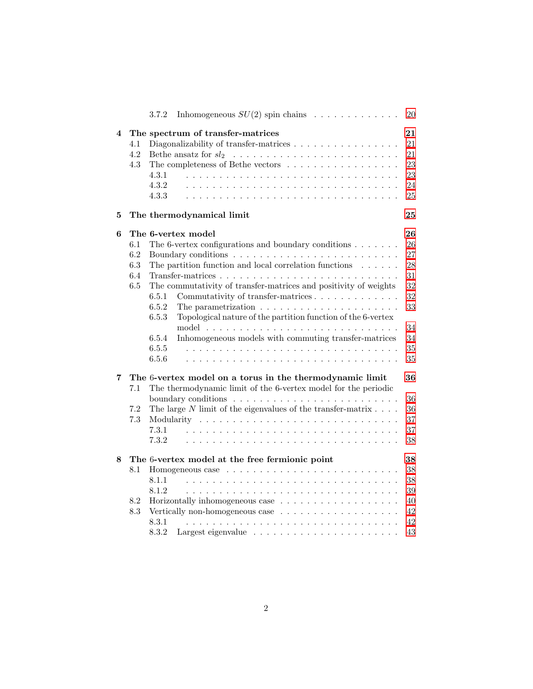|   |                                         | Inhomogeneous $SU(2)$ spin chains $\ldots \ldots \ldots \ldots$<br>3.7.2        | 20 |  |  |
|---|-----------------------------------------|---------------------------------------------------------------------------------|----|--|--|
| 4 | The spectrum of transfer-matrices<br>21 |                                                                                 |    |  |  |
|   | 4.1                                     | Diagonalizability of transfer-matrices                                          | 21 |  |  |
|   | 4.2                                     |                                                                                 | 21 |  |  |
|   | 4.3                                     | The completeness of Bethe vectors                                               | 23 |  |  |
|   |                                         | 4.3.1                                                                           | 23 |  |  |
|   |                                         | 4.3.2                                                                           | 24 |  |  |
|   |                                         | 4.3.3                                                                           | 25 |  |  |
| 5 |                                         | The thermodynamical limit                                                       | 25 |  |  |
| 6 |                                         | The 6-vertex model                                                              | 26 |  |  |
|   | 6.1                                     | The 6-vertex configurations and boundary conditions                             | 26 |  |  |
|   | 6.2                                     |                                                                                 | 27 |  |  |
|   | 6.3                                     | The partition function and local correlation functions $\ldots \ldots$          | 28 |  |  |
|   | 6.4                                     |                                                                                 | 31 |  |  |
|   | 6.5                                     | The commutativity of transfer-matrices and positivity of weights                | 32 |  |  |
|   |                                         | Commutativity of transfer-matrices<br>6.5.1                                     | 32 |  |  |
|   |                                         | 6.5.2<br>The parametrization $\ldots \ldots \ldots \ldots \ldots \ldots \ldots$ | 33 |  |  |
|   |                                         | 6.5.3<br>Topological nature of the partition function of the 6-vertex           | 34 |  |  |
|   |                                         | Inhomogeneous models with commuting transfer-matrices<br>6.5.4                  | 34 |  |  |
|   |                                         | 6.5.5                                                                           | 35 |  |  |
|   |                                         | 6.5.6                                                                           | 35 |  |  |
| 7 |                                         | The 6-vertex model on a torus in the thermodynamic limit                        | 36 |  |  |
|   | 7.1                                     | The thermodynamic limit of the 6-vertex model for the periodic                  |    |  |  |
|   |                                         |                                                                                 | 36 |  |  |
|   | 7.2                                     | The large $N$ limit of the eigenvalues of the transfer-matrix $\ldots$ .        | 36 |  |  |
|   | 7.3                                     |                                                                                 | 37 |  |  |
|   |                                         | 7.3.1                                                                           | 37 |  |  |
|   |                                         | 7.3.2                                                                           | 38 |  |  |
| 8 |                                         | The 6-vertex model at the free fermionic point                                  | 38 |  |  |
|   | 8.1                                     |                                                                                 | 38 |  |  |
|   |                                         | 8.1.1                                                                           | 38 |  |  |
|   |                                         | 8.1.2                                                                           | 39 |  |  |
|   | 8.2                                     |                                                                                 | 40 |  |  |
|   | 8.3                                     | Vertically non-homogeneous case $\dots \dots \dots \dots \dots \dots$           | 42 |  |  |
|   |                                         | 8.3.1                                                                           | 42 |  |  |
|   |                                         |                                                                                 |    |  |  |
|   |                                         | 8.3.2                                                                           | 43 |  |  |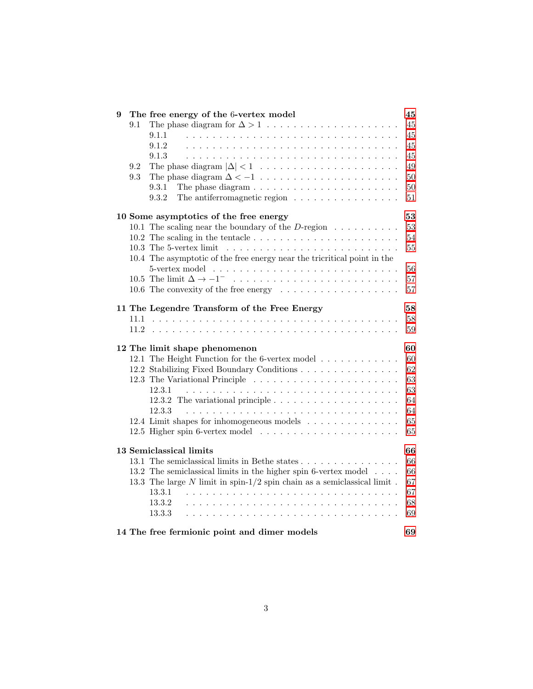| 9   | The free energy of the 6-vertex model                                                      | 45     |
|-----|--------------------------------------------------------------------------------------------|--------|
| 9.1 |                                                                                            | 45     |
|     | 9.1.1                                                                                      | 45     |
|     | 9.1.2                                                                                      | 45     |
|     | 9.1.3                                                                                      | 45     |
| 9.2 |                                                                                            | 49     |
| 9.3 |                                                                                            | 50     |
|     | The phase diagram $\ldots \ldots \ldots \ldots \ldots \ldots \ldots$<br>9.3.1              | $50\,$ |
|     | The antiferromagnetic region $\ldots \ldots \ldots \ldots \ldots$<br>9.3.2                 | 51     |
|     |                                                                                            |        |
|     | 10 Some asymptotics of the free energy                                                     | 53     |
|     | 10.1 The scaling near the boundary of the D-region $\dots \dots \dots$                     | 53     |
|     | 10.2 The scaling in the tentacle $\ldots \ldots \ldots \ldots \ldots \ldots \ldots \ldots$ | 54     |
|     |                                                                                            | 55     |
|     | 10.4 The asymptotic of the free energy near the tricritical point in the                   |        |
|     |                                                                                            | 56     |
|     | 10.5 The limit $\Delta \to -1^-$                                                           | 57     |
|     |                                                                                            |        |
|     | 10.6 The convexity of the free energy $\dots \dots \dots \dots \dots \dots$                | 57     |
|     | 11 The Legendre Transform of the Free Energy                                               | 58     |
|     |                                                                                            | 58     |
|     |                                                                                            | 59     |
|     |                                                                                            |        |
|     | 12 The limit shape phenomenon                                                              | 60     |
|     | 12.1 The Height Function for the 6-vertex model                                            | 60     |
|     | 12.2 Stabilizing Fixed Boundary Conditions                                                 | 62     |
|     |                                                                                            | 63     |
|     | 12.3.1                                                                                     | 63     |
|     |                                                                                            | 64     |
|     | 12.3.3                                                                                     | 64     |
|     |                                                                                            |        |
|     | 12.4 Limit shapes for inhomogeneous models                                                 | 65     |
|     |                                                                                            | 65     |
|     | 13 Semiclassical limits                                                                    | 66     |
|     | 13.1 The semiclassical limits in Bethe states                                              | 66     |
|     | 13.2 The semiclassical limits in the higher spin 6-vertex model                            | 66     |
|     |                                                                                            | 67     |
|     | 13.3 The large $N$ limit in spin- $1/2$ spin chain as a semiclassical limit.               |        |
|     | 13.3.1                                                                                     | 67     |
|     | 13.3.2                                                                                     | 68     |
|     | 13.3.3                                                                                     | 69     |
|     | 14 The free fermionic point and dimer models                                               | 69     |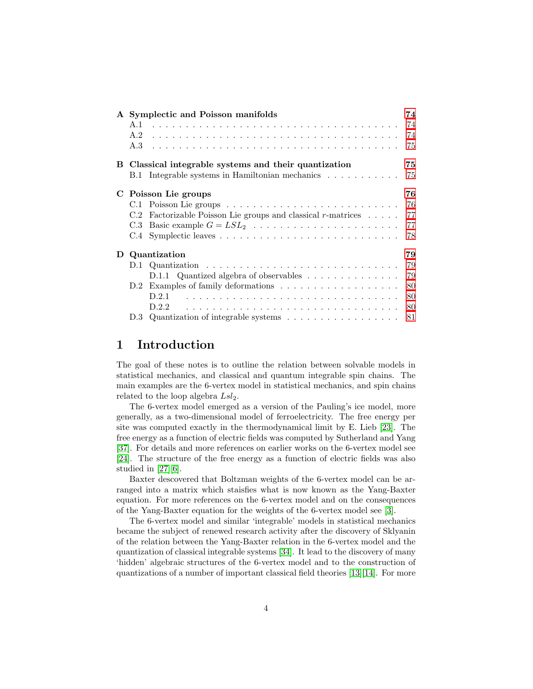|   |           | A Symplectic and Poisson manifolds                                       | 74 |
|---|-----------|--------------------------------------------------------------------------|----|
|   | A.1       |                                                                          | 74 |
|   | A.2       |                                                                          | 74 |
|   | A.3       |                                                                          | 75 |
|   |           | B Classical integrable systems and their quantization                    | 75 |
|   |           | B.1 Integrable systems in Hamiltonian mechanics                          | 75 |
| C |           | Poisson Lie groups                                                       | 76 |
|   | $\rm C.1$ |                                                                          | 76 |
|   | C.2       | Factorizable Poisson Lie groups and classical $r$ -matrices $\dots$ .    | 77 |
|   | C.3       |                                                                          | 77 |
|   | C.4       |                                                                          | 78 |
| D |           | Quantization                                                             | 79 |
|   | 12.1      |                                                                          | 79 |
|   |           | D.1.1 Quantized algebra of observables                                   | 79 |
|   |           |                                                                          | 80 |
|   |           | D.2.1                                                                    | 80 |
|   |           | D.2.2                                                                    | 80 |
|   | 12.3      | Quantization of integrable systems $\dots \dots \dots \dots \dots \dots$ | 81 |

# <span id="page-3-0"></span>1 Introduction

The goal of these notes is to outline the relation between solvable models in statistical mechanics, and classical and quantum integrable spin chains. The main examples are the 6-vertex model in statistical mechanics, and spin chains related to the loop algebra  $Lsl_2$ .

The 6-vertex model emerged as a version of the Pauling's ice model, more generally, as a two-dimensional model of ferroelectricity. The free energy per site was computed exactly in the thermodynamical limit by E. Lieb [\[23\]](#page-72-0). The free energy as a function of electric fields was computed by Sutherland and Yang [\[37\]](#page-73-3). For details and more references on earlier works on the 6-vertex model see [\[24\]](#page-72-1). The structure of the free energy as a function of electric fields was also studied in [\[27\]](#page-72-2)[\[6\]](#page-71-0).

Baxter descovered that Boltzman weights of the 6-vertex model can be arranged into a matrix which staisfies what is now known as the Yang-Baxter equation. For more references on the 6-vertex model and on the consequences of the Yang-Baxter equation for the weights of the 6-vertex model see [\[3\]](#page-70-0).

The 6-vertex model and similar 'integrable' models in statistical mechanics became the subject of renewed research activity after the discovery of Sklyanin of the relation between the Yang-Baxter relation in the 6-vertex model and the quantization of classical integrable systems [\[34\]](#page-72-3). It lead to the discovery of many 'hidden' algebraic structures of the 6-vertex model and to the construction of quantizations of a number of important classical field theories [\[13\]](#page-71-1)[\[14\]](#page-71-2). For more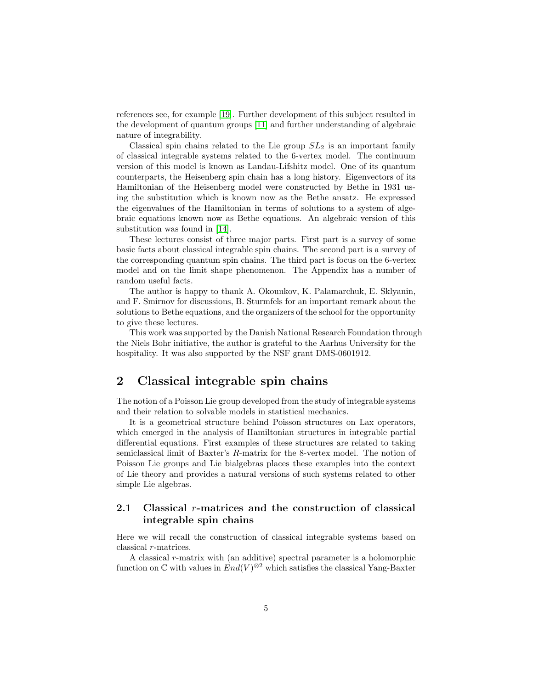references see, for example [\[19\]](#page-71-3). Further development of this subject resulted in the development of quantum groups [\[11\]](#page-71-4) and further understanding of algebraic nature of integrability.

Classical spin chains related to the Lie group  $SL_2$  is an important family of classical integrable systems related to the 6-vertex model. The continuum version of this model is known as Landau-Lifshitz model. One of its quantum counterparts, the Heisenberg spin chain has a long history. Eigenvectors of its Hamiltonian of the Heisenberg model were constructed by Bethe in 1931 using the substitution which is known now as the Bethe ansatz. He expressed the eigenvalues of the Hamiltonian in terms of solutions to a system of algebraic equations known now as Bethe equations. An algebraic version of this substitution was found in [\[14\]](#page-71-2).

These lectures consist of three major parts. First part is a survey of some basic facts about classical integrable spin chains. The second part is a survey of the corresponding quantum spin chains. The third part is focus on the 6-vertex model and on the limit shape phenomenon. The Appendix has a number of random useful facts.

The author is happy to thank A. Okounkov, K. Palamarchuk, E. Sklyanin, and F. Smirnov for discussions, B. Sturmfels for an important remark about the solutions to Bethe equations, and the organizers of the school for the opportunity to give these lectures.

This work was supported by the Danish National Research Foundation through the Niels Bohr initiative, the author is grateful to the Aarhus University for the hospitality. It was also supported by the NSF grant DMS-0601912.

# <span id="page-4-0"></span>2 Classical integrable spin chains

The notion of a Poisson Lie group developed from the study of integrable systems and their relation to solvable models in statistical mechanics.

It is a geometrical structure behind Poisson structures on Lax operators, which emerged in the analysis of Hamiltonian structures in integrable partial differential equations. First examples of these structures are related to taking semiclassical limit of Baxter's R-matrix for the 8-vertex model. The notion of Poisson Lie groups and Lie bialgebras places these examples into the context of Lie theory and provides a natural versions of such systems related to other simple Lie algebras.

# <span id="page-4-1"></span>2.1 Classical r-matrices and the construction of classical integrable spin chains

Here we will recall the construction of classical integrable systems based on classical r-matrices.

A classical r-matrix with (an additive) spectral parameter is a holomorphic function on  $\mathbb C$  with values in  $End(V)^{\otimes 2}$  which satisfies the classical Yang-Baxter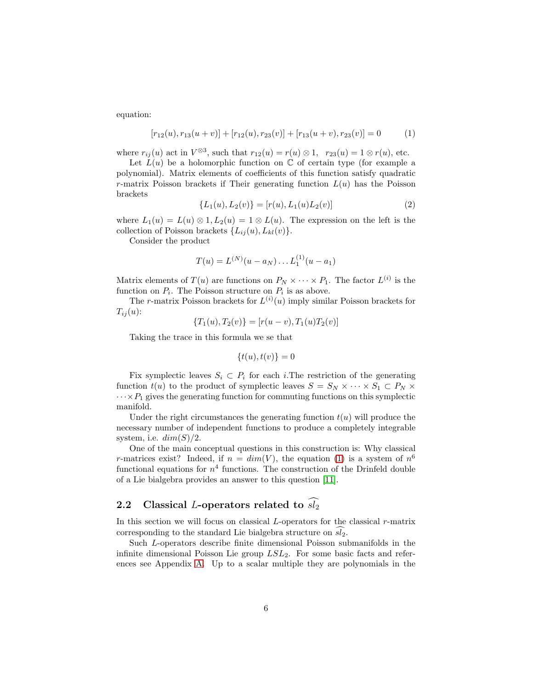equation:

<span id="page-5-1"></span>
$$
[r_{12}(u), r_{13}(u+v)] + [r_{12}(u), r_{23}(v)] + [r_{13}(u+v), r_{23}(v)] = 0 \qquad (1)
$$

where  $r_{ij}(u)$  act in  $V^{\otimes 3}$ , such that  $r_{12}(u) = r(u) \otimes 1$ ,  $r_{23}(u) = 1 \otimes r(u)$ , etc.

Let  $L(u)$  be a holomorphic function on  $\mathbb C$  of certain type (for example a polynomial). Matrix elements of coefficients of this function satisfy quadratic r-matrix Poisson brackets if Their generating function  $L(u)$  has the Poisson brackets

<span id="page-5-2"></span>
$$
\{L_1(u), L_2(v)\} = [r(u), L_1(u)L_2(v)]
$$
\n(2)

where  $L_1(u) = L(u) \otimes 1, L_2(u) = 1 \otimes L(u)$ . The expression on the left is the collection of Poisson brackets  $\{L_{ij}(u), L_{kl}(v)\}.$ 

Consider the product

$$
T(u) = L^{(N)}(u - a_N) \dots L_1^{(1)}(u - a_1)
$$

Matrix elements of  $T(u)$  are functions on  $P_N \times \cdots \times P_1$ . The factor  $L^{(i)}$  is the function on  $P_i$ . The Poisson structure on  $P_i$  is as above.

The *r*-matrix Poisson brackets for  $L^{(i)}(u)$  imply similar Poisson brackets for  $T_{ij}(u)$ :

$$
\{T_1(u), T_2(v)\} = [r(u-v), T_1(u)T_2(v)]
$$

Taking the trace in this formula we se that

$$
\{t(u),t(v)\}=0
$$

Fix symplectic leaves  $S_i \subset P_i$  for each *i*. The restriction of the generating function  $t(u)$  to the product of symplectic leaves  $S = S_N \times \cdots \times S_1 \subset P_N \times$  $\cdots$   $\times$   $P_1$  gives the generating function for commuting functions on this symplectic manifold.

Under the right circumstances the generating function  $t(u)$  will produce the necessary number of independent functions to produce a completely integrable system, i.e.  $dim(S)/2$ .

One of the main conceptual questions in this construction is: Why classical r-matrices exist? Indeed, if  $n = dim(V)$ , the equation [\(1\)](#page-5-1) is a system of  $n<sup>6</sup>$ functional equations for  $n<sup>4</sup>$  functions. The construction of the Drinfeld double of a Lie bialgebra provides an answer to this question [\[11\]](#page-71-4).

# <span id="page-5-0"></span>2.2 Classical L-operators related to  $\widehat{sl_2}$

In this section we will focus on classical  $L$ -operators for the classical  $r$ -matrix corresponding to the standard Lie bialgebra structure on  $s\overline{l_2}$ .

Such L-operators describe finite dimensional Poisson submanifolds in the infinite dimensional Poisson Lie group  $LSL<sub>2</sub>$ . For some basic facts and references see Appendix [A.](#page-73-0) Up to a scalar multiple they are polynomials in the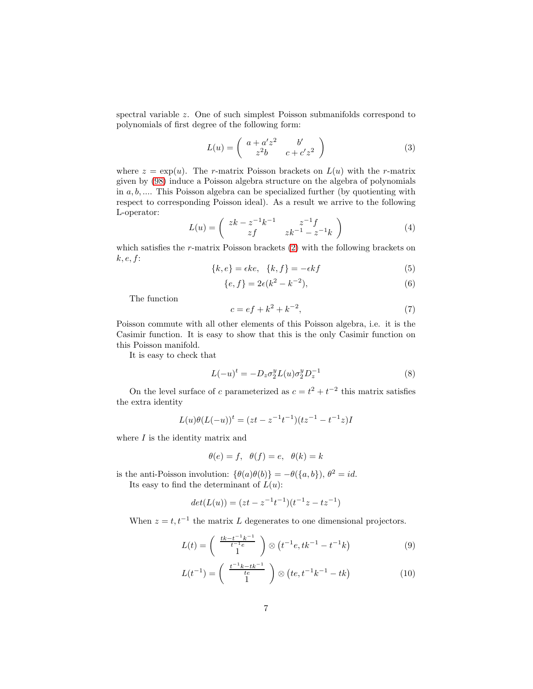spectral variable z. One of such simplest Poisson submanifolds correspond to polynomials of first degree of the following form:

$$
L(u) = \begin{pmatrix} a + a'z^2 & b' \\ z^2b & c + c'z^2 \end{pmatrix}
$$
 (3)

where  $z = \exp(u)$ . The r-matrix Poisson brackets on  $L(u)$  with the r-matrix given by [\(98\)](#page-76-2) induce a Poisson algebra structure on the algebra of polynomials in  $a, b, \ldots$  This Poisson algebra can be specialized further (by quotienting with respect to corresponding Poisson ideal). As a result we arrive to the following L-operator:

$$
L(u) = \begin{pmatrix} zk - z^{-1}k^{-1} & z^{-1}f \\ zf & zk^{-1} - z^{-1}k \end{pmatrix}
$$
 (4)

which satisfies the r-matrix Poisson brackets [\(2\)](#page-5-2) with the following brackets on  $k, e, f$ :

<span id="page-6-4"></span>
$$
\{k, e\} = \epsilon k e, \quad \{k, f\} = -\epsilon k f \tag{5}
$$

<span id="page-6-5"></span>
$$
\{e, f\} = 2\epsilon (k^2 - k^{-2}),\tag{6}
$$

The function

<span id="page-6-0"></span>
$$
c = ef + k^2 + k^{-2},
$$
\n(7)

Poisson commute with all other elements of this Poisson algebra, i.e. it is the Casimir function. It is easy to show that this is the only Casimir function on this Poisson manifold.

It is easy to check that

<span id="page-6-3"></span>
$$
L(-u)^t = -D_z \sigma_2^y L(u) \sigma_2^y D_z^{-1}
$$
\n
$$
(8)
$$

On the level surface of c parameterized as  $c = t^2 + t^{-2}$  this matrix satisfies the extra identity

$$
L(u)\theta(L(-u))^t = (zt - z^{-1}t^{-1})(tz^{-1} - t^{-1}z)I
$$

where  $I$  is the identity matrix and

$$
\theta(e) = f, \ \theta(f) = e, \ \theta(k) = k
$$

is the anti-Poisson involution:  $\{\theta(a)\theta(b)\} = -\theta(\{a, b\}), \theta^2 = id.$ Its easy to find the determinant of  $L(u)$ :

$$
\det(L(u))=(zt-z^{-1}t^{-1})(t^{-1}z-tz^{-1})
$$

When  $z = t, t^{-1}$  the matrix L degenerates to one dimensional projectors.

<span id="page-6-1"></span>
$$
L(t) = \begin{pmatrix} \frac{tk - t^{-1}k^{-1}}{t^{-1}e} \\ 1 \end{pmatrix} \otimes \left(t^{-1}e, tk^{-1} - t^{-1}k\right) \tag{9}
$$

<span id="page-6-2"></span>
$$
L(t^{-1}) = \begin{pmatrix} \frac{t^{-1}k - tk^{-1}}{te} \\ 1 \end{pmatrix} \otimes \left( te, t^{-1}k^{-1} - tk \right) \tag{10}
$$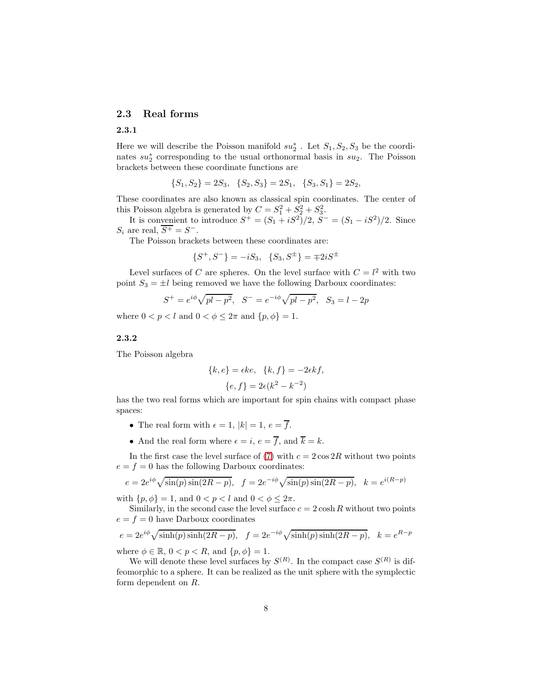### <span id="page-7-1"></span><span id="page-7-0"></span>2.3 Real forms

### 2.3.1

Here we will describe the Poisson manifold  $su_2^*$ . Let  $S_1, S_2, S_3$  be the coordinates  $su_2^*$  corresponding to the usual orthonormal basis in  $su_2$ . The Poisson brackets between these coordinate functions are

 ${S_1, S_2} = 2S_3, \quad {S_2, S_3} = 2S_1, \quad {S_3, S_1} = 2S_2,$ 

These coordinates are also known as classical spin coordinates. The center of this Poisson algebra is generated by  $C = S_1^2 + S_2^2 + S_3^2$ .

It is convenient to introduce  $S^+ = (S_1 + iS^2)/2$ ,  $S^- = (S_1 - iS^2)/2$ . Since  $S_i$  are real,  $\overline{S^+} = S^-$ .

The Poisson brackets between these coordinates are:

$$
\{S^+, S^-\} = -iS_3, \ \{S_3, S^{\pm}\} = \mp 2iS^{\pm}
$$

Level surfaces of C are spheres. On the level surface with  $C = l^2$  with two point  $S_3 = \pm l$  being removed we have the following Darboux coordinates:

$$
S^{+} = e^{i\phi} \sqrt{pl - p^{2}}, \quad S^{-} = e^{-i\phi} \sqrt{pl - p^{2}}, \quad S_{3} = l - 2p
$$

where  $0 < p < l$  and  $0 < \phi \leq 2\pi$  and  $\{p, \phi\} = 1$ .

### <span id="page-7-2"></span>2.3.2

The Poisson algebra

$$
\{k, e\} = \epsilon k e, \quad \{k, f\} = -2\epsilon k f,
$$

$$
\{e, f\} = 2\epsilon (k^2 - k^{-2})
$$

has the two real forms which are important for spin chains with compact phase spaces:

- The real form with  $\epsilon = 1$ ,  $|k| = 1$ ,  $e = \overline{f}$ .
- And the real form where  $\epsilon = i$ ,  $e = \overline{f}$ , and  $\overline{k} = k$ .

In the first case the level surface of [\(7\)](#page-6-0) with  $c = 2 \cos 2R$  without two points  $e = f = 0$  has the following Darboux coordinates:

$$
e = 2e^{i\phi}\sqrt{\sin(p)\sin(2R - p)}, \quad f = 2e^{-i\phi}\sqrt{\sin(p)\sin(2R - p)}, \quad k = e^{i(R - p)}
$$

with  $\{p, \phi\} = 1$ , and  $0 < p < l$  and  $0 < \phi \leq 2\pi$ .

Similarly, in the second case the level surface  $c = 2 \cosh R$  without two points  $e = f = 0$  have Darboux coordinates

$$
e = 2e^{i\phi}\sqrt{\sinh(p)\sinh(2R - p)}, \quad f = 2e^{-i\phi}\sqrt{\sinh(p)\sinh(2R - p)}, \quad k = e^{R - p}
$$

where  $\phi \in \mathbb{R}$ ,  $0 < p < R$ , and  $\{p, \phi\} = 1$ .

We will denote these level surfaces by  $S^{(R)}$ . In the compact case  $S^{(R)}$  is diffeomorphic to a sphere. It can be realized as the unit sphere with the symplectic form dependent on R.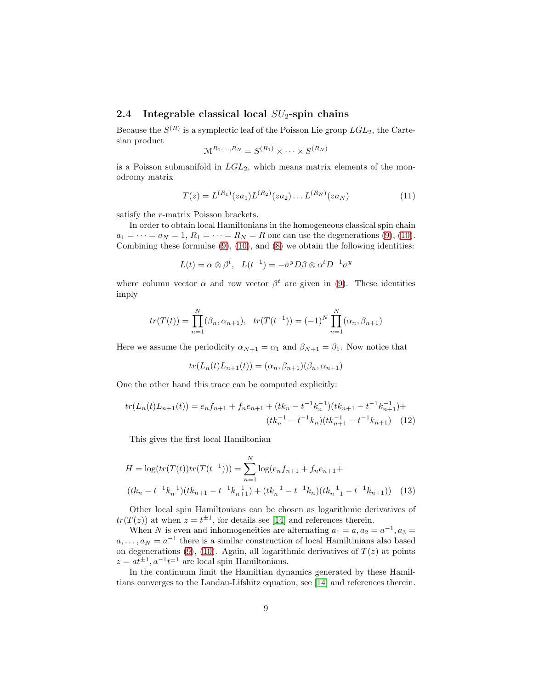# <span id="page-8-0"></span>2.4 Integrable classical local  $SU<sub>2</sub>$ -spin chains

Because the  $S^{(R)}$  is a symplectic leaf of the Poisson Lie group  $LGL_2$ , the Cartesian product

$$
\mathcal{M}^{R_1,\ldots,R_N}=S^{(R_1)}\times\cdots\times S^{(R_N)}
$$

is a Poisson submanifold in  $LGL_2$ , which means matrix elements of the monodromy matrix

$$
T(z) = L^{(R_1)}(z a_1) L^{(R_2)}(z a_2) \dots L^{(R_N)}(z a_N)
$$
\n(11)

satisfy the r-matrix Poisson brackets.

In order to obtain local Hamiltonians in the homogeneous classical spin chain  $a_1 = \cdots = a_N = 1, R_1 = \cdots = R_N = R$  one can use the degenerations [\(9\)](#page-6-1), [\(10\)](#page-6-2). Combining these formulae  $(9)$ ,  $(10)$ , and  $(8)$  we obtain the following identities:

$$
L(t) = \alpha \otimes \beta^{t}, \quad L(t^{-1}) = -\sigma^{y} D\beta \otimes \alpha^{t} D^{-1} \sigma^{y}
$$

where column vector  $\alpha$  and row vector  $\beta^t$  are given in [\(9\)](#page-6-1). These identities imply

$$
tr(T(t)) = \prod_{n=1}^{N} (\beta_n, \alpha_{n+1}), \quad tr(T(t^{-1})) = (-1)^{N} \prod_{n=1}^{N} (\alpha_n, \beta_{n+1})
$$

Here we assume the periodicity  $\alpha_{N+1} = \alpha_1$  and  $\beta_{N+1} = \beta_1$ . Now notice that

$$
tr(L_n(t)L_{n+1}(t)) = (\alpha_n, \beta_{n+1})(\beta_n, \alpha_{n+1})
$$

One the other hand this trace can be computed explicitly:

$$
tr(L_n(t)L_{n+1}(t)) = e_n f_{n+1} + f_n e_{n+1} + (tk_n - t^{-1}k_n^{-1})(tk_{n+1} - t^{-1}k_{n+1}^{-1}) +
$$

$$
(tk_n^{-1} - t^{-1}k_n)(tk_{n+1}^{-1} - t^{-1}k_{n+1}) \quad (12)
$$

This gives the first local Hamiltonian

$$
H = \log(tr(T(t))tr(T(t^{-1}))) = \sum_{n=1}^{N} \log(e_n f_{n+1} + f_n e_{n+1} + (tk_n - t^{-1}k_n^{-1})(tk_{n+1} - t^{-1}k_{n+1}) + (tk_n^{-1} - t^{-1}k_n)(tk_{n+1}^{-1} - t^{-1}k_{n+1}))
$$
(13)

Other local spin Hamiltonians can be chosen as logarithmic derivatives of  $tr(T(z))$  at when  $z = t^{\pm 1}$ , for details see [\[14\]](#page-71-2) and references therein.

When N is even and inhomogeneities are alternating  $a_1 = a, a_2 = a^{-1}, a_3 = a$  $a, \ldots, a_N = a^{-1}$  there is a similar construction of local Hamiltinians also based on degenerations [\(9\)](#page-6-1), [\(10\)](#page-6-2). Again, all logarithmic derivatives of  $T(z)$  at points  $z = at^{\pm 1}, a^{-1}t^{\pm 1}$  are local spin Hamiltonians.

In the continuum limit the Hamiltian dynamics generated by these Hamiltians converges to the Landau-Lifshitz equation, see [\[14\]](#page-71-2) and references therein.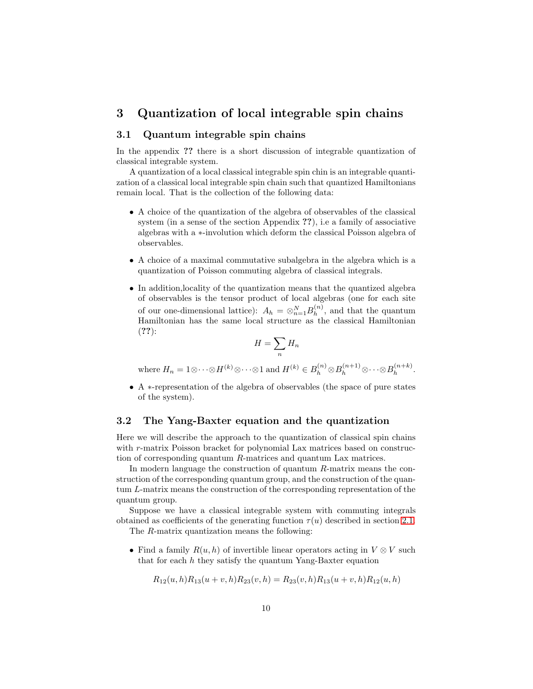# <span id="page-9-0"></span>3 Quantization of local integrable spin chains

### <span id="page-9-1"></span>3.1 Quantum integrable spin chains

In the appendix ?? there is a short discussion of integrable quantization of classical integrable system.

A quantization of a local classical integrable spin chin is an integrable quantization of a classical local integrable spin chain such that quantized Hamiltonians remain local. That is the collection of the following data:

- A choice of the quantization of the algebra of observables of the classical system (in a sense of the section Appendix ??), i.e a family of associative algebras with a ∗-involution which deform the classical Poisson algebra of observables.
- A choice of a maximal commutative subalgebra in the algebra which is a quantization of Poisson commuting algebra of classical integrals.
- In addition,locality of the quantization means that the quantized algebra of observables is the tensor product of local algebras (one for each site of our one-dimensional lattice):  $A_h = \otimes_{n=1}^N B_h^{(n)}$  $h^{(n)}$ , and that the quantum Hamiltonian has the same local structure as the classical Hamiltonian (??):

$$
H = \sum_n H_n
$$

where  $H_n = 1 \otimes \cdots \otimes H^{(k)} \otimes \cdots \otimes 1$  and  $H^{(k)} \in B_h^{(n)} \otimes B_h^{(n+1)} \otimes \cdots \otimes B_h^{(n+k)}$  $h^{(n+\kappa)}$ .

• A ∗-representation of the algebra of observables (the space of pure states of the system).

### <span id="page-9-2"></span>3.2 The Yang-Baxter equation and the quantization

Here we will describe the approach to the quantization of classical spin chains with r-matrix Poisson bracket for polynomial Lax matrices based on construction of corresponding quantum R-matrices and quantum Lax matrices.

In modern language the construction of quantum R-matrix means the construction of the corresponding quantum group, and the construction of the quantum L-matrix means the construction of the corresponding representation of the quantum group.

Suppose we have a classical integrable system with commuting integrals obtained as coefficients of the generating function  $\tau(u)$  described in section [2.1.](#page-4-1)

The R-matrix quantization means the following:

• Find a family  $R(u, h)$  of invertible linear operators acting in  $V \otimes V$  such that for each  $h$  they satisfy the quantum Yang-Baxter equation

$$
R_{12}(u, h)R_{13}(u+v, h)R_{23}(v, h) = R_{23}(v, h)R_{13}(u+v, h)R_{12}(u, h)
$$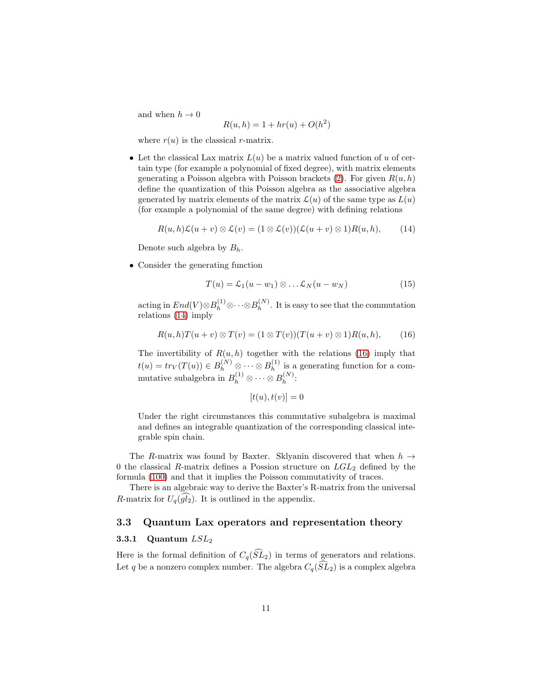and when  $h \to 0$ 

$$
R(u, h) = 1 + hr(u) + O(h^2)
$$

where  $r(u)$  is the classical r-matrix.

• Let the classical Lax matrix  $L(u)$  be a matrix valued function of u of certain type (for example a polynomial of fixed degree), with matrix elements generating a Poisson algebra with Poisson brackets  $(2)$ . For given  $R(u, h)$ define the quantization of this Poisson algebra as the associative algebra generated by matrix elements of the matrix  $\mathcal{L}(u)$  of the same type as  $L(u)$ (for example a polynomial of the same degree) with defining relations

<span id="page-10-2"></span>
$$
R(u,h)\mathcal{L}(u+v)\otimes \mathcal{L}(v)=(1\otimes \mathcal{L}(v))(\mathcal{L}(u+v)\otimes 1)R(u,h),\qquad(14)
$$

Denote such algebra by  $B_h$ .

• Consider the generating function

$$
T(u) = \mathcal{L}_1(u - w_1) \otimes \dots \mathcal{L}_N(u - w_N)
$$
\n(15)

acting in  $End(V) \otimes B_h^{(1)} \otimes \cdots \otimes B_h^{(N)}$  $h^{(N)}$ . It is easy to see that the commutation relations [\(14\)](#page-10-2) imply

<span id="page-10-3"></span>
$$
R(u,h)T(u+v)\otimes T(v)=(1\otimes T(v))(T(u+v)\otimes 1)R(u,h),\qquad(16)
$$

The invertibility of  $R(u, h)$  together with the relations [\(16\)](#page-10-3) imply that  $t(u) = tr_V(T(u)) \in B_h^{(N)} \otimes \cdots \otimes B_h^{(1)}$  $h^{(1)}$  is a generating function for a commutative subalgebra in  $B_h^{(1)} \otimes \cdots \otimes B_h^{(N)}$  $h^{(IV)}$ :

$$
[t(u), t(v)] = 0
$$

Under the right circumstances this commutative subalgebra is maximal and defines an integrable quantization of the corresponding classical integrable spin chain.

The R-matrix was found by Baxter. Sklyanin discovered that when  $h \rightarrow$ 0 the classical R-matrix defines a Possion structure on  $LGL_2$  defined by the formula [\(100\)](#page-77-1) and that it implies the Poisson commutativity of traces.

There is an algebraic way to derive the Baxter's R-matrix from the universal R-matrix for  $U_q(\tilde{gl}_2)$ . It is outlined in the appendix.

### <span id="page-10-1"></span><span id="page-10-0"></span>3.3 Quantum Lax operators and representation theory

#### 3.3.1 Quantum  $LSL_2$

Here is the formal definition of  $C_q(\widehat{SL}_2)$  in terms of generators and relations. Let q be a nonzero complex number. The algebra  $C_q(\widehat{SL}_2)$  is a complex algebra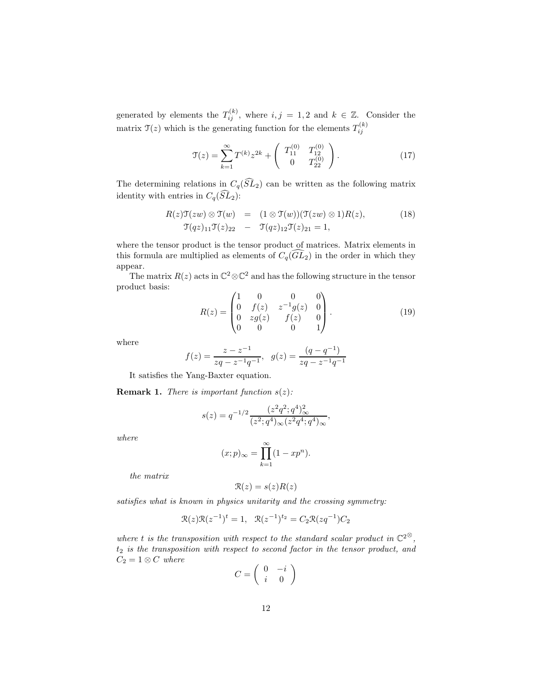generated by elements the  $T_{ij}^{(k)}$ , where  $i, j = 1, 2$  and  $k \in \mathbb{Z}$ . Consider the matrix  $\mathfrak{T}(z)$  which is the generating function for the elements  $T_{ij}^{(k)}$ 

<span id="page-11-2"></span>
$$
\mathcal{T}(z) = \sum_{k=1}^{\infty} T^{(k)} z^{2k} + \begin{pmatrix} T_{11}^{(0)} & T_{12}^{(0)} \\ 0 & T_{22}^{(0)} \end{pmatrix}.
$$
 (17)

The determining relations in  $C_q(\widehat{SL}_2)$  can be written as the following matrix identity with entries in  $C_q(\widehat{SL}_2)$ :

<span id="page-11-0"></span>
$$
R(z)\mathfrak{T}(zw) \otimes \mathfrak{T}(w) = (1 \otimes \mathfrak{T}(w))(\mathfrak{T}(zw) \otimes 1)R(z),
$$
  
\n
$$
\mathfrak{T}(qz)_{11}\mathfrak{T}(z)_{22} - \mathfrak{T}(qz)_{12}\mathfrak{T}(z)_{21} = 1,
$$
\n(18)

where the tensor product is the tensor product of matrices. Matrix elements in this formula are multiplied as elements of  $C_q(\widehat{GL}_2)$  in the order in which they appear.

The matrix  $R(z)$  acts in  $\mathbb{C}^2 \otimes \mathbb{C}^2$  and has the following structure in the tensor product basis:

<span id="page-11-1"></span>
$$
R(z) = \begin{pmatrix} 1 & 0 & 0 & 0 \\ 0 & f(z) & z^{-1}g(z) & 0 \\ 0 & zg(z) & f(z) & 0 \\ 0 & 0 & 0 & 1 \end{pmatrix}.
$$
 (19)

where

$$
f(z) = \frac{z - z^{-1}}{zq - z^{-1}q^{-1}}, \ \ g(z) = \frac{(q - q^{-1})}{zq - z^{-1}q^{-1}}
$$

It satisfies the Yang-Baxter equation.

**Remark 1.** There is important function  $s(z)$ :

$$
s(z) = q^{-1/2} \frac{(z^2 q^2; q^4)_{\infty}^2}{(z^2; q^4)_{\infty} (z^2 q^4; q^4)_{\infty}},
$$

where

$$
(x;p)_{\infty} = \prod_{k=1}^{\infty} (1 - xp^n).
$$

the matrix

$$
\mathcal{R}(z) = s(z)R(z)
$$

satisfies what is known in physics unitarity and the crossing symmetry:

$$
\mathcal{R}(z)\mathcal{R}(z^{-1})^t = 1
$$
,  $\mathcal{R}(z^{-1})^{t_2} = C_2\mathcal{R}(zq^{-1})C_2$ 

where t is the transposition with respect to the standard scalar product in  $\mathbb{C}^{2\otimes}$ ,  $t_2$  is the transposition with respect to second factor in the tensor product, and  $C_2 = 1 \otimes C$  where

$$
C = \left(\begin{array}{cc} 0 & -i \\ i & 0 \end{array}\right)
$$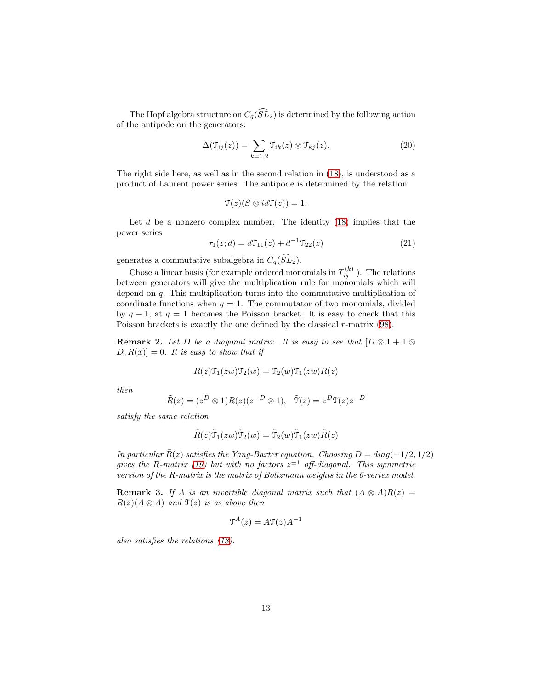The Hopf algebra structure on  $C_q(\widehat{SL}_2)$  is determined by the following action of the antipode on the generators:

$$
\Delta(\mathfrak{T}_{ij}(z)) = \sum_{k=1,2} \mathfrak{T}_{ik}(z) \otimes \mathfrak{T}_{kj}(z). \tag{20}
$$

The right side here, as well as in the second relation in [\(18\)](#page-11-0), is understood as a product of Laurent power series. The antipode is determined by the relation

$$
\mathfrak{T}(z)(S\otimes id\mathfrak{T}(z))=1.
$$

Let  $d$  be a nonzero complex number. The identity  $(18)$  implies that the power series

$$
\tau_1(z; d) = d\mathcal{T}_{11}(z) + d^{-1}\mathcal{T}_{22}(z)
$$
\n(21)

generates a commutative subalgebra in  $C_q(\widehat{SL}_2)$ .

Chose a linear basis (for example ordered monomials in  $T_{ij}^{(k)}$  ). The relations between generators will give the multiplication rule for monomials which will depend on q. This multiplication turns into the commutative multiplication of coordinate functions when  $q = 1$ . The commutator of two monomials, divided by  $q-1$ , at  $q=1$  becomes the Poisson bracket. It is easy to check that this Poisson brackets is exactly the one defined by the classical r-matrix [\(98\)](#page-76-2).

**Remark 2.** Let D be a diagonal matrix. It is easy to see that  $[D \otimes 1 + 1 \otimes$  $[D, R(x)] = 0$ . It is easy to show that if

$$
R(z)\mathfrak{T}_1(zw)\mathfrak{T}_2(w) = \mathfrak{T}_2(w)\mathfrak{T}_1(zw)R(z)
$$

then

$$
\tilde{R}(z) = (z^D \otimes 1)R(z)(z^{-D} \otimes 1), \quad \tilde{\mathfrak{T}}(z) = z^D \mathfrak{T}(z) z^{-D}
$$

satisfy the same relation

$$
\tilde{R}(z)\tilde{\mathfrak{T}}_1(zw)\tilde{\mathfrak{T}}_2(w)=\tilde{\mathfrak{T}}_2(w)\tilde{\mathfrak{T}}_1(zw)\tilde{R}(z)
$$

In particular  $\tilde{R}(z)$  satisfies the Yang-Baxter equation. Choosing  $D = diag(-1/2, 1/2)$ gives the R-matrix [\(19\)](#page-11-1) but with no factors  $z^{\pm 1}$  off-diagonal. This symmetric version of the R-matrix is the matrix of Boltzmann weights in the 6-vertex model.

**Remark 3.** If A is an invertible diagonal matrix such that  $(A \otimes A)R(z) =$  $R(z)(A \otimes A)$  and  $\mathfrak{T}(z)$  is as above then

$$
\mathfrak{T}^A(z) = A \mathfrak{T}(z) A^{-1}
$$

also satisfies the relations [\(18\)](#page-11-0).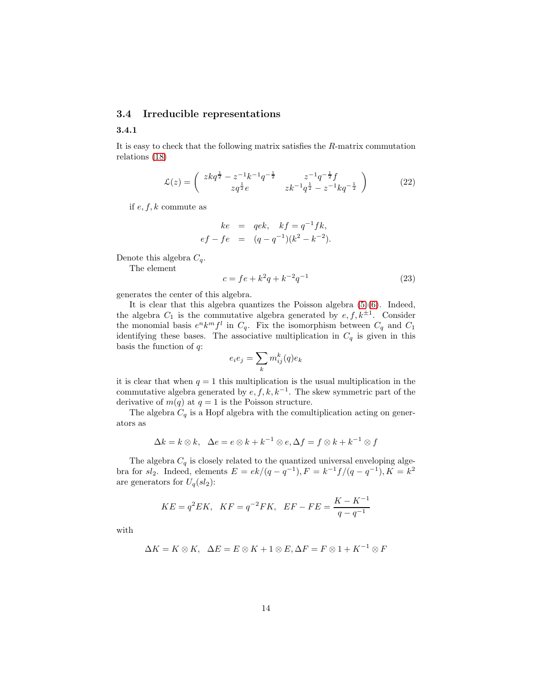### <span id="page-13-1"></span><span id="page-13-0"></span>3.4 Irreducible representations

### 3.4.1

It is easy to check that the following matrix satisfies the R-matrix commutation relations [\(18\)](#page-11-0)

<span id="page-13-2"></span>
$$
\mathcal{L}(z) = \begin{pmatrix} zkq^{\frac{1}{2}} - z^{-1}k^{-1}q^{-\frac{1}{2}} & z^{-1}q^{-\frac{1}{2}}f \\ zq^{\frac{1}{2}}e & zk^{-1}q^{\frac{1}{2}} - z^{-1}kq^{-\frac{1}{2}} \end{pmatrix}
$$
(22)

if  $e, f, k$  commute as

$$
ke = qek, \quad kf = q^{-1}fk, \\
ef - fe = (q - q^{-1})(k^2 - k^{-2}).
$$

Denote this algebra  $C_q$ .

The element

$$
c = fe + k^2 q + k^{-2} q^{-1}
$$
\n(23)

generates the center of this algebra.

It is clear that this algebra quantizes the Poisson algebra  $(5)(6)$  $(5)(6)$ . Indeed, the algebra  $C_1$  is the commutative algebra generated by  $e, f, k^{\pm 1}$ . Consider the monomial basis  $e^n k^m f^l$  in  $C_q$ . Fix the isomorphism between  $C_q$  and  $C_1$ identifying these bases. The associative multiplication in  $C_q$  is given in this basis the function of  $q$ :

$$
e_ie_j=\sum_k m_{ij}^k(q)e_k
$$

it is clear that when  $q = 1$  this multiplication is the usual multiplication in the commutative algebra generated by  $e, f, k, k^{-1}$ . The skew symmetric part of the derivative of  $m(q)$  at  $q = 1$  is the Poisson structure.

The algebra  $C_q$  is a Hopf algebra with the comultiplication acting on generators as

$$
\Delta k = k \otimes k, \quad \Delta e = e \otimes k + k^{-1} \otimes e, \Delta f = f \otimes k + k^{-1} \otimes f
$$

The algebra  $C_q$  is closely related to the quantized universal enveloping algebra for  $sl_2$ . Indeed, elements  $E = ek/(q - q^{-1}), F = k^{-1}f/(q - q^{-1}), K = k^2$ are generators for  $U_q(sl_2)$ :

$$
KE = q^2 EK, \quad KF = q^{-2}FK, \quad EF - FE = \frac{K - K^{-1}}{q - q^{-1}}
$$

with

$$
\Delta K = K \otimes K, \quad \Delta E = E \otimes K + 1 \otimes E, \Delta F = F \otimes 1 + K^{-1} \otimes F
$$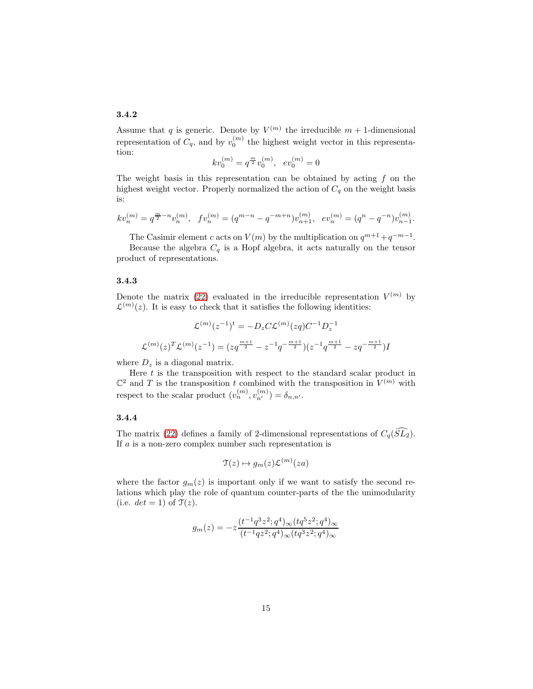### <span id="page-14-0"></span>3.4.2

Assume that q is generic. Denote by  $V^{(m)}$  the irreducible  $m + 1$ -dimensional representation of  $C_q$ , and by  $v_0^{(m)}$  the highest weight vector in this representation:

$$
kv_0^{(m)} = q^{\frac{m}{2}}v_0^{(m)}, \ ev_0^{(m)} = 0
$$

The weight basis in this representation can be obtained by acting  $f$  on the highest weight vector. Properly normalized the action of  $C_q$  on the weight basis is:

$$
kv_n^{(m)} = q^{\frac{m}{2} - n} v_n^{(m)}, \quad fv_n^{(m)} = (q^{m-n} - q^{-m+n})v_{n+1}^{(m)}, \quad ev_n^{(m)} = (q^n - q^{-n})v_{n-1}^{(m)}.
$$

The Casimir element c acts on  $V(m)$  by the multiplication on  $q^{m+1}+q^{-m-1}$ .

Because the algebra  $C_q$  is a Hopf algebra, it acts naturally on the tensor product of representations.

#### <span id="page-14-1"></span>3.4.3

Denote the matrix [\(22\)](#page-13-2) evaluated in the irreducible representation  $V^{(m)}$  by  $\mathcal{L}^{(m)}(z)$ . It is easy to check that it satisfies the following identities:

$$
\mathcal{L}^{(m)}(z^{-1})^t = -D_z C \mathcal{L}^{(m)}(zq) C^{-1} D_z^{-1}
$$

$$
\mathcal{L}^{(m)}(z)^T \mathcal{L}^{(m)}(z^{-1}) = (zq^{\frac{m+1}{2}} - z^{-1}q^{-\frac{m+1}{2}})(z^{-1}q^{\frac{m+1}{2}} - zq^{-\frac{m+1}{2}})I
$$

where  $D_z$  is a diagonal matrix.

Here  $t$  is the transposition with respect to the standard scalar product in  $\mathbb{C}^2$  and T is the transposition t combined with the transposition in  $V^{(m)}$  with respect to the scalar product  $(v_n^{(m)}, v_{n'}^{(m)}) = \delta_{n,n'}$ .

#### <span id="page-14-2"></span>3.4.4

The matrix [\(22\)](#page-13-2) defines a family of 2-dimensional representations of  $C_q(SL_2)$ . If  $a$  is a non-zero complex number such representation is

$$
\mathfrak{T}(z) \mapsto g_m(z) \mathcal{L}^{(m)}(za)
$$

where the factor  $g_m(z)$  is important only if we want to satisfy the second relations which play the role of quantum counter-parts of the the unimodularity (i.e.  $det = 1$ ) of  $\mathcal{T}(z)$ .

$$
g_m(z) = -z \frac{(t^{-1}q^3z^2;q^4)_{\infty}(tq^5z^2;q^4)_{\infty}}{(t^{-1}qz^2;q^4)_{\infty}(tq^3z^2;q^4)_{\infty}}
$$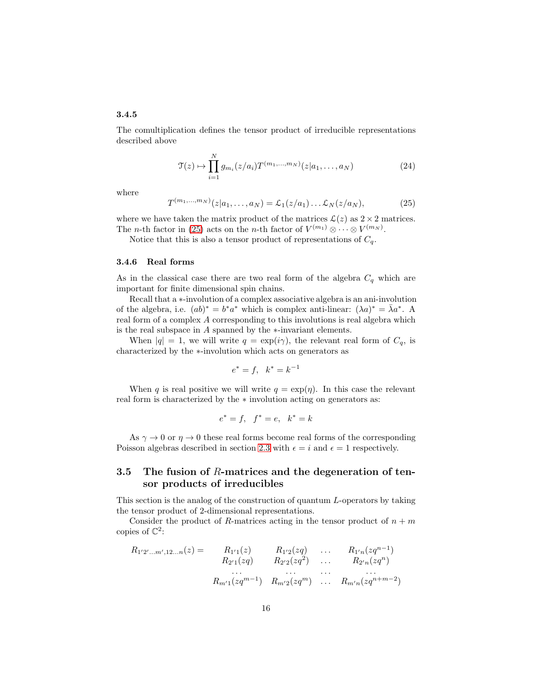### <span id="page-15-0"></span>3.4.5

The comultiplication defines the tensor product of irreducible representations described above

$$
\mathcal{T}(z) \mapsto \prod_{i=1}^{N} g_{m_i}(z/a_i) T^{(m_1, \dots, m_N)}(z|a_1, \dots, a_N)
$$
 (24)

where

<span id="page-15-3"></span>
$$
T^{(m_1,...,m_N)}(z|a_1,...,a_N) = \mathcal{L}_1(z/a_1)... \mathcal{L}_N(z/a_N),
$$
 (25)

where we have taken the matrix product of the matrices  $\mathcal{L}(z)$  as  $2 \times 2$  matrices. The *n*-th factor in [\(25\)](#page-15-3) acts on the *n*-th factor of  $V^{(m_1)} \otimes \cdots \otimes V^{(m_N)}$ .

Notice that this is also a tensor product of representations of  $C_q$ .

#### <span id="page-15-1"></span>3.4.6 Real forms

As in the classical case there are two real form of the algebra  $C_q$  which are important for finite dimensional spin chains.

Recall that a ∗-involution of a complex associative algebra is an ani-involution of the algebra, i.e.  $(ab)^* = b^*a^*$  which is complex anti-linear:  $(\lambda a)^* = \overline{\lambda}a^*$ . A real form of a complex A corresponding to this involutions is real algebra which is the real subspace in A spanned by the ∗-invariant elements.

When  $|q| = 1$ , we will write  $q = \exp(i\gamma)$ , the relevant real form of  $C_q$ , is characterized by the ∗-involution which acts on generators as

$$
e^* = f, \ \ k^* = k^{-1}
$$

When q is real positive we will write  $q = \exp(\eta)$ . In this case the relevant real form is characterized by the ∗ involution acting on generators as:

$$
e^* = f, \quad f^* = e, \quad k^* = k
$$

As  $\gamma \to 0$  or  $\eta \to 0$  these real forms become real forms of the corresponding Poisson algebras described in section [2.3](#page-7-0) with  $\epsilon = i$  and  $\epsilon = 1$  respectively.

# <span id="page-15-2"></span>3.5 The fusion of R-matrices and the degeneration of tensor products of irreducibles

This section is the analog of the construction of quantum L-operators by taking the tensor product of 2-dimensional representations.

Consider the product of R-matrices acting in the tensor product of  $n + m$ copies of  $\mathbb{C}^2$ :

$$
R_{1'2'...m',12...n}(z) = R_{1'1}(z) \t R_{1'2}(zq) \t ... R_{1'n}(zq^{n-1})
$$
  
\n
$$
R_{2'1}(zq) \t R_{2'2}(zq^2) \t ... \t R_{2'n}(zq^n)
$$
  
\n...  
\n
$$
R_{m'1}(zq^{m-1}) \t R_{m'2}(zq^m) \t ... R_{m'n}(zq^{n+m-2})
$$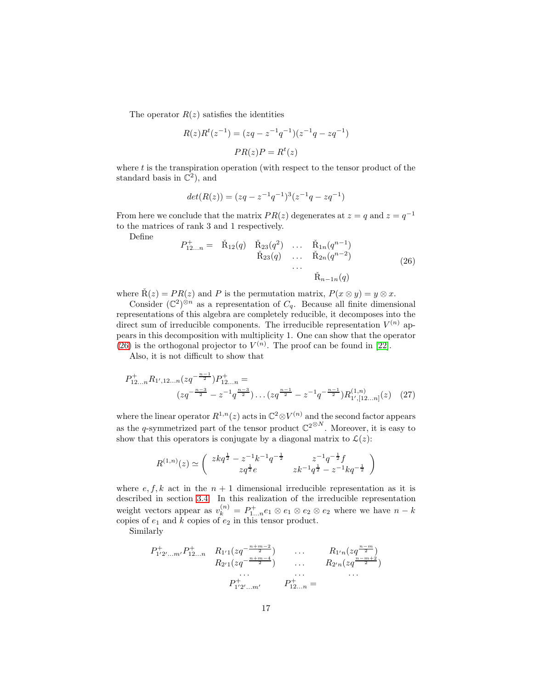The operator  $R(z)$  satisfies the identities

$$
R(z)Rt(z-1) = (zq - z-1q-1)(z-1q - zq-1)
$$

$$
PR(z)P = Rt(z)
$$

where  $t$  is the transpiration operation (with respect to the tensor product of the standard basis in  $\mathbb{C}^2$ , and

$$
det(R(z)) = (zq - z^{-1}q^{-1})^3(z^{-1}q - zq^{-1})
$$

From here we conclude that the matrix  $PR(z)$  degenerates at  $z = q$  and  $z = q^{-1}$ to the matrices of rank 3 and 1 respectively.

Define

<span id="page-16-0"></span>
$$
P_{12...n}^{+} = \tilde{R}_{12}(q) \tilde{R}_{23}(q^{2}) \dots \tilde{R}_{1n}(q^{n-1})
$$
  

$$
\tilde{R}_{23}(q) \dots \tilde{R}_{2n}(q^{n-2})
$$
  

$$
\dots \tilde{R}_{n-1n}(q)
$$
 (26)

where  $\tilde{R}(z) = PR(z)$  and P is the permutation matrix,  $P(x \otimes y) = y \otimes x$ .

Consider  $(\mathbb{C}^2)^{\otimes n}$  as a representation of  $C_q$ . Because all finite dimensional representations of this algebra are completely reducible, it decomposes into the direct sum of irreducible components. The irreducible representation  $V^{(n)}$  appears in this decomposition with multiplicity 1. One can show that the operator [\(26\)](#page-16-0) is the orthogonal projector to  $V^{(n)}$ . The proof can be found in [\[22\]](#page-72-4).

Also, it is not difficult to show that

$$
P_{12...n}^{+} R_{1',12...n} (zq^{-\frac{n-1}{2}}) P_{12...n}^{+} =
$$
  

$$
(zq^{-\frac{n-3}{2}} - z^{-1}q^{\frac{n-3}{2}}) \dots (zq^{\frac{n-1}{2}} - z^{-1}q^{-\frac{n-1}{2}}) R_{1',[12...n]}^{(1,n)}(z)
$$
 (27)

where the linear operator  $R^{1,n}(z)$  acts in  $\mathbb{C}^2 \otimes V^{(n)}$  and the second factor appears as the q-symmetrized part of the tensor product  $\mathbb{C}^{2^{\otimes N}}$ . Moreover, it is easy to show that this operators is conjugate by a diagonal matrix to  $\mathcal{L}(z)$ :

$$
R^{(1,n)}(z) \simeq \begin{pmatrix} zkq^{\frac{1}{2}} - z^{-1}k^{-1}q^{-\frac{1}{2}} & z^{-1}q^{-\frac{1}{2}}f \\ zq^{\frac{1}{2}}e & zk^{-1}q^{\frac{1}{2}} - z^{-1}kq^{-\frac{1}{2}} \end{pmatrix}
$$

where  $e, f, k$  act in the  $n + 1$  dimensional irreducible representation as it is described in section [3.4.](#page-13-0) In this realization of the irreducible representation weight vectors appear as  $v_k^{(n)} = P_{1...n}^+ e_1 \otimes e_1 \otimes e_2 \otimes e_2$  where we have  $n - k$ copies of  $e_1$  and  $k$  copies of  $e_2$  in this tensor product.

Similarly

$$
P_{1'2'\dots m'}^+ P_{12\dots n}^+ R_{1'1}(zq^{-\frac{n+m-2}{2}}) \qquad \dots \qquad R_{1'n}(zq^{\frac{n-m}{2}}) \nR_{2'1}(zq^{-\frac{n+m-4}{2}}) \qquad \dots \qquad R_{2'n}(zq^{\frac{n-m+2}{2}}) \n\vdots \qquad \dots \nP_{1'2'\dots m'}^+ P_{12\dots n}^+ =
$$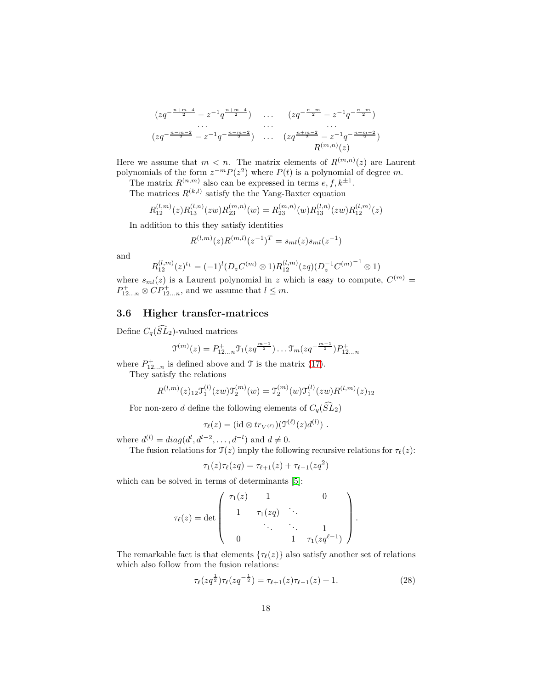$$
\frac{(zq^{-\frac{n+m-4}{2}} - z^{-1}q^{\frac{n+m-4}{2}}) \cdots (zq^{-\frac{n-m}{2}} - z^{-1}q^{-\frac{n-m}{2}})}{(zq^{-\frac{n-m-2}{2}} - z^{-1}q^{-\frac{n-m-2}{2}}) \cdots (zq^{\frac{n+m-2}{2}} - z^{-1}q^{-\frac{n+m-2}{2}})}
$$
\n
$$
\dots \qquad \dots \qquad \dots
$$
\n
$$
R^{(m,n)}(z)
$$

Here we assume that  $m < n$ . The matrix elements of  $R^{(m,n)}(z)$  are Laurent polynomials of the form  $z^{-m}P(z^2)$  where  $P(t)$  is a polynomial of degree m.

The matrix  $R^{(n,m)}$  also can be expressed in terms  $e, f, k^{\pm 1}$ .

The matrices 
$$
R^{(k,l)}
$$
 satisfy the the Yang-Baster equation

$$
R_{12}^{(l,m)}(z)R_{13}^{(l,n)}(zw)R_{23}^{(m,n)}(w) = R_{23}^{(m,n)}(w)R_{13}^{(l,n)}(zw)R_{12}^{(l,m)}(z)
$$

In addition to this they satisfy identities

$$
R^{(l,m)}(z)R^{(m,l)}(z^{-1})^T = s_{ml}(z)s_{ml}(z^{-1})
$$

and

$$
R_{12}^{(l,m)}(z)^{t_1} = (-1)^l (D_z C^{(m)} \otimes 1) R_{12}^{(l,m)}(zq) (D_z^{-1} C^{(m)}^{-1} \otimes 1)
$$

where  $s_{ml}(z)$  is a Laurent polynomial in z which is easy to compute,  $C^{(m)}$  =  $P_{12...n}^+ \otimes CP_{12...n}^+$ , and we assume that  $l \leq m$ .

# <span id="page-17-0"></span>3.6 Higher transfer-matrices

Define  $C_q(\widehat{SL}_2)$ -valued matrices

$$
\mathfrak{I}^{(m)}(z) = P_{12...n}^+ \mathfrak{I}_1(zq^{\frac{m-1}{2}}) \dots \mathfrak{I}_m(zq^{-\frac{m-1}{2}}) P_{12...n}^+
$$

where  $P_{12...n}^{+}$  is defined above and  $\mathcal{T}$  is the matrix [\(17\)](#page-11-2).

They satisfy the relations

$$
R^{(l,m)}(z)_{12} \mathcal{T}_1^{(l)}(zw) \mathcal{T}_2^{(m)}(w) = \mathcal{T}_2^{(m)}(w) \mathcal{T}_1^{(l)}(zw) R^{(l,m)}(z)_{12}
$$

For non-zero d define the following elements of  $C_q(\widehat{SL}_2)$ 

$$
\tau_{\ell}(z) = (\mathrm{id} \otimes tr_{V^{(\ell)}})(\mathfrak{I}^{(\ell)}(z)d^{(l)}) .
$$

where  $d^{(l)} = diag(d^l, d^{l-2}, \dots, d^{-l})$  and  $d \neq 0$ .

The fusion relations for  $\mathcal{T}(z)$  imply the following recursive relations for  $\tau_{\ell}(z)$ :

$$
\tau_1(z)\tau_\ell(zq)=\tau_{\ell+1}(z)+\tau_{\ell-1}(zq^2)
$$

which can be solved in terms of determinants [\[5\]](#page-70-1):

$$
\tau_{\ell}(z) = \det \left( \begin{array}{cccc} \tau_1(z) & 1 & & 0 \\ & 1 & \tau_1(zq) & \ddots & \\ & & \ddots & \ddots & 1 \\ & & & 1 & \tau_1(zq^{\ell-1}) \end{array} \right)
$$

The remarkable fact is that elements  $\{\tau_{\ell}(z)\}\$ also satisfy another set of relations which also follow from the fusion relations:

$$
\tau_{\ell}(zq^{\frac{1}{2}})\tau_{\ell}(zq^{-\frac{1}{2}}) = \tau_{\ell+1}(z)\tau_{\ell-1}(z) + 1.
$$
 (28)

.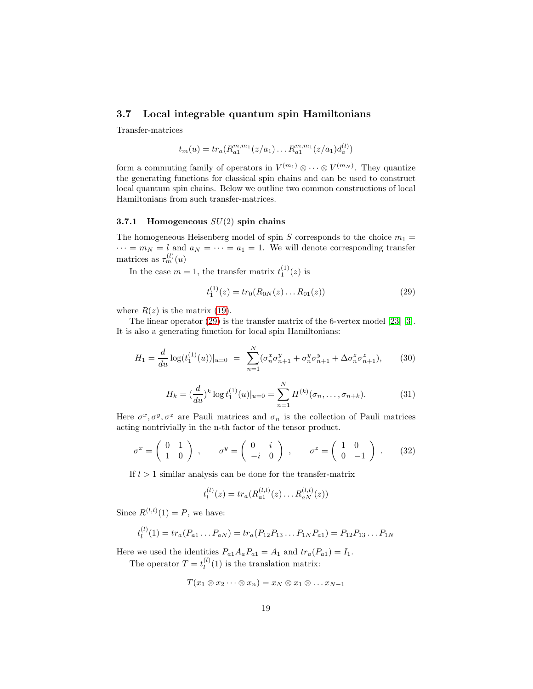# <span id="page-18-0"></span>3.7 Local integrable quantum spin Hamiltonians

Transfer-matrices

$$
t_m(u) = tr_a(R_{a1}^{m,m_1}(z/a_1)\dots R_{a1}^{m,m_1}(z/a_1)d_a^{(l)})
$$

form a commuting family of operators in  $V^{(m_1)} \otimes \cdots \otimes V^{(m_N)}$ . They quantize the generating functions for classical spin chains and can be used to construct local quantum spin chains. Below we outline two common constructions of local Hamiltonians from such transfer-matrices.

### <span id="page-18-1"></span>3.7.1 Homogeneous  $SU(2)$  spin chains

The homogeneous Heisenberg model of spin S corresponds to the choice  $m_1 =$  $\cdots = m_N = l$  and  $a_N = \cdots = a_1 = 1$ . We will denote corresponding transfer matrices as  $\tau_m^{(l)}(u)$ 

In the case  $m = 1$ , the transfer matrix  $t_1^{(1)}(z)$  is

<span id="page-18-2"></span>
$$
t_1^{(1)}(z) = tr_0(R_{0N}(z) \dots R_{01}(z))
$$
\n(29)

where  $R(z)$  is the matrix [\(19\)](#page-11-1).

The linear operator [\(29\)](#page-18-2) is the transfer matrix of the 6-vertex model [\[23\]](#page-72-0) [\[3\]](#page-70-0). It is also a generating function for local spin Hamiltonians:

$$
H_1 = \frac{d}{du} \log(t_1^{(1)}(u))|_{u=0} = \sum_{n=1}^N (\sigma_n^x \sigma_{n+1}^y + \sigma_n^y \sigma_{n+1}^y + \Delta \sigma_n^z \sigma_{n+1}^z), \qquad (30)
$$

$$
H_k = \left(\frac{d}{du}\right)^k \log t_1^{(1)}(u)|_{u=0} = \sum_{n=1}^N H^{(k)}(\sigma_n, \dots, \sigma_{n+k}).\tag{31}
$$

Here  $\sigma^x, \sigma^y, \sigma^z$  are Pauli matrices and  $\sigma_n$  is the collection of Pauli matrices acting nontrivially in the n-th factor of the tensor product.

$$
\sigma^x = \begin{pmatrix} 0 & 1 \\ 1 & 0 \end{pmatrix} , \qquad \sigma^y = \begin{pmatrix} 0 & i \\ -i & 0 \end{pmatrix} , \qquad \sigma^z = \begin{pmatrix} 1 & 0 \\ 0 & -1 \end{pmatrix} . \tag{32}
$$

If  $l > 1$  similar analysis can be done for the transfer-matrix

$$
t_l^{(l)}(z) = tr_a(R_{a1}^{(l,l)}(z) \dots R_{aN}^{(l,l)}(z))
$$

Since  $R^{(l,l)}(1) = P$ , we have:

$$
t_l^{(l)}(1) = tr_a(P_{a1} \dots P_{aN}) = tr_a(P_{12}P_{13} \dots P_{1N}P_{a1}) = P_{12}P_{13} \dots P_{1N}
$$

Here we used the identities  $P_{a1}A_aP_{a1} = A_1$  and  $tr_a(P_{a1}) = I_1$ .

The operator  $T = t_l^{(l)}$  $\binom{t}{l}(1)$  is the translation matrix:

$$
T(x_1 \otimes x_2 \cdots \otimes x_n) = x_N \otimes x_1 \otimes \ldots x_{N-1}
$$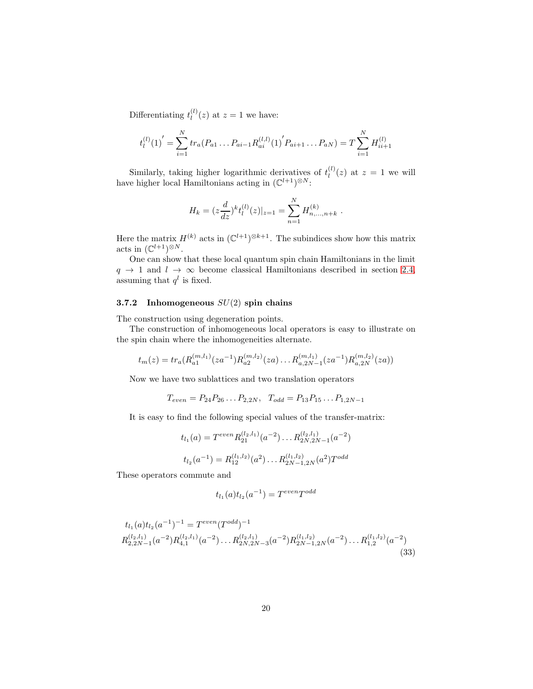Differentiating  $t_l^{(l)}$  $\binom{u}{l}(z)$  at  $z=1$  we have:

$$
t_l^{(l)}(1)' = \sum_{i=1}^N tr_a(P_{a1} \dots P_{ai-1} R_{ai}^{(l,l)}(1)' P_{ai+1} \dots P_{aN}) = T \sum_{i=1}^N H_{ii+1}^{(l)}
$$

Similarly, taking higher logarithmic derivatives of  $t_l^{(l)}$  $\binom{u}{l}(z)$  at  $z=1$  we will have higher local Hamiltonians acting in  $(\mathbb{C}^{l+1})^{\otimes N}$ :

$$
H_k = (z\frac{d}{dz})^k t_l^{(l)}(z)|_{z=1} = \sum_{n=1}^N H_{n,\ldots,n+k}^{(k)}.
$$

Here the matrix  $H^{(k)}$  acts in  $(\mathbb{C}^{l+1})^{\otimes k+1}$ . The subindices show how this matrix acts in  $(\mathbb{C}^{l+1})^{\otimes N}$ .

One can show that these local quantum spin chain Hamiltonians in the limit  $q \rightarrow 1$  and  $l \rightarrow \infty$  become classical Hamiltonians described in section [2.4,](#page-8-0) assuming that  $q^l$  is fixed.

### <span id="page-19-0"></span>3.7.2 Inhomogeneous  $SU(2)$  spin chains

The construction using degeneration points.

The construction of inhomogeneous local operators is easy to illustrate on the spin chain where the inhomogeneities alternate.

$$
t_m(z) = tr_a(R_{a1}^{(m,l_1)}(za^{-1})R_{a2}^{(m,l_2)}(za) \dots R_{a,2N-1}^{(m,l_1)}(za^{-1})R_{a,2N}^{(m,l_2)}(za))
$$

Now we have two sublattices and two translation operators

$$
T_{even} = P_{24}P_{26} \dots P_{2,2N}, \quad T_{odd} = P_{13}P_{15} \dots P_{1,2N-1}
$$

It is easy to find the following special values of the transfer-matrix:

$$
t_{l_1}(a) = T^{even} R_{21}^{(l_2, l_1)}(a^{-2}) \dots R_{2N, 2N-1}^{(l_2, l_1)}(a^{-2})
$$
  

$$
t_{l_2}(a^{-1}) = R_{12}^{(l_1, l_2)}(a^2) \dots R_{2N-1, 2N}^{(l_1, l_2)}(a^2) T^{odd}
$$

These operators commute and

$$
t_{l_1}(a)t_{l_2}(a^{-1}) = T^{even}T^{odd}
$$

$$
t_{l_1}(a)t_{l_2}(a^{-1})^{-1} = T^{even}(T^{odd})^{-1}
$$
  
\n
$$
R_{2,2N-1}^{(l_2,l_1)}(a^{-2})R_{4,1}^{(l_2,l_1)}(a^{-2})\dots R_{2N,2N-3}^{(l_2,l_1)}(a^{-2})R_{2N-1,2N}^{(l_1,l_2)}(a^{-2})\dots R_{1,2}^{(l_1,l_2)}(a^{-2})
$$
\n(33)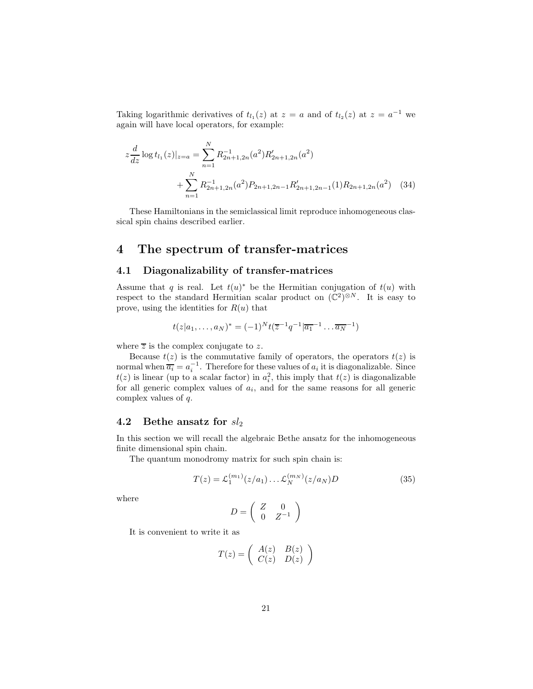Taking logarithmic derivatives of  $t_{l_1}(z)$  at  $z = a$  and of  $t_{l_2}(z)$  at  $z = a^{-1}$  we again will have local operators, for example:

$$
z\frac{d}{dz}\log t_{l_1}(z)|_{z=a} = \sum_{n=1}^{N} R_{2n+1,2n}^{-1}(a^2) R'_{2n+1,2n}(a^2)
$$
  
+ 
$$
\sum_{n=1}^{N} R_{2n+1,2n}^{-1}(a^2) P_{2n+1,2n-1} R'_{2n+1,2n-1}(1) R_{2n+1,2n}(a^2)
$$
 (34)

These Hamiltonians in the semiclassical limit reproduce inhomogeneous classical spin chains described earlier.

# <span id="page-20-0"></span>4 The spectrum of transfer-matrices

### <span id="page-20-1"></span>4.1 Diagonalizability of transfer-matrices

Assume that q is real. Let  $t(u)^*$  be the Hermitian conjugation of  $t(u)$  with respect to the standard Hermitian scalar product on  $(\mathbb{C}^2)^{\otimes N}$ . It is easy to prove, using the identities for  $R(u)$  that

$$
t(z|a_1,\ldots,a_N)^* = (-1)^N t(\overline{z}^{-1}q^{-1}|\overline{a_1}^{-1}\ldots\overline{a_N}^{-1})
$$

where  $\overline{z}$  is the complex conjugate to z.

Because  $t(z)$  is the commutative family of operators, the operators  $t(z)$  is normal when  $\overline{a_i} = a_i^{-1}$ . Therefore for these values of  $a_i$  it is diagonalizable. Since  $t(z)$  is linear (up to a scalar factor) in  $a_i^2$ , this imply that  $t(z)$  is diagonalizable for all generic complex values of  $a_i$ , and for the same reasons for all generic complex values of q.

### <span id="page-20-2"></span>4.2 Bethe ansatz for  $sl_2$

In this section we will recall the algebraic Bethe ansatz for the inhomogeneous finite dimensional spin chain.

The quantum monodromy matrix for such spin chain is:

<span id="page-20-3"></span>
$$
T(z) = \mathcal{L}_1^{(m_1)}(z/a_1) \dots \mathcal{L}_N^{(m_N)}(z/a_N)D
$$
 (35)

where

$$
D = \left(\begin{array}{cc} Z & 0 \\ 0 & Z^{-1} \end{array}\right)
$$

It is convenient to write it as

$$
T(z) = \begin{pmatrix} A(z) & B(z) \\ C(z) & D(z) \end{pmatrix}
$$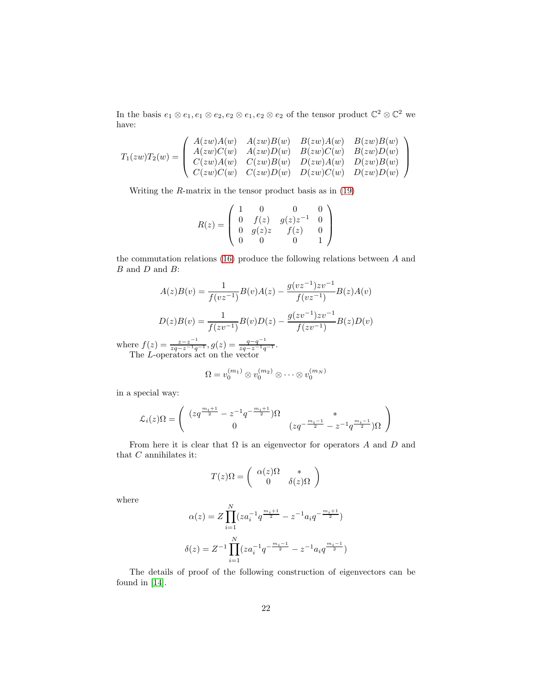In the basis  $e_1 \otimes e_1, e_1 \otimes e_2, e_2 \otimes e_1, e_2 \otimes e_2$  of the tensor product  $\mathbb{C}^2 \otimes \mathbb{C}^2$  we have:

$$
T_1(zw)T_2(w)=\left(\begin{array}{cccc} A(zw)A(w) & A(zw)B(w) & B(zw)A(w) & B(zw)B(w) \\ A(zw)C(w) & A(zw)D(w) & B(zw)C(w) & B(zw)D(w) \\ C(zw)A(w) & C(zw)B(w) & D(zw)A(w) & D(zw)B(w) \\ C(zw)C(w) & C(zw)D(w) & D(zw)C(w) & D(zw)D(w) \end{array}\right)
$$

Writing the  $R$ -matrix in the tensor product basis as in  $(19)$ 

$$
R(z) = \begin{pmatrix} 1 & 0 & 0 & 0 \\ 0 & f(z) & g(z)z^{-1} & 0 \\ 0 & g(z)z & f(z) & 0 \\ 0 & 0 & 0 & 1 \end{pmatrix}
$$

the commutation relations [\(16\)](#page-10-3) produce the following relations between A and B and D and B:

$$
A(z)B(v) = \frac{1}{f(vz^{-1})}B(v)A(z) - \frac{g(vz^{-1})zv^{-1}}{f(vz^{-1})}B(z)A(v)
$$

$$
D(z)B(v) = \frac{1}{f(zv^{-1})}B(v)D(z) - \frac{g(zv^{-1})zv^{-1}}{f(zv^{-1})}B(z)D(v)
$$

where  $f(z) = \frac{z-z^{-1}}{zq-z^{-1}q^{-1}}, g(z) = \frac{q-q^{-1}}{zq-z^{-1}q^{-1}}.$ The L-operators act on the vector

$$
\Omega = v_0^{(m_1)} \otimes v_0^{(m_2)} \otimes \cdots \otimes v_0^{(m_N)}
$$

in a special way:

$$
\mathcal{L}_i(z) \Omega = \left( \begin{array}{cc} (z q^{\frac{m_i+1}{2}} - z^{-1} q^{-\frac{m_i+1}{2}}) \Omega & * \\ 0 & (z q^{-\frac{m_i-1}{2}} - z^{-1} q^{\frac{m_i-1}{2}}) \Omega \end{array} \right)
$$

From here it is clear that  $\Omega$  is an eigenvector for operators A and D and that  ${\cal C}$  annihilates it:

$$
T(z)\Omega = \begin{pmatrix} \alpha(z)\Omega & * \\ 0 & \delta(z)\Omega \end{pmatrix}
$$

where

$$
\alpha(z) = Z \prod_{i=1}^{N} (z a_i^{-1} q^{\frac{m_i+1}{2}} - z^{-1} a_i q^{-\frac{m_i+1}{2}})
$$

$$
\delta(z) = Z^{-1} \prod_{i=1}^{N} (z a_i^{-1} q^{-\frac{m_i-1}{2}} - z^{-1} a_i q^{\frac{m_i-1}{2}})
$$

The details of proof of the following construction of eigenvectors can be found in [\[14\]](#page-71-2).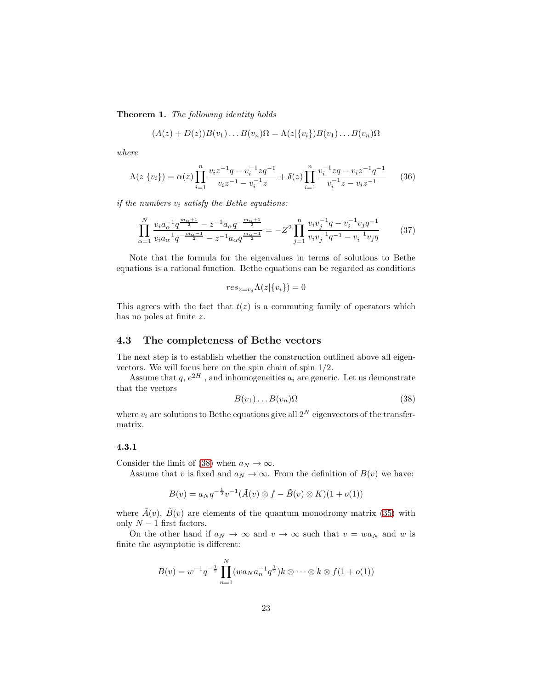Theorem 1. The following identity holds

$$
(A(z) + D(z))B(v_1) \dots B(v_n)\Omega = \Lambda(z|\{v_i\})B(v_1) \dots B(v_n)\Omega
$$

where

<span id="page-22-4"></span>
$$
\Lambda(z|\{v_i\}) = \alpha(z) \prod_{i=1}^n \frac{v_i z^{-1} q - v_i^{-1} z q^{-1}}{v_i z^{-1} - v_i^{-1} z} + \delta(z) \prod_{i=1}^n \frac{v_i^{-1} z q - v_i z^{-1} q^{-1}}{v_i^{-1} z - v_i z^{-1}} \tag{36}
$$

if the numbers  $v_i$  satisfy the Bethe equations:

<span id="page-22-3"></span>
$$
\prod_{\alpha=1}^{N} \frac{v_i a_{\alpha}^{-1} q^{\frac{m_{\alpha}+1}{2}} - z^{-1} a_{\alpha} q^{-\frac{m_{\alpha}+1}{2}}}{v_i a_{\alpha}^{-1} q^{-\frac{m_{\alpha}-1}{2}} - z^{-1} a_{\alpha} q^{\frac{m_{\alpha}-1}{2}}} = -Z^2 \prod_{j=1}^{n} \frac{v_i v_j^{-1} q - v_i^{-1} v_j q^{-1}}{v_i v_j^{-1} q^{-1} - v_i^{-1} v_j q} \tag{37}
$$

Note that the formula for the eigenvalues in terms of solutions to Bethe equations is a rational function. Bethe equations can be regarded as conditions

$$
res_{z=v_j}\Lambda(z|\{v_i\})=0
$$

This agrees with the fact that  $t(z)$  is a commuting family of operators which has no poles at finite z.

### <span id="page-22-0"></span>4.3 The completeness of Bethe vectors

The next step is to establish whether the construction outlined above all eigenvectors. We will focus here on the spin chain of spin 1/2.

Assume that  $q, e^{2H}$ , and inhomogeneities  $a_i$  are generic. Let us demonstrate that the vectors

<span id="page-22-2"></span>
$$
B(v_1)\dots B(v_n)\Omega\tag{38}
$$

where  $v_i$  are solutions to Bethe equations give all  $2^N$  eigenvectors of the transfermatrix.

### <span id="page-22-1"></span>4.3.1

Consider the limit of [\(38\)](#page-22-2) when  $a_N \to \infty$ .

Assume that v is fixed and  $a_N \to \infty$ . From the definition of  $B(v)$  we have:

$$
B(v) = a_N q^{-\frac{1}{2}} v^{-1} (\tilde{A}(v) \otimes f - \tilde{B}(v) \otimes K)(1 + o(1))
$$

where  $\tilde{A}(v)$ ,  $\tilde{B}(v)$  are elements of the quantum monodromy matrix [\(35\)](#page-20-3) with only  $N-1$  first factors.

On the other hand if  $a_N \to \infty$  and  $v \to \infty$  such that  $v = wa_N$  and w is finite the asymptotic is different:

$$
B(v) = w^{-1}q^{-\frac{1}{2}} \prod_{n=1}^{N} (wa_N a_n^{-1} q^{\frac{1}{2}})k \otimes \cdots \otimes k \otimes f(1 + o(1))
$$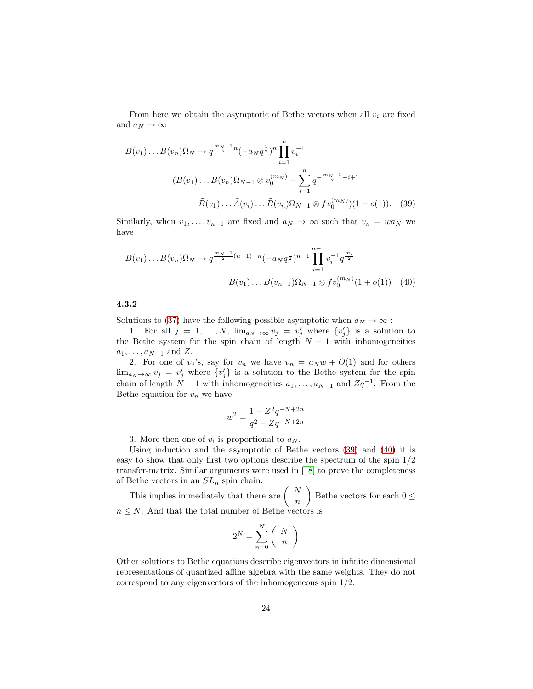From here we obtain the asymptotic of Bethe vectors when all  $v_i$  are fixed and  $a_N\to\infty$ 

$$
B(v_1) \dots B(v_n) \Omega_N \to q^{\frac{m_N+1}{2}n} (-a_N q^{\frac{1}{2}})^n \prod_{i=1}^n v_i^{-1}
$$
  

$$
(\tilde{B}(v_1) \dots \tilde{B}(v_n) \Omega_{N-1} \otimes v_0^{(m_N)} - \sum_{i=1}^n q^{-\frac{m_N+1}{2} - i + 1}
$$
  

$$
\tilde{B}(v_1) \dots \tilde{A}(v_i) \dots \tilde{B}(v_n) \Omega_{N-1} \otimes f v_0^{(m_N)})(1 + o(1)). \quad (39)
$$

Similarly, when  $v_1, \ldots, v_{n-1}$  are fixed and  $a_N \to \infty$  such that  $v_n = wa_N$  we have

$$
B(v_1)\dots B(v_n)\Omega_N \to q^{\frac{m_N+1}{2}(n-1)-n}(-a_Nq^{\frac{1}{2}})^{n-1}\prod_{i=1}^{n-1}v_i^{-1}q^{\frac{m_i}{2}}
$$

$$
\tilde{B}(v_1)\dots\tilde{B}(v_{n-1})\Omega_{N-1}\otimes fv_0^{(m_N)}(1+o(1))\tag{40}
$$

#### <span id="page-23-0"></span>4.3.2

Solutions to [\(37\)](#page-22-3) have the following possible asymptotic when  $a_N \to \infty$ :

1. For all  $j = 1, ..., N$ ,  $\lim_{a_N \to \infty} v_j = v'_j$  where  $\{v'_j\}$  is a solution to the Bethe system for the spin chain of length  $N-1$  with inhomogeneities  $a_1, \ldots, a_{N-1}$  and Z.

2. For one of  $v_j$ 's, say for  $v_n$  we have  $v_n = a_N w + O(1)$  and for others  $\lim_{a_N \to \infty} v_j = v'_j$  where  $\{v'_j\}$  is a solution to the Bethe system for the spin chain of length  $N-1$  with inhomogeneities  $a_1, \ldots, a_{N-1}$  and  $Zq^{-1}$ . From the Bethe equation for  $v_n$  we have

<span id="page-23-2"></span><span id="page-23-1"></span>
$$
w^2 = \frac{1 - Z^2 q^{-N+2n}}{q^2 - Z q^{-N+2n}}
$$

3. More then one of  $v_i$  is proportional to  $a_N$ .

Using induction and the asymptotic of Bethe vectors [\(39\)](#page-23-1) and [\(40\)](#page-23-2) it is easy to show that only first two options describe the spectrum of the spin 1/2 transfer-matrix. Similar arguments were used in [\[18\]](#page-71-5) to prove the completeness of Bethe vectors in an  $SL_n$  spin chain.

This implies immediately that there are  $\begin{pmatrix} N \end{pmatrix}$ n  $\overline{ }$ Bethe vectors for each  $0 \leq$  $n \leq N$ . And that the total number of Bethe vectors is

$$
2^N = \sum_{n=0}^N \binom{N}{n}
$$

Other solutions to Bethe equations describe eigenvectors in infinite dimensional representations of quantized affine algebra with the same weights. They do not correspond to any eigenvectors of the inhomogeneous spin 1/2.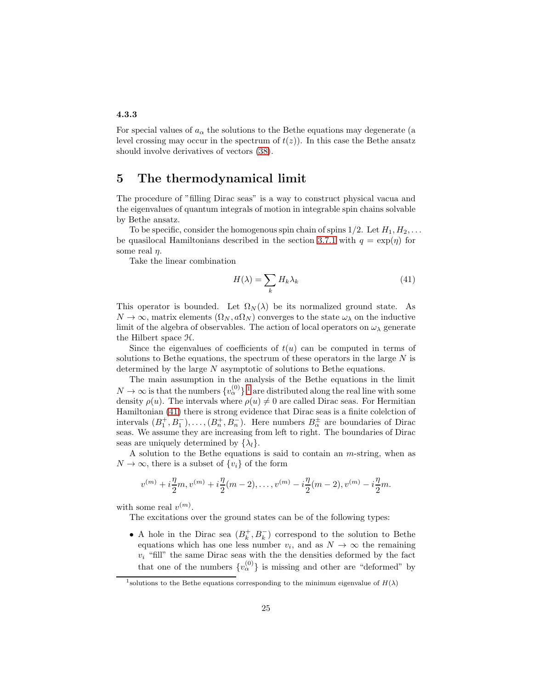### <span id="page-24-0"></span>4.3.3

For special values of  $a_{\alpha}$  the solutions to the Bethe equations may degenerate (a level crossing may occur in the spectrum of  $t(z)$ ). In this case the Bethe ansatz should involve derivatives of vectors [\(38\)](#page-22-2).

# <span id="page-24-1"></span>5 The thermodynamical limit

The procedure of "filling Dirac seas" is a way to construct physical vacua and the eigenvalues of quantum integrals of motion in integrable spin chains solvable by Bethe ansatz.

To be specific, consider the homogenous spin chain of spins  $1/2$ . Let  $H_1, H_2, \ldots$ be quasilocal Hamiltonians described in the section [3.7.1](#page-18-1) with  $q = \exp(\eta)$  for some real  $\eta$ .

Take the linear combination

<span id="page-24-3"></span>
$$
H(\lambda) = \sum_{k} H_{k} \lambda_{k} \tag{41}
$$

This operator is bounded. Let  $\Omega_N(\lambda)$  be its normalized ground state. As  $N \to \infty$ , matrix elements  $(\Omega_N, a\Omega_N)$  converges to the state  $\omega_\lambda$  on the inductive limit of the algebra of observables. The action of local operators on  $\omega_{\lambda}$  generate the Hilbert space H.

Since the eigenvalues of coefficients of  $t(u)$  can be computed in terms of solutions to Bethe equations, the spectrum of these operators in the large  $N$  is determined by the large N asymptotic of solutions to Bethe equations.

The main assumption in the analysis of the Bethe equations in the limit  $N \to \infty$  is that the numbers  $\{v_{\alpha}^{(0)}\}$ <sup>[1](#page-24-2)</sup> are distributed along the real line with some density  $\rho(u)$ . The intervals where  $\rho(u) \neq 0$  are called Dirac seas. For Hermitian Hamiltonian [\(41\)](#page-24-3) there is strong evidence that Dirac seas is a finite colelction of intervals  $(B_1^+, B_1^-), \ldots, (B_n^+, B_n^-)$ . Here numbers  $B_\alpha^{\pm}$  are boundaries of Dirac seas. We assume they are increasing from left to right. The boundaries of Dirac seas are uniquely determined by  $\{\lambda_l\}$ .

A solution to the Bethe equations is said to contain an m-string, when as  $N \to \infty$ , there is a subset of  $\{v_i\}$  of the form

$$
v^{(m)} + i\frac{\eta}{2}m, v^{(m)} + i\frac{\eta}{2}(m-2), \dots, v^{(m)} - i\frac{\eta}{2}(m-2), v^{(m)} - i\frac{\eta}{2}m.
$$

with some real  $v^{(m)}$ .

The excitations over the ground states can be of the following types:

• A hole in the Dirac sea  $(B_k^+, B_k^-)$  correspond to the solution to Bethe equations which has one less number  $v_i$ , and as  $N \to \infty$  the remaining  $v_i$  "fill" the same Dirac seas with the the densities deformed by the fact that one of the numbers  $\{v_{\alpha}^{(0)}\}$  is missing and other are "deformed" by

<span id="page-24-2"></span><sup>&</sup>lt;sup>1</sup> solutions to the Bethe equations corresponding to the minimum eigenvalue of  $H(\lambda)$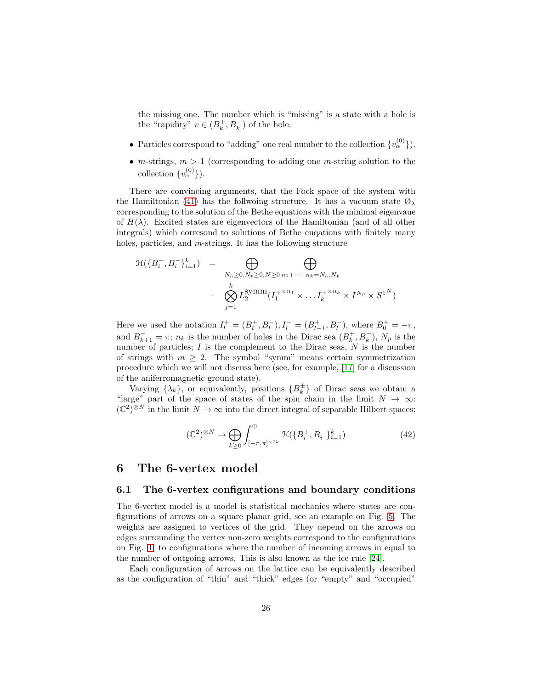the missing one. The number which is "missing" is a state with a hole is the "rapidity"  $v \in (B_k^+, B_k^-)$  of the hole.

- Particles correspond to "adding" one real number to the collection  $\{v_{\alpha}^{(0)}\}$ ).
- m-strings,  $m > 1$  (corresponding to adding one m-string solution to the collection  $\{v_{\alpha}^{(0)}\}\)$ .

There are convincing arguments, that the Fock space of the system with the Hamiltonian [\(41\)](#page-24-3) has the follwoing structure. It has a vacuum state  $\mathcal{O}_{\lambda}$ corresponding to the solution of the Bethe equations with the minimal eigenvaue of  $H(\lambda)$ . Excited states are eigenvectors of the Hamiltonian (and of all other integrals) which corresond to solutions of Bethe euqations with finitely many holes, particles, and *m*-strings. It has the following structure

$$
\mathcal{H}(\lbrace B_i^+, B_i^- \rbrace_{i=1}^k) = \bigoplus_{\substack{N_h \ge 0, N_p \ge 0, N \ge 0 \ n_1 + \dots + n_k = N_h, N_p \\ \vdots \\ \bigotimes_{j=1}^k L_2^{\text{symm}}(I_1^{+\times n_1} \times \dots I_k^{+\times n_k} \times I^{N_p} \times S^{1^N)}
$$

Here we used the notation  $I_l^+ = (B_l^+, B_l^-), I_l^- = (B_{l-1}^+, B_l^-),$  where  $B_0^+ = -\pi$ , and  $B_{k+1}^- = \pi$ ;  $n_k$  is the number of holes in the Dirac sea  $(B_k^+, B_k^-)$ ,  $N_p$  is the number of particles;  $I$  is the complement to the Dirac seas,  $N$  is the number of strings with  $m \geq 2$ . The symbol "symm" means certain symmetrization procedure which we will not discuss here (see, for example, [\[17\]](#page-71-6) for a discussion of the aniferromagnetic ground state).

Varying  $\{\lambda_k\}$ , or equivalently, positions  $\{B_k^{\pm}\}\$  of Dirac seas we obtain a "large" part of the space of states of the spin chain in the limit  $N \to \infty$ :  $(\mathbb{C}^2)^{\otimes N}$  in the limit  $N \to \infty$  into the direct integral of separable Hilbert spaces:

$$
(\mathbb{C}^2)^{\otimes N} \to \bigoplus_{k \ge 0} \int_{[-\pi,\pi]^{\times 2k}}^{\oplus} \mathfrak{H}(\{B_i^+, B_i^-\}_{i=1}^k) \tag{42}
$$

# <span id="page-25-1"></span><span id="page-25-0"></span>6 The 6-vertex model

### 6.1 The 6-vertex configurations and boundary conditions

The 6-vertex model is a model is statistical mechanics where states are configurations of arrows on a square planar grid, see an example on Fig. [5.](#page-29-0) The weights are assigned to vertices of the grid. They depend on the arrows on edges surrounding the vertex non-zero weights correspond to the configurations on Fig. [1,](#page-26-1) to configurations where the number of incoming arrows in equal to the number of outgoing arrows. This is also known as the ice rule [\[24\]](#page-72-1).

Each configuration of arrows on the lattice can be equivalently described as the configuration of "thin" and "thick" edges (or "empty" and "occupied"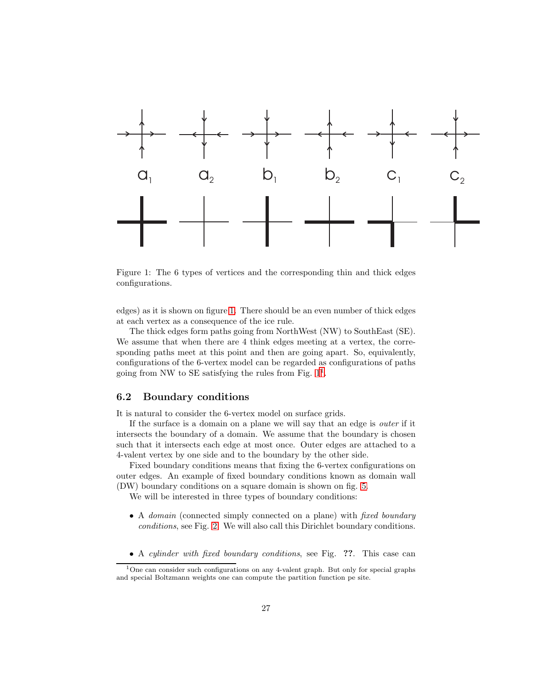

<span id="page-26-1"></span>Figure 1: The 6 types of vertices and the corresponding thin and thick edges configurations.

edges) as it is shown on figure [1.](#page-26-1) There should be an even number of thick edges at each vertex as a consequence of the ice rule.

The thick edges form paths going from NorthWest (NW) to SouthEast (SE). We assume that when there are 4 think edges meeting at a vertex, the corresponding paths meet at this point and then are going apart. So, equivalently, configurations of the 6-vertex model can be regarded as configurations of paths going from NW to SE satisfying the rules from Fig.  $1<sup>1</sup>$  $1<sup>1</sup>$ .

### <span id="page-26-0"></span>6.2 Boundary conditions

It is natural to consider the 6-vertex model on surface grids.

If the surface is a domain on a plane we will say that an edge is outer if it intersects the boundary of a domain. We assume that the boundary is chosen such that it intersects each edge at most once. Outer edges are attached to a 4-valent vertex by one side and to the boundary by the other side.

Fixed boundary conditions means that fixing the 6-vertex configurations on outer edges. An example of fixed boundary conditions known as domain wall (DW) boundary conditions on a square domain is shown on fig. [5.](#page-29-0)

We will be interested in three types of boundary conditions:

- A *domain* (connected simply connected on a plane) with *fixed boundary* conditions, see Fig. [2.](#page-27-1) We will also call this Dirichlet boundary conditions.
- A cylinder with fixed boundary conditions, see Fig. ??. This case can

<span id="page-26-2"></span><sup>&</sup>lt;sup>1</sup>One can consider such configurations on any 4-valent graph. But only for special graphs and special Boltzmann weights one can compute the partition function pe site.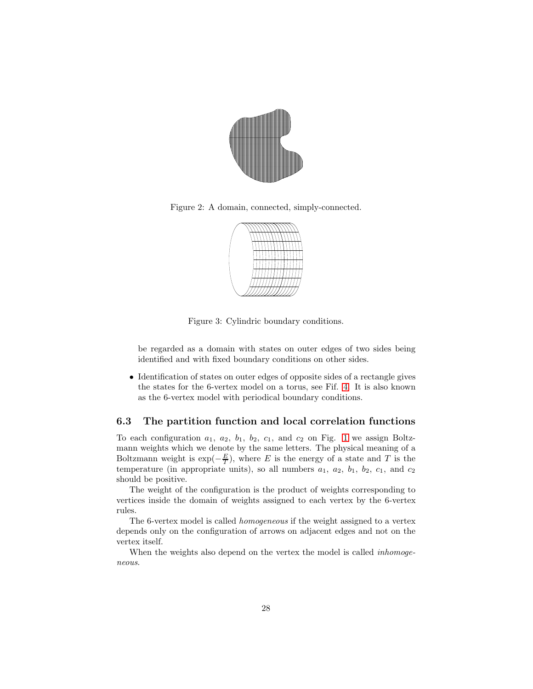

Figure 2: A domain, connected, simply-connected.

<span id="page-27-1"></span>

Figure 3: Cylindric boundary conditions.

be regarded as a domain with states on outer edges of two sides being identified and with fixed boundary conditions on other sides.

• Identification of states on outer edges of opposite sides of a rectangle gives the states for the 6-vertex model on a torus, see Fif. [4.](#page-28-0) It is also known as the 6-vertex model with periodical boundary conditions.

### <span id="page-27-0"></span>6.3 The partition function and local correlation functions

To each configuration  $a_1$ ,  $a_2$ ,  $b_1$ ,  $b_2$ ,  $c_1$ , and  $c_2$  on Fig. [1](#page-26-1) we assign Boltzmann weights which we denote by the same letters. The physical meaning of a Boltzmann weight is  $\exp(-\frac{E}{T})$ , where E is the energy of a state and T is the temperature (in appropriate units), so all numbers  $a_1$ ,  $a_2$ ,  $b_1$ ,  $b_2$ ,  $c_1$ , and  $c_2$ should be positive.

The weight of the configuration is the product of weights corresponding to vertices inside the domain of weights assigned to each vertex by the 6-vertex rules.

The 6-vertex model is called homogeneous if the weight assigned to a vertex depends only on the configuration of arrows on adjacent edges and not on the vertex itself.

When the weights also depend on the vertex the model is called *inhomoge*neous.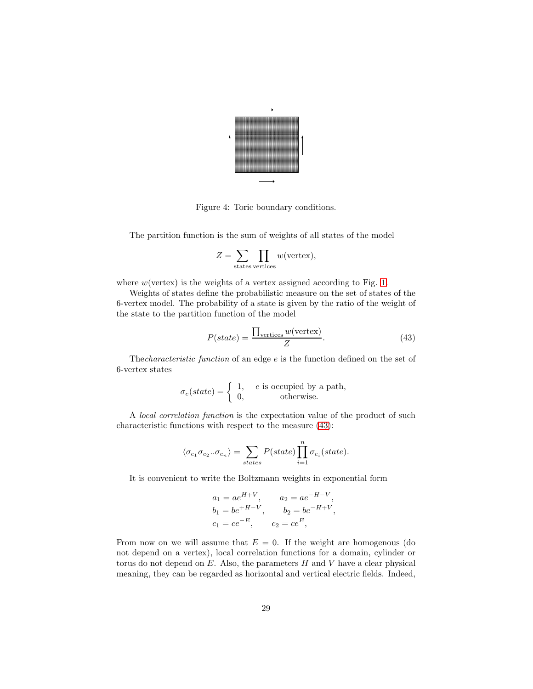

<span id="page-28-0"></span>Figure 4: Toric boundary conditions.

The partition function is the sum of weights of all states of the model

$$
Z = \sum_{\text{states}} \prod_{\text{vertices}} w(\text{vertex}),
$$

where  $w$ (vertex) is the weights of a vertex assigned according to Fig. [1.](#page-26-1)

Weights of states define the probabilistic measure on the set of states of the 6-vertex model. The probability of a state is given by the ratio of the weight of the state to the partition function of the model

<span id="page-28-1"></span>
$$
P(state) = \frac{\prod_{\text{vertices}} w(\text{vertex})}{Z}.
$$
 (43)

Thecharacteristic function of an edge e is the function defined on the set of 6-vertex states

$$
\sigma_e(state) = \begin{cases} 1, & e \text{ is occupied by a path,} \\ 0, & \text{otherwise.} \end{cases}
$$

A local correlation function is the expectation value of the product of such characteristic functions with respect to the measure [\(43\)](#page-28-1):

$$
\langle \sigma_{e_1} \sigma_{e_2} \dots \sigma_{e_n} \rangle = \sum_{states} P(state) \prod_{i=1}^{n} \sigma_{e_i}(state).
$$

It is convenient to write the Boltzmann weights in exponential form

$$
a_1 = ae^{H+V}
$$
,  $a_2 = ae^{-H-V}$ ,  
\n $b_1 = be^{+H-V}$ ,  $b_2 = be^{-H+V}$ ,  
\n $c_1 = ce^{-E}$ ,  $c_2 = ce^{E}$ ,

From now on we will assume that  $E = 0$ . If the weight are homogenous (do not depend on a vertex), local correlation functions for a domain, cylinder or torus do not depend on  $E$ . Also, the parameters  $H$  and  $V$  have a clear physical meaning, they can be regarded as horizontal and vertical electric fields. Indeed,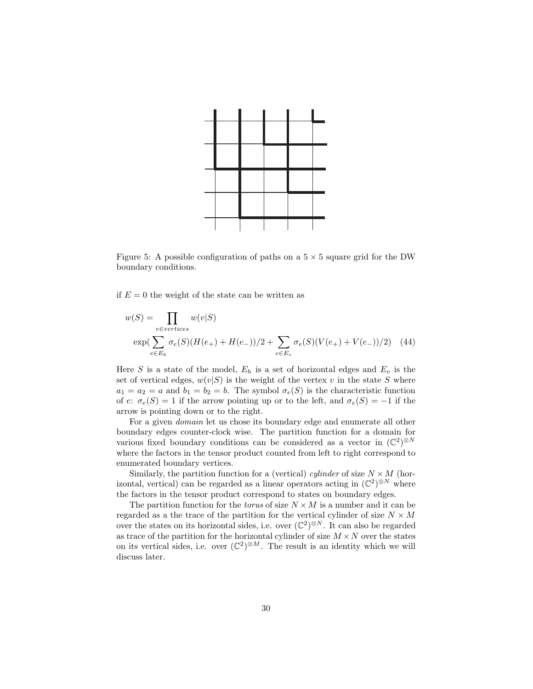

<span id="page-29-0"></span>Figure 5: A possible configuration of paths on a  $5 \times 5$  square grid for the DW boundary conditions.

if  $E = 0$  the weight of the state can be written as

$$
w(S) = \prod_{v \in vertices} w(v|S)
$$
  
exp $(\sum_{e \in E_h} \sigma_e(S)(H(e_+) + H(e_-))/2 + \sum_{e \in E_v} \sigma_e(S)(V(e_+) + V(e_-))/2)$  (44)

Here S is a state of the model,  $E_h$  is a set of horizontal edges and  $E_v$  is the set of vertical edges,  $w(v|S)$  is the weight of the vertex v in the state S where  $a_1 = a_2 = a$  and  $b_1 = b_2 = b$ . The symbol  $\sigma_e(S)$  is the characteristic function of e:  $\sigma_e(S) = 1$  if the arrow pointing up or to the left, and  $\sigma_e(S) = -1$  if the arrow is pointing down or to the right.

For a given domain let us chose its boundary edge and enumerate all other boundary edges counter-clock wise. The partition function for a domain for various fixed boundary conditions can be considered as a vector in  $(\mathbb{C}^2)^{\otimes N}$ where the factors in the tensor product counted from left to right correspond to enumerated boundary vertices.

Similarly, the partition function for a (vertical) cylinder of size  $N \times M$  (horizontal, vertical) can be regarded as a linear operators acting in  $(\mathbb{C}^2)^{\otimes N}$  where the factors in the tensor product correspond to states on boundary edges.

The partition function for the *torus* of size  $N \times M$  is a number and it can be regarded as a the trace of the partition for the vertical cylinder of size  $N\times M$ over the states on its horizontal sides, i.e. over  $(\mathbb{C}^2)^{\otimes N}$ . It can also be regarded as trace of the partition for the horizontal cylinder of size  $M \times N$  over the states on its vertical sides, i.e. over  $(\mathbb{C}^2)^{\otimes M}$ . The result is an identity which we will discuss later.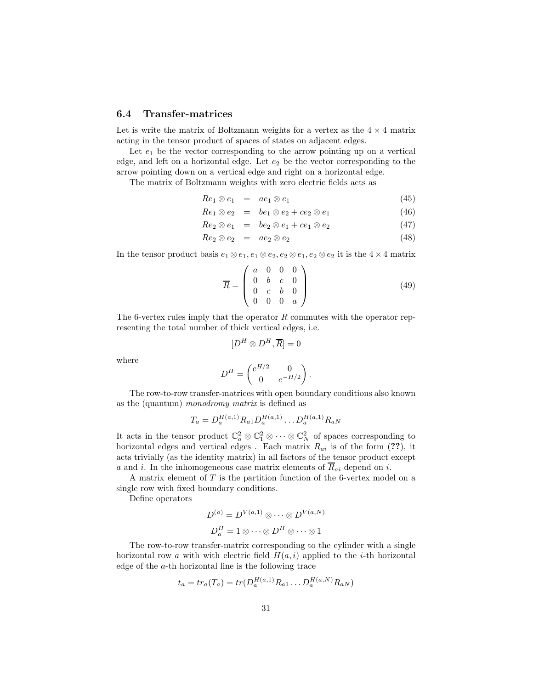### <span id="page-30-0"></span>6.4 Transfer-matrices

Let is write the matrix of Boltzmann weights for a vertex as the  $4 \times 4$  matrix acting in the tensor product of spaces of states on adjacent edges.

Let  $e_1$  be the vector corresponding to the arrow pointing up on a vertical edge, and left on a horizontal edge. Let  $e_2$  be the vector corresponding to the arrow pointing down on a vertical edge and right on a horizontal edge.

The matrix of Boltzmann weights with zero electric fields acts as

$$
Re_1 \otimes e_1 = ae_1 \otimes e_1 \tag{45}
$$

$$
Re_1 \otimes e_2 = be_1 \otimes e_2 + ce_2 \otimes e_1 \tag{46}
$$

 $Re_2 \otimes e_1 = be_2 \otimes e_1 + ce_1 \otimes e_2$  (47)

$$
Re_2 \otimes e_2 = ae_2 \otimes e_2 \tag{48}
$$

In the tensor product basis  $e_1 \otimes e_1, e_1 \otimes e_2, e_2 \otimes e_1, e_2 \otimes e_2$  it is the  $4 \times 4$  matrix

$$
\overline{R} = \begin{pmatrix} a & 0 & 0 & 0 \\ 0 & b & c & 0 \\ 0 & c & b & 0 \\ 0 & 0 & 0 & a \end{pmatrix}
$$
 (49)

The 6-vertex rules imply that the operator  $R$  commutes with the operator representing the total number of thick vertical edges, i.e.

$$
[D^H \otimes D^H, \overline{R}] = 0
$$

where

$$
D^H = \begin{pmatrix} e^{H/2} & 0 \\ 0 & e^{-H/2} \end{pmatrix}.
$$

The row-to-row transfer-matrices with open boundary conditions also known as the (quantum) monodromy matrix is defined as

$$
T_a = D_a^{H(a,1)} R_{a1} D_a^{H(a,1)} \dots D_a^{H(a,1)} R_{aN}
$$

It acts in the tensor product  $\mathbb{C}_a^2 \otimes \mathbb{C}_1^2 \otimes \cdots \otimes \mathbb{C}_N^2$  of spaces corresponding to horizontal edges and vertical edges. Each matrix  $R_{ai}$  is of the form (??), it acts trivially (as the identity matrix) in all factors of the tensor product except a and i. In the inhomogeneous case matrix elements of  $\overline{R}_{ai}$  depend on i.

A matrix element of  $T$  is the partition function of the 6-vertex model on a single row with fixed boundary conditions.

Define operators

$$
D^{(a)} = D^{V(a,1)} \otimes \cdots \otimes D^{V(a,N)}
$$

$$
D_a^H = 1 \otimes \cdots \otimes D^H \otimes \cdots \otimes 1
$$

The row-to-row transfer-matrix corresponding to the cylinder with a single horizontal row a with with electric field  $H(a, i)$  applied to the *i*-th horizontal edge of the a-th horizontal line is the following trace

$$
t_a = tr_a(T_a) = tr(D_a^{H(a,1)}R_{a1} \dots D_a^{H(a,N)}R_{aN})
$$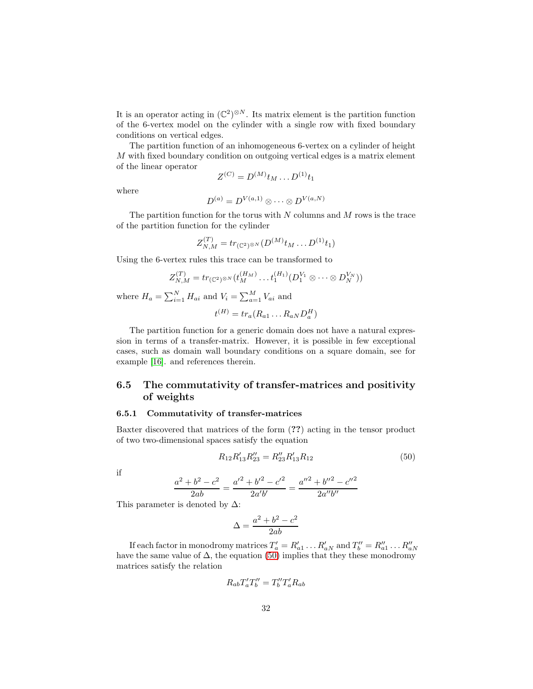It is an operator acting in  $(\mathbb{C}^2)^{\otimes N}$ . Its matrix element is the partition function of the 6-vertex model on the cylinder with a single row with fixed boundary conditions on vertical edges.

The partition function of an inhomogeneous 6-vertex on a cylinder of height M with fixed boundary condition on outgoing vertical edges is a matrix element of the linear operator

$$
Z^{(C)} = D^{(M)} t_M \dots D^{(1)} t_1
$$

where

$$
D^{(a)} = D^{V(a,1)} \otimes \cdots \otimes D^{V(a,N)}
$$

The partition function for the torus with  $N$  columns and  $M$  rows is the trace of the partition function for the cylinder

$$
Z_{N,M}^{(T)} = tr_{(\mathbb{C}^2)^{\otimes N}}(D^{(M)}t_M \dots D^{(1)}t_1)
$$

Using the 6-vertex rules this trace can be transformed to

$$
Z_{N,M}^{(T)} = tr_{(\mathbb{C}^2)^{\otimes N}}(t_M^{(H_M)} \dots t_1^{(H_1)} (D_1^{V_1} \otimes \dots \otimes D_N^{V_N}))
$$
  

$$
= \nabla^N H \text{ and } V = \nabla^M V \text{ and}
$$

where  $H_a = \sum_{i=1}^{N} H_{ai}$  and  $V_i = \sum_{a=1}^{M} V_{ai}$  and

$$
t^{(H)} = tr_a(R_{a1} \dots R_{aN} D_a^H)
$$

The partition function for a generic domain does not have a natural expression in terms of a transfer-matrix. However, it is possible in few exceptional cases, such as domain wall boundary conditions on a square domain, see for example [\[16\]](#page-71-7). and references therein.

# <span id="page-31-0"></span>6.5 The commutativity of transfer-matrices and positivity of weights

### <span id="page-31-1"></span>6.5.1 Commutativity of transfer-matrices

Baxter discovered that matrices of the form (??) acting in the tensor product of two two-dimensional spaces satisfy the equation

<span id="page-31-2"></span>
$$
R_{12}R'_{13}R''_{23} = R''_{23}R'_{13}R_{12}
$$
\n(50)

if

$$
\frac{a^2 + b^2 - c^2}{2ab} = \frac{a'^2 + b'^2 - c'^2}{2a'b'} = \frac{a''^2 + b''^2 - c''^2}{2a''b''}
$$

This parameter is denoted by  $\Delta$ :

$$
\Delta = \frac{a^2 + b^2 - c^2}{2ab}
$$

If each factor in monodromy matrices  $T'_a = R'_{a1} \dots R'_{aN}$  and  $T''_b = R''_{a1} \dots R''_{aN}$ have the same value of  $\Delta$ , the equation [\(50\)](#page-31-2) implies that they these monodromy matrices satisfy the relation

$$
R_{ab}T_a'T_b''=T_b''T_a'R_{ab}
$$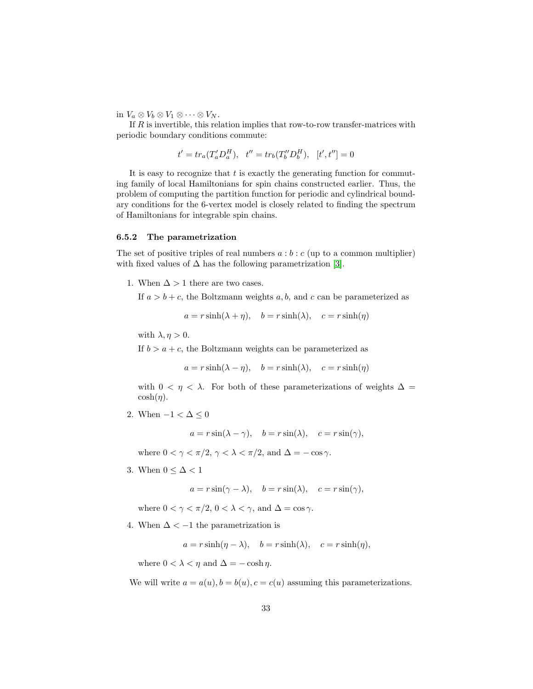in  $V_a \otimes V_b \otimes V_1 \otimes \cdots \otimes V_N$ .

If R is invertible, this relation implies that row-to-row transfer-matrices with periodic boundary conditions commute:

$$
t' = tr_a(T'_a D_a^H), \quad t'' = tr_b(T''_b D_b^H), \quad [t', t''] = 0
$$

It is easy to recognize that  $t$  is exactly the generating function for commuting family of local Hamiltonians for spin chains constructed earlier. Thus, the problem of computing the partition function for periodic and cylindrical boundary conditions for the 6-vertex model is closely related to finding the spectrum of Hamiltonians for integrable spin chains.

#### <span id="page-32-0"></span>6.5.2 The parametrization

The set of positive triples of real numbers  $a:b:c$  (up to a common multiplier) with fixed values of  $\Delta$  has the following parametrization [\[3\]](#page-70-0).

1. When  $\Delta > 1$  there are two cases.

If  $a > b + c$ , the Boltzmann weights a, b, and c can be parameterized as

$$
a = r \sinh(\lambda + \eta), \quad b = r \sinh(\lambda), \quad c = r \sinh(\eta)
$$

with  $\lambda, \eta > 0$ .

If  $b > a + c$ , the Boltzmann weights can be parameterized as

$$
a = r \sinh(\lambda - \eta), \quad b = r \sinh(\lambda), \quad c = r \sinh(\eta)
$$

with  $0 < \eta < \lambda$ . For both of these parameterizations of weights  $\Delta =$  $\cosh(\eta)$ .

2. When  $-1 < \Delta \leq 0$ 

 $a = r \sin(\lambda - \gamma)$ ,  $b = r \sin(\lambda)$ ,  $c = r \sin(\gamma)$ ,

where  $0 < \gamma < \pi/2$ ,  $\gamma < \lambda < \pi/2$ , and  $\Delta = -\cos \gamma$ .

3. When  $0 \leq \Delta < 1$ 

 $a = r \sin(\gamma - \lambda), \quad b = r \sin(\lambda), \quad c = r \sin(\gamma),$ 

where  $0 < \gamma < \pi/2$ ,  $0 < \lambda < \gamma$ , and  $\Delta = \cos \gamma$ .

4. When  $\Delta < -1$  the parametrization is

 $a = r \sinh(\eta - \lambda), \quad b = r \sinh(\lambda), \quad c = r \sinh(\eta),$ 

where  $0 < \lambda < \eta$  and  $\Delta = -\cosh \eta$ .

We will write  $a = a(u)$ ,  $b = b(u)$ ,  $c = c(u)$  assuming this parameterizations.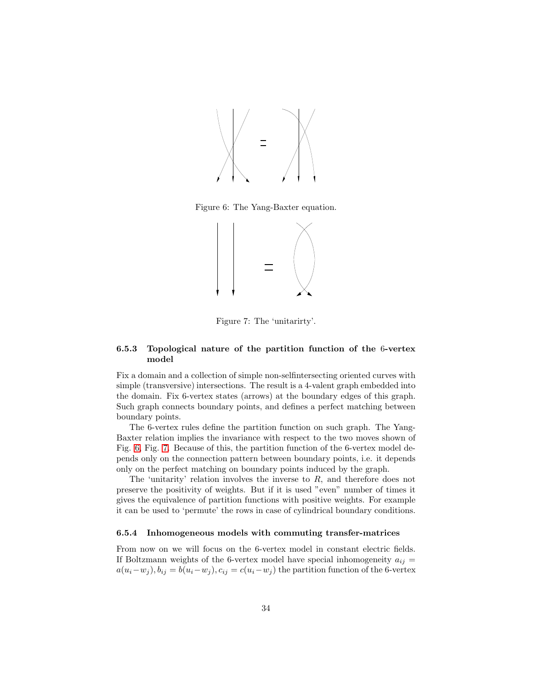

Figure 6: The Yang-Baxter equation.

<span id="page-33-2"></span>

<span id="page-33-3"></span>Figure 7: The 'unitarirty'.

### <span id="page-33-0"></span>6.5.3 Topological nature of the partition function of the 6-vertex model

Fix a domain and a collection of simple non-selfintersecting oriented curves with simple (transversive) intersections. The result is a 4-valent graph embedded into the domain. Fix 6-vertex states (arrows) at the boundary edges of this graph. Such graph connects boundary points, and defines a perfect matching between boundary points.

The 6-vertex rules define the partition function on such graph. The Yang-Baxter relation implies the invariance with respect to the two moves shown of Fig. [6,](#page-33-2) Fig. [7.](#page-33-3) Because of this, the partition function of the 6-vertex model depends only on the connection pattern between boundary points, i.e. it depends only on the perfect matching on boundary points induced by the graph.

The 'unitarity' relation involves the inverse to  $R$ , and therefore does not preserve the positivity of weights. But if it is used "even" number of times it gives the equivalence of partition functions with positive weights. For example it can be used to 'permute' the rows in case of cylindrical boundary conditions.

### <span id="page-33-1"></span>6.5.4 Inhomogeneous models with commuting transfer-matrices

From now on we will focus on the 6-vertex model in constant electric fields. If Boltzmann weights of the 6-vertex model have special inhomogeneity  $a_{ij} =$  $a(u_i-w_j), b_{ij} = b(u_i-w_j), c_{ij} = c(u_i-w_j)$  the partition function of the 6-vertex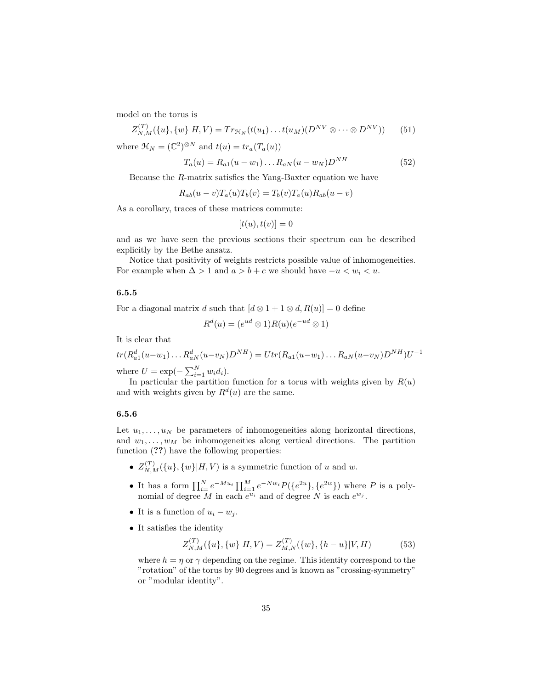model on the torus is

$$
Z_{N,M}^{(T)}(\{u\},\{w\}|H,V) = Tr_{\mathcal{H}_N}(t(u_1)\dots t(u_M)(D^{NV} \otimes \dots \otimes D^{NV})) \tag{51}
$$

where  $\mathcal{H}_N = (\mathbb{C}^2)^{\otimes N}$  and  $t(u) = tr_a(T_a(u))$ 

$$
T_a(u) = R_{a1}(u - w_1) \dots R_{aN}(u - w_N)D^{NH}
$$
\n(52)

Because the R-matrix satisfies the Yang-Baxter equation we have

$$
R_{ab}(u-v)T_a(u)T_b(v) = T_b(v)T_a(u)R_{ab}(u-v)
$$

As a corollary, traces of these matrices commute:

$$
[t(u), t(v)] = 0
$$

and as we have seen the previous sections their spectrum can be described explicitly by the Bethe ansatz.

Notice that positivity of weights restricts possible value of inhomogeneities. For example when  $\Delta > 1$  and  $a > b + c$  we should have  $-u < w_i < u$ .

### <span id="page-34-0"></span>6.5.5

For a diagonal matrix d such that  $[d \otimes 1 + 1 \otimes d, R(u)] = 0$  define

$$
R^d(u) = (e^{ud} \otimes 1)R(u)(e^{-ud} \otimes 1)
$$

It is clear that

$$
tr(R_{a1}^d(u-w_1)\dots R_{aN}^d(u-v_N)D^{NH}) = Utr(R_{a1}(u-w_1)\dots R_{aN}(u-v_N)D^{NH})U^{-1}
$$
  
where  $U = \exp(-\sum_{i=1}^N w_i d_i)$ .

In particular the partition function for a torus with weights given by  $R(u)$ and with weights given by  $R<sup>d</sup>(u)$  are the same.

#### <span id="page-34-1"></span>6.5.6

Let  $u_1, \ldots, u_N$  be parameters of inhomogeneities along horizontal directions, and  $w_1, \ldots, w_M$  be inhomogeneities along vertical directions. The partition function (??) have the following properties:

- $Z_{N,M}^{(T)}(\{u\},\{w\}|H,V)$  is a symmetric function of u and w.
- It has a form  $\prod_{i=1}^{N} e^{-Mu_i} \prod_{i=1}^{M} e^{-Nw_i} P(\lbrace e^{2u} \rbrace, \lbrace e^{2w} \rbrace)$  where P is a polynomial of degree M in each  $e^{u_i}$  and of degree N is each  $e^{w_j}$ .
- It is a function of  $u_i w_j$ .

 $\sim$ 

• It satisfies the identity

$$
Z_{N,M}^{(T)}(\{u\},\{w\}|H,V) = Z_{M,N}^{(T)}(\{w\},\{h-u\}|V,H)
$$
(53)

where  $h = \eta$  or  $\gamma$  depending on the regime. This identity correspond to the "rotation" of the torus by 90 degrees and is known as "crossing-symmetry" or "modular identity".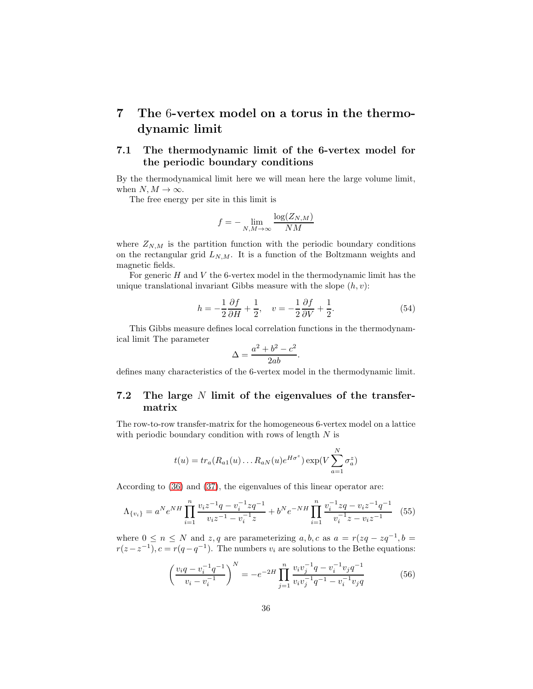# <span id="page-35-0"></span>7 The 6-vertex model on a torus in the thermodynamic limit

# <span id="page-35-1"></span>7.1 The thermodynamic limit of the 6-vertex model for the periodic boundary conditions

By the thermodynamical limit here we will mean here the large volume limit, when  $N, M \to \infty$ .

The free energy per site in this limit is

$$
f = -\lim_{N,M \to \infty} \frac{\log(Z_{N,M})}{NM}
$$

where  $Z_{N,M}$  is the partition function with the periodic boundary conditions on the rectangular grid  $L_{N,M}$ . It is a function of the Boltzmann weights and magnetic fields.

For generic  $H$  and  $V$  the 6-vertex model in the thermodynamic limit has the unique translational invariant Gibbs measure with the slope  $(h, v)$ :

$$
h = -\frac{1}{2}\frac{\partial f}{\partial H} + \frac{1}{2}, \quad v = -\frac{1}{2}\frac{\partial f}{\partial V} + \frac{1}{2}.
$$
 (54)

This Gibbs measure defines local correlation functions in the thermodynamical limit The parameter

$$
\Delta = \frac{a^2 + b^2 - c^2}{2ab}.
$$

defines many characteristics of the 6-vertex model in the thermodynamic limit.

# <span id="page-35-2"></span>7.2 The large N limit of the eigenvalues of the transfermatrix

The row-to-row transfer-matrix for the homogeneous 6-vertex model on a lattice with periodic boundary condition with rows of length  $N$  is

$$
t(u) = tr_a(R_{a1}(u) \dots R_{aN}(u)e^{H\sigma^z}) \exp(V\sum_{a=1}^N \sigma_a^z)
$$

According to [\(36\)](#page-22-4) and [\(37\)](#page-22-3), the eigenvalues of this linear operator are:

$$
\Lambda_{\{v_i\}} = a^N e^{NH} \prod_{i=1}^n \frac{v_i z^{-1} q - v_i^{-1} z q^{-1}}{v_i z^{-1} - v_i^{-1} z} + b^N e^{-NH} \prod_{i=1}^n \frac{v_i^{-1} z q - v_i z^{-1} q^{-1}}{v_i^{-1} z - v_i z^{-1}} \tag{55}
$$

where  $0 \le n \le N$  and  $z, q$  are parameterizing  $a, b, c$  as  $a = r(zq - zq^{-1}, b =$  $r(z-z^{-1}), c = r(q-q^{-1}).$  The numbers  $v_i$  are solutions to the Bethe equations:

$$
\left(\frac{v_i q - v_i^{-1} q^{-1}}{v_i - v_i^{-1}}\right)^N = -e^{-2H} \prod_{j=1}^n \frac{v_i v_j^{-1} q - v_i^{-1} v_j q^{-1}}{v_i v_j^{-1} q^{-1} - v_i^{-1} v_j q}
$$
(56)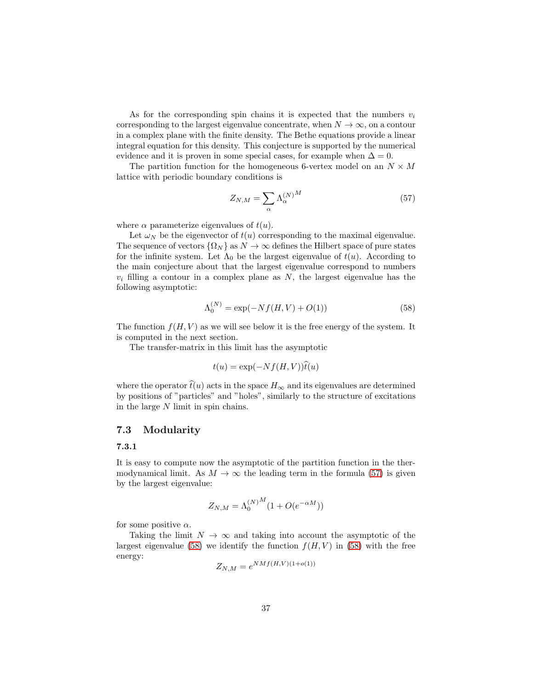As for the corresponding spin chains it is expected that the numbers  $v_i$ corresponding to the largest eigenvalue concentrate, when  $N \to \infty$ , on a contour in a complex plane with the finite density. The Bethe equations provide a linear integral equation for this density. This conjecture is supported by the numerical evidence and it is proven in some special cases, for example when  $\Delta = 0$ .

The partition function for the homogeneous 6-vertex model on an  $N \times M$ lattice with periodic boundary conditions is

<span id="page-36-0"></span>
$$
Z_{N,M} = \sum_{\alpha} \Lambda_{\alpha}^{(N)}{}^{M} \tag{57}
$$

where  $\alpha$  parameterize eigenvalues of  $t(u)$ .

Let  $\omega_N$  be the eigenvector of  $t(u)$  corresponding to the maximal eigenvalue. The sequence of vectors  $\{\Omega_N\}$  as  $N \to \infty$  defines the Hilbert space of pure states for the infinite system. Let  $\Lambda_0$  be the largest eigenvalue of  $t(u)$ . According to the main conjecture about that the largest eigenvalue correspond to numbers  $v_i$  filling a contour in a complex plane as N, the largest eigenvalue has the following asymptotic:

<span id="page-36-1"></span>
$$
\Lambda_0^{(N)} = \exp(-Nf(H, V) + O(1))
$$
\n(58)

The function  $f(H, V)$  as we will see below it is the free energy of the system. It is computed in the next section.

The transfer-matrix in this limit has the asymptotic

$$
t(u) = \exp(-Nf(H, V))\widehat{t}(u)
$$

where the operator  $\hat{t}(u)$  acts in the space  $H_{\infty}$  and its eigenvalues are determined by positions of "particles" and "holes", similarly to the structure of excitations in the large N limit in spin chains.

### 7.3 Modularity

### 7.3.1

It is easy to compute now the asymptotic of the partition function in the thermodynamical limit. As  $M \to \infty$  the leading term in the formula [\(57\)](#page-36-0) is given by the largest eigenvalue:

$$
Z_{N,M} = \Lambda_0^{(N)^M} (1 + O(e^{-\alpha M}))
$$

for some positive  $\alpha$ .

Taking the limit  $N \to \infty$  and taking into account the asymptotic of the largest eigenvalue [\(58\)](#page-36-1) we identify the function  $f(H, V)$  in (58) with the free energy:

$$
Z_{N,M} = e^{NMf(H,V)(1+o(1))}
$$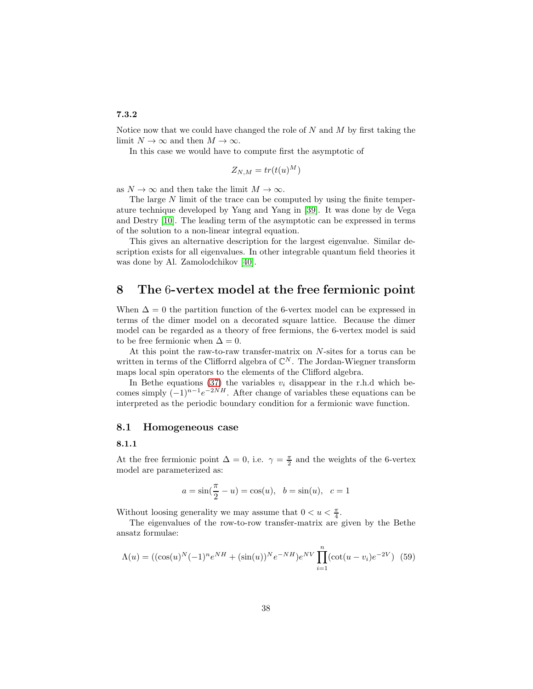# 7.3.2

Notice now that we could have changed the role of  $N$  and  $M$  by first taking the limit  $N \to \infty$  and then  $M \to \infty$ .

In this case we would have to compute first the asymptotic of

$$
Z_{N,M} = tr(t(u)^M)
$$

as  $N \to \infty$  and then take the limit  $M \to \infty$ .

The large  $N$  limit of the trace can be computed by using the finite temperature technique developed by Yang and Yang in [\[39\]](#page-73-0). It was done by de Vega and Destry [\[10\]](#page-71-0). The leading term of the asymptotic can be expressed in terms of the solution to a non-linear integral equation.

This gives an alternative description for the largest eigenvalue. Similar description exists for all eigenvalues. In other integrable quantum field theories it was done by Al. Zamolodchikov [\[40\]](#page-73-1).

# <span id="page-37-1"></span>8 The 6-vertex model at the free fermionic point

When  $\Delta = 0$  the partition function of the 6-vertex model can be expressed in terms of the dimer model on a decorated square lattice. Because the dimer model can be regarded as a theory of free fermions, the 6-vertex model is said to be free fermionic when  $\Delta = 0$ .

At this point the raw-to-raw transfer-matrix on N-sites for a torus can be written in terms of the Clifforrd algebra of  $\mathbb{C}^N$ . The Jordan-Wiegner transform maps local spin operators to the elements of the Clifford algebra.

In Bethe equations [\(37\)](#page-22-0) the variables  $v_i$  disappear in the r.h.d which becomes simply  $(-1)^{n-1}e^{-2NH}$ . After change of variables these equations can be interpreted as the periodic boundary condition for a fermionic wave function.

#### 8.1 Homogeneous case

#### 8.1.1

At the free fermionic point  $\Delta = 0$ , i.e.  $\gamma = \frac{\pi}{2}$  and the weights of the 6-vertex model are parameterized as:

$$
a = \sin(\frac{\pi}{2} - u) = \cos(u), \ \ b = \sin(u), \ \ c = 1
$$

Without loosing generality we may assume that  $0 < u < \frac{\pi}{4}$ .

The eigenvalues of the row-to-row transfer-matrix are given by the Bethe ansatz formulae:

<span id="page-37-0"></span>
$$
\Lambda(u) = ((\cos(u)^N (-1)^n e^{NH} + (\sin(u))^N e^{-NH}) e^{NV} \prod_{i=1}^n (\cot(u - v_i) e^{-2V})
$$
 (59)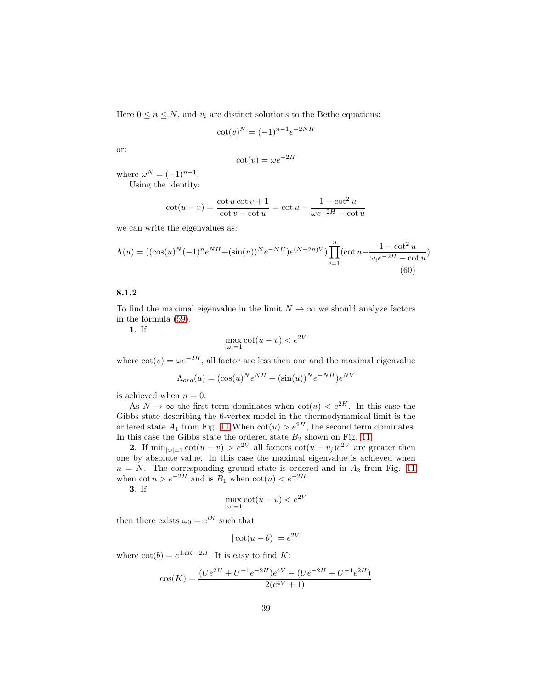Here  $0 \le n \le N$ , and  $v_i$  are distinct solutions to the Bethe equations:

$$
\cot(v)^N = (-1)^{n-1} e^{-2NH}
$$

or:

$$
\cot(v) = \omega e^{-2H}
$$

where  $\omega^N = (-1)^{n-1}$ .

Using the identity:

$$
\cot(u - v) = \frac{\cot u \cot v + 1}{\cot v - \cot u} = \cot u - \frac{1 - \cot^2 u}{\omega e^{-2H} - \cot u}
$$

we can write the eigenvalues as:

<span id="page-38-0"></span>
$$
\Lambda(u) = ((\cos(u)^N (-1)^n e^{NH} + (\sin(u))^{N} e^{-NH}) e^{(N-2n)V}) \prod_{i=1}^n (\cot u - \frac{1 - \cot^2 u}{\omega_i e^{-2H} - \cot u})
$$
\n(60)

# 8.1.2

To find the maximal eigenvalue in the limit  $N \to \infty$  we should analyze factors in the formula [\(59\)](#page-37-0).

1. If

$$
\max_{|\omega|=1} \cot(u-v) < e^{2V}
$$

where  $\cot(v) = \omega e^{-2H}$ , all factor are less then one and the maximal eigenvalue

$$
\Lambda_{ord}(u) = (\cos(u)^N e^{NH} + (\sin(u))^N e^{-NH}) e^{NV}
$$

is achieved when  $n = 0$ .

As  $N \to \infty$  the first term dominates when  $\cot(u) < e^{2H}$ . In this case the Gibbs state describing the 6-vertex model in the thermodynamical limit is the ordered state  $A_1$  from Fig. [11](#page-45-0) When  $\cot(u) > e^{2H}$ , the second term dominates. In this case the Gibbs state the ordered state  $B_2$  shown on Fig. [11.](#page-45-0)

**2.** If  $\min_{|\omega|=1} \cot(u-v) > e^{2V}$  all factors  $\cot(u-v_j)e^{2V}$  are greater then one by absolute value. In this case the maximal eigenvalue is achieved when  $n = N$ . The corresponding ground state is ordered and in  $A_2$  from Fig. [11](#page-45-0) when  $\cot u > e^{-2H}$  and is  $B_1$  when  $\cot(u) < e^{-2H}$ 

3. If

$$
\max_{|\omega|=1} \cot(u-v) < e^{2V}
$$

then there exists  $\omega_0 = e^{iK}$  such that

$$
|\cot(u-b)| = e^{2V}
$$

where  $\cot(b) = e^{\pm iK-2H}$ . It is easy to find K:

$$
\cos(K) = \frac{(Ue^{2H} + U^{-1}e^{-2H})e^{4V} - (Ue^{-2H} + U^{-1}e^{2H})}{2(e^{4V} + 1)}
$$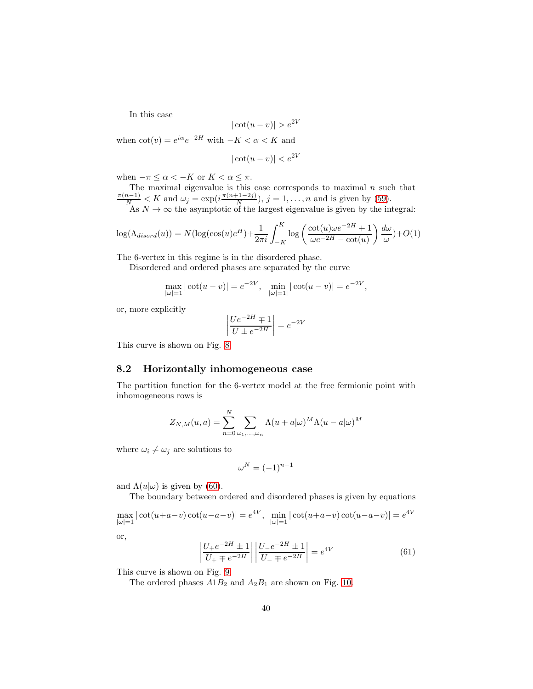In this case

$$
|\cot(u - v)| > e^{2V}
$$

when  $\cot(v) = e^{i\alpha}e^{-2H}$  with  $-K < \alpha < K$  and

$$
|\cot(u - v)| < e^{2V}
$$

when  $-\pi \leq \alpha < -K$  or  $K < \alpha \leq \pi$ .

The maximal eigenvalue is this case corresponds to maximal *n* such that  $\frac{\pi(n-1)}{N} < K$  and  $\omega_j = \exp(i\frac{\pi(n+1-2j)}{N})$ ,  $j = 1, ..., n$  and is given by (59).  $\frac{(n-2j)}{N}$ ,  $j = 1, ..., n$  and is given by [\(59\)](#page-37-0). As  $N \to \infty$  the asymptotic of the largest eigenvalue is given by the integral:

$$
\log(\Lambda_{disord}(u)) = N(\log(\cos(u)e^{H}) + \frac{1}{2\pi i} \int_{-K}^{K} \log\left(\frac{\cot(u)\omega e^{-2H} + 1}{\omega e^{-2H} - \cot(u)}\right) \frac{d\omega}{\omega}) + O(1)
$$

The 6-vertex in this regime is in the disordered phase.

Disordered and ordered phases are separated by the curve

$$
\max_{|\omega|=1} |\cot(u-v)| = e^{-2V}, \quad \min_{|\omega|=1} |\cot(u-v)| = e^{-2V},
$$

or, more explicitly

$$
\left| \frac{Ue^{-2H} \mp 1}{U \pm e^{-2H}} \right| = e^{-2V}
$$

This curve is shown on Fig. [8](#page-40-0)

### 8.2 Horizontally inhomogeneous case

The partition function for the 6-vertex model at the free fermionic point with inhomogeneous rows is

$$
Z_{N,M}(u,a) = \sum_{n=0}^{N} \sum_{\omega_1,\dots,\omega_n} \Lambda(u+a|\omega)^M \Lambda(u-a|\omega)^M
$$

where  $\omega_i \neq \omega_j$  are solutions to

$$
\omega^N=(-1)^{n-1}
$$

and  $\Lambda(u|\omega)$  is given by [\(60\)](#page-38-0).

The boundary between ordered and disordered phases is given by equations

 $\max_{|\omega|=1} |\cot(u+a-v)\cot(u-a-v)| = e^{4V}, \quad \min_{|\omega|=1} |\cot(u+a-v)\cot(u-a-v)| = e^{4V}$ 

or,

<span id="page-39-0"></span>
$$
\left| \frac{U_{+}e^{-2H} \pm 1}{U_{+} \mp e^{-2H}} \right| \left| \frac{U_{-}e^{-2H} \pm 1}{U_{-} \mp e^{-2H}} \right| = e^{4V}
$$
(61)

This curve is shown on Fig. [9.](#page-41-0)

The ordered phases  $A1B_2$  and  $A_2B_1$  are shown on Fig. [10.](#page-42-0)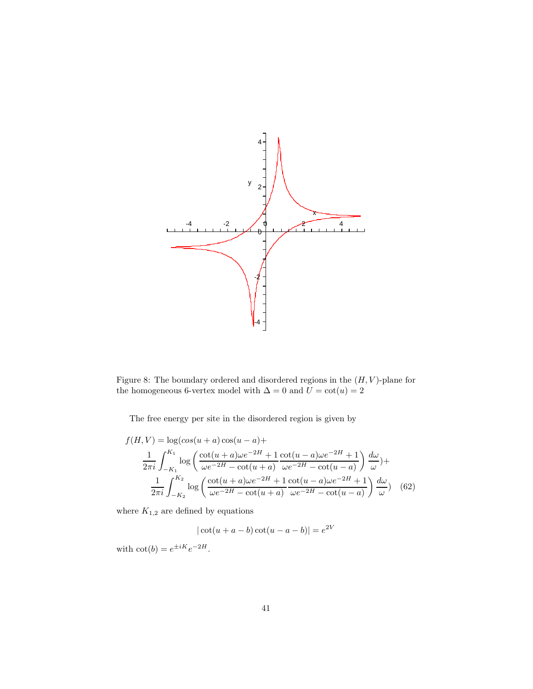

<span id="page-40-0"></span>Figure 8: The boundary ordered and disordered regions in the  $(H, V)$ -plane for the homogeneous 6-vertex model with  $\Delta = 0$  and  $U = \cot(u) = 2$ 

The free energy per site in the disordered region is given by

$$
f(H, V) = \log(\cos(u+a)\cos(u-a)) +
$$
  
\n
$$
\frac{1}{2\pi i} \int_{-K_1}^{K_1} \log\left(\frac{\cot(u+a)\omega e^{-2H} + 1}{\omega e^{-2H} - \cot(u+a)} \frac{\cot(u-a)\omega e^{-2H} + 1}{\omega e^{-2H} - \cot(u-a)}\right) \frac{d\omega}{\omega} +
$$
  
\n
$$
\frac{1}{2\pi i} \int_{-K_2}^{K_2} \log\left(\frac{\cot(u+a)\omega e^{-2H} + 1}{\omega e^{-2H} - \cot(u+a)} \frac{\cot(u-a)\omega e^{-2H} + 1}{\omega e^{-2H} - \cot(u-a)}\right) \frac{d\omega}{\omega} \qquad (62)
$$

where  $K_{1,2}$  are defined by equations

 $|\cot(u + a - b)\cot(u - a - b)| = e^{2V}$ 

with  $\cot(b) = e^{\pm iK}e^{-2H}$ .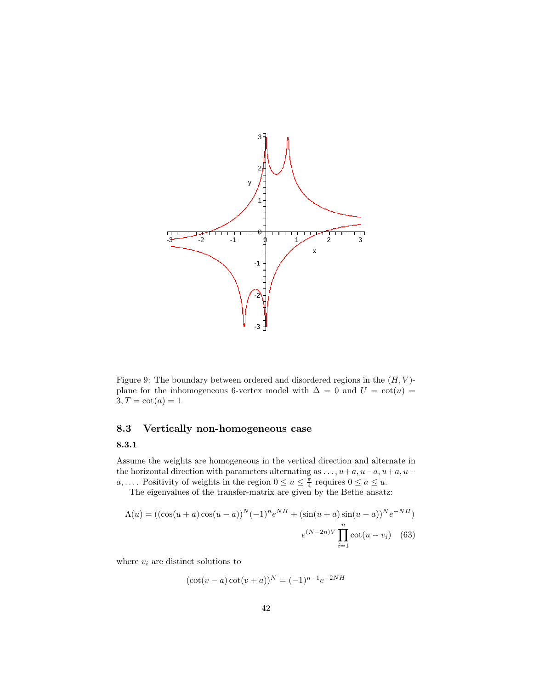

<span id="page-41-0"></span>Figure 9: The boundary between ordered and disordered regions in the  $(H, V)$ plane for the inhomogeneous 6-vertex model with  $\Delta = 0$  and  $U = \cot(u) =$  $3, T = \cot(a) = 1$ 

# 8.3 Vertically non-homogeneous case

# 8.3.1

Assume the weights are homogeneous in the vertical direction and alternate in the horizontal direction with parameters alternating as  $\dots, u+a, u-a, u+a, u-a$ a, .... Positivity of weights in the region  $0 \le u \le \frac{\pi}{4}$  requires  $0 \le a \le u$ .

The eigenvalues of the transfer-matrix are given by the Bethe ansatz:

$$
\Lambda(u) = ((\cos(u+a)\cos(u-a))^N (-1)^n e^{NH} + (\sin(u+a)\sin(u-a))^N e^{-NH})
$$

$$
e^{(N-2n)V} \prod_{i=1}^n \cot(u-v_i) \quad (63)
$$

where  $v_i$  are distinct solutions to

$$
(\cot(v - a)\cot(v + a))^N = (-1)^{n-1}e^{-2NH}
$$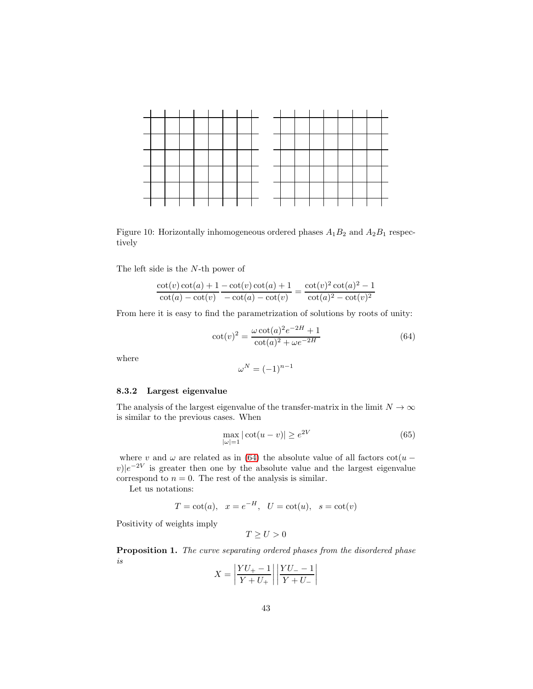

<span id="page-42-0"></span>Figure 10: Horizontally inhomogeneous ordered phases  $A_1B_2$  and  $A_2B_1$  respectively

The left side is the N-th power of

$$
\frac{\cot(v)\cot(a) + 1 - \cot(v)\cot(a) + 1}{\cot(a) - \cot(v)} = \frac{\cot(v)^2 \cot(a)^2 - 1}{\cot(a)^2 - \cot(v)^2}
$$

From here it is easy to find the parametrization of solutions by roots of unity:

<span id="page-42-1"></span>
$$
\cot(v)^2 = \frac{\omega \cot(a)^2 e^{-2H} + 1}{\cot(a)^2 + \omega e^{-2H}}
$$
(64)

where

$$
\omega^N = (-1)^{n-1}
$$

### 8.3.2 Largest eigenvalue

The analysis of the largest eigenvalue of the transfer-matrix in the limit  $N \to \infty$ is similar to the previous cases. When

$$
\max_{|\omega|=1} |\cot(u-v)| \ge e^{2V} \tag{65}
$$

where v and  $\omega$  are related as in [\(64\)](#page-42-1) the absolute value of all factors  $\cot(u (v)|e^{-2V}$  is greater then one by the absolute value and the largest eigenvalue correspond to  $n = 0$ . The rest of the analysis is similar.

Let us notations:

$$
T = \cot(a), \quad x = e^{-H}, \quad U = \cot(u), \quad s = \cot(v)
$$

Positivity of weights imply

$$
T \ge U > 0
$$

Proposition 1. The curve separating ordered phases from the disordered phase is and the  $\mathbf{r}$ 

$$
X = \left| \frac{YU_{+} - 1}{Y + U_{+}} \right| \left| \frac{YU_{-} - 1}{Y + U_{-}} \right|
$$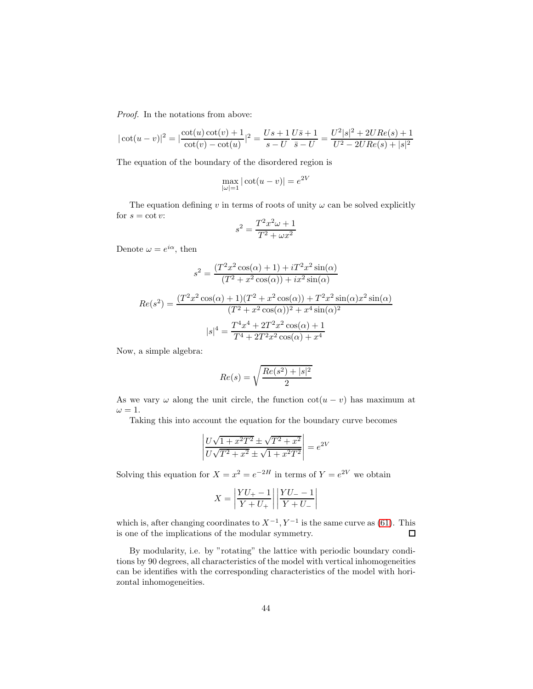Proof. In the notations from above:

$$
|\cot(u - v)|^2 = \left|\frac{\cot(u)\cot(v) + 1}{\cot(v) - \cot(u)}\right|^2 = \frac{Us + 1}{s - U}\frac{U\overline{s} + 1}{\overline{s} - U} = \frac{U^2|s|^2 + 2URe(s) + 1}{U^2 - 2URe(s) + |s|^2}
$$

The equation of the boundary of the disordered region is

$$
\max_{|\omega|=1} |\cot(u-v)| = e^{2V}
$$

The equation defining  $v$  in terms of roots of unity  $\omega$  can be solved explicitly for  $s = \cot v$ :  $\overline{a}$ 

$$
s^2 = \frac{T^2 x^2 \omega + 1}{T^2 + \omega x^2}
$$

Denote  $\omega = e^{i\alpha}$ , then

$$
s^{2} = \frac{(T^{2}x^{2}\cos(\alpha) + 1) + iT^{2}x^{2}\sin(\alpha)}{(T^{2} + x^{2}\cos(\alpha)) + ix^{2}\sin(\alpha)}
$$

$$
Re(s^{2}) = \frac{(T^{2}x^{2}\cos(\alpha) + 1)(T^{2} + x^{2}\cos(\alpha)) + T^{2}x^{2}\sin(\alpha)x^{2}\sin(\alpha)}{(T^{2} + x^{2}\cos(\alpha))^{2} + x^{4}\sin(\alpha)^{2}}
$$

$$
|s|^{4} = \frac{T^{4}x^{4} + 2T^{2}x^{2}\cos(\alpha) + 1}{T^{4} + 2T^{2}x^{2}\cos(\alpha) + x^{4}}
$$

Now, a simple algebra:

$$
Re(s)=\sqrt{\frac{Re(s^2)+|s|^2}{2}}
$$

As we vary  $\omega$  along the unit circle, the function  $\cot(u - v)$  has maximum at  $\omega = 1.$ 

Taking this into account the equation for the boundary curve becomes

$$
\left| \frac{U\sqrt{1+x^2T^2} \pm \sqrt{T^2+x^2}}{U\sqrt{T^2+x^2} \pm \sqrt{1+x^2T^2}} \right| = e^{2V}
$$

Solving this equation for  $X = x^2 = e^{-2H}$  in terms of  $Y = e^{2V}$  we obtain

$$
X=\left|\frac{YU_{+}-1}{Y+U_{+}}\right|\left|\frac{YU_{-}-1}{Y+U_{-}}\right|
$$

which is, after changing coordinates to  $X^{-1}$ ,  $Y^{-1}$  is the same curve as [\(61\)](#page-39-0). This is one of the implications of the modular symmetry.  $\Box$ 

By modularity, i.e. by "rotating" the lattice with periodic boundary conditions by 90 degrees, all characteristics of the model with vertical inhomogeneities can be identifies with the corresponding characteristics of the model with horizontal inhomogeneities.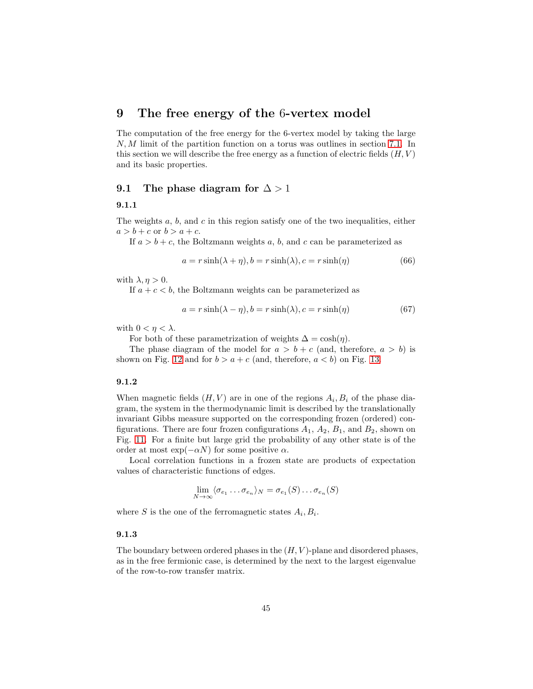# 9 The free energy of the 6-vertex model

The computation of the free energy for the 6-vertex model by taking the large N, M limit of the partition function on a torus was outlines in section [7.1.](#page-35-0) In this section we will describe the free energy as a function of electric fields  $(H, V)$ and its basic properties.

### 9.1 The phase diagram for  $\Delta > 1$

#### 9.1.1

The weights  $a, b$ , and  $c$  in this region satisfy one of the two inequalities, either  $a > b + c$  or  $b > a + c$ .

If  $a > b + c$ , the Boltzmann weights a, b, and c can be parameterized as

<span id="page-44-0"></span>
$$
a = r \sinh(\lambda + \eta), b = r \sinh(\lambda), c = r \sinh(\eta)
$$
\n(66)

with  $\lambda, \eta > 0$ .

If  $a + c < b$ , the Boltzmann weights can be parameterized as

<span id="page-44-1"></span>
$$
a = r \sinh(\lambda - \eta), b = r \sinh(\lambda), c = r \sinh(\eta)
$$
\n(67)

with  $0 < \eta < \lambda$ .

For both of these parametrization of weights  $\Delta = \cosh(\eta)$ .

The phase diagram of the model for  $a > b + c$  (and, therefore,  $a > b$ ) is shown on Fig. [12](#page-46-0) and for  $b > a + c$  (and, therefore,  $a < b$ ) on Fig. [13.](#page-47-0)

### 9.1.2

When magnetic fields  $(H, V)$  are in one of the regions  $A_i, B_i$  of the phase diagram, the system in the thermodynamic limit is described by the translationally invariant Gibbs measure supported on the corresponding frozen (ordered) configurations. There are four frozen configurations  $A_1$ ,  $A_2$ ,  $B_1$ , and  $B_2$ , shown on Fig. [11.](#page-45-0) For a finite but large grid the probability of any other state is of the order at most  $\exp(-\alpha N)$  for some positive  $\alpha$ .

Local correlation functions in a frozen state are products of expectation values of characteristic functions of edges.

$$
\lim_{N \to \infty} \langle \sigma_{e_1} \dots \sigma_{e_n} \rangle_N = \sigma_{e_1}(S) \dots \sigma_{e_n}(S)
$$

where S is the one of the ferromagnetic states  $A_i, B_i$ .

#### 9.1.3

The boundary between ordered phases in the  $(H, V)$ -plane and disordered phases, as in the free fermionic case, is determined by the next to the largest eigenvalue of the row-to-row transfer matrix.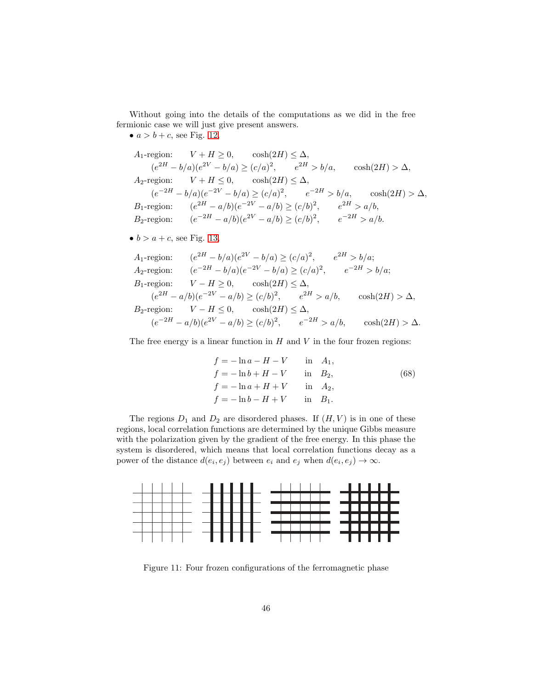Without going into the details of the computations as we did in the free fermionic case we will just give present answers.

•  $a > b + c$ , see Fig. [12,](#page-46-0)

*A*<sub>1</sub>-region: 
$$
V + H \ge 0
$$
,  $\cosh(2H) \le \Delta$ ,  
\n $(e^{2H} - b/a)(e^{2V} - b/a) \ge (c/a)^2$ ,  $e^{2H} > b/a$ ,  $\cosh(2H) > \Delta$ ,  
\n*A*<sub>2</sub>-region:  $V + H \le 0$ ,  $\cosh(2H) \le \Delta$ ,  
\n $(e^{-2H} - b/a)(e^{-2V} - b/a) \ge (c/a)^2$ ,  $e^{-2H} > b/a$ ,  $\cosh(2H) > \Delta$ ,  
\n*B*<sub>1</sub>-region:  $(e^{2H} - a/b)(e^{-2V} - a/b) \ge (c/b)^2$ ,  $e^{2H} > a/b$ ,  
\n*B*<sub>2</sub>-region:  $(e^{-2H} - a/b)(e^{2V} - a/b) \ge (c/b)^2$ ,  $e^{-2H} > a/b$ .

• 
$$
b > a + c
$$
, see Fig. 13,

*A*<sub>1</sub>-region: 
$$
(e^{2H} - b/a)(e^{2V} - b/a) \ge (c/a)^2
$$
,  $e^{2H} > b/a$ ;  
\n*A*<sub>2</sub>-region:  $(e^{-2H} - b/a)(e^{-2V} - b/a) \ge (c/a)^2$ ,  $e^{-2H} > b/a$ ;  
\n*B*<sub>1</sub>-region:  $V - H \ge 0$ ,  $\cosh(2H) \le \Delta$ ,  
\n $(e^{2H} - a/b)(e^{-2V} - a/b) \ge (c/b)^2$ ,  $e^{2H} > a/b$ ,  $\cosh(2H) > \Delta$ ,  
\n*B*<sub>2</sub>-region:  $V - H \le 0$ ,  $\cosh(2H) \le \Delta$ ,  
\n $(e^{-2H} - a/b)(e^{2V} - a/b) \ge (c/b)^2$ ,  $e^{-2H} > a/b$ ,  $\cosh(2H) > \Delta$ .

The free energy is a linear function in  $H$  and  $V$  in the four frozen regions:

<span id="page-45-1"></span>
$$
f = -\ln a - H - V \quad \text{in} \quad A_1, \nf = -\ln b + H - V \quad \text{in} \quad B_2, \nf = -\ln a + H + V \quad \text{in} \quad A_2, \nf = -\ln b - H + V \quad \text{in} \quad B_1.
$$
\n(68)

The regions  $D_1$  and  $D_2$  are disordered phases. If  $(H, V)$  is in one of these regions, local correlation functions are determined by the unique Gibbs measure with the polarization given by the gradient of the free energy. In this phase the system is disordered, which means that local correlation functions decay as a power of the distance  $d(e_i, e_j)$  between  $e_i$  and  $e_j$  when  $d(e_i, e_j) \to \infty$ .



<span id="page-45-0"></span>Figure 11: Four frozen configurations of the ferromagnetic phase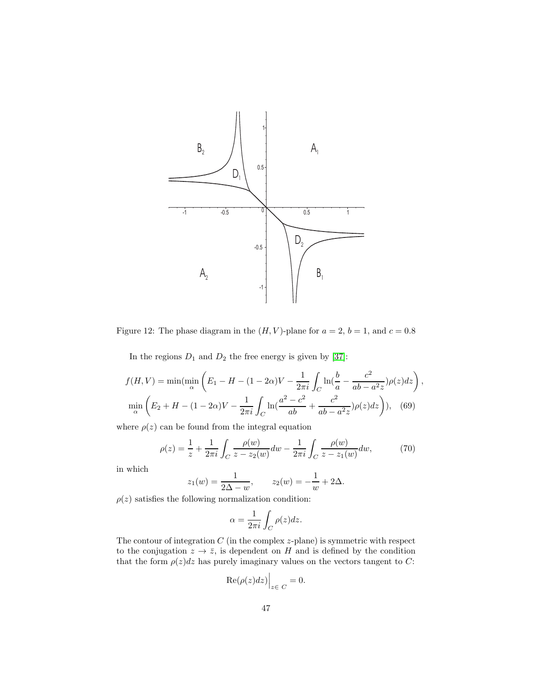

Figure 12: The phase diagram in the  $(H, V)$ -plane for  $a = 2$ ,  $b = 1$ , and  $c = 0.8$ 

<span id="page-46-0"></span>In the regions  $D_1$  and  $D_2$  the free energy is given by [\[37\]](#page-73-2):

$$
f(H, V) = \min(\min_{\alpha} \left( E_1 - H - (1 - 2\alpha)V - \frac{1}{2\pi i} \int_C \ln(\frac{b}{a} - \frac{c^2}{ab - a^2 z})\rho(z)dz \right),
$$
  

$$
\min_{\alpha} \left( E_2 + H - (1 - 2\alpha)V - \frac{1}{2\pi i} \int_C \ln(\frac{a^2 - c^2}{ab} + \frac{c^2}{ab - a^2 z})\rho(z)dz \right), \quad (69)
$$

where  $\rho(z)$  can be found from the integral equation

<span id="page-46-2"></span>
$$
\rho(z) = \frac{1}{z} + \frac{1}{2\pi i} \int_C \frac{\rho(w)}{z - z_2(w)} dw - \frac{1}{2\pi i} \int_C \frac{\rho(w)}{z - z_1(w)} dw, \tag{70}
$$

in which

$$
z_1(w) = \frac{1}{2\Delta - w}, \qquad z_2(w) = -\frac{1}{w} + 2\Delta.
$$

 $\rho(z)$  satisfies the following normalization condition:

<span id="page-46-1"></span>
$$
\alpha = \frac{1}{2\pi i} \int_C \rho(z) dz.
$$

The contour of integration  $C$  (in the complex  $z$ -plane) is symmetric with respect to the conjugation  $z \to \bar{z}$ , is dependent on H and is defined by the condition that the form  $\rho(z)dz$  has purely imaginary values on the vectors tangent to C:

$$
\left. \text{Re}(\rho(z)dz) \right|_{z \in C} = 0.
$$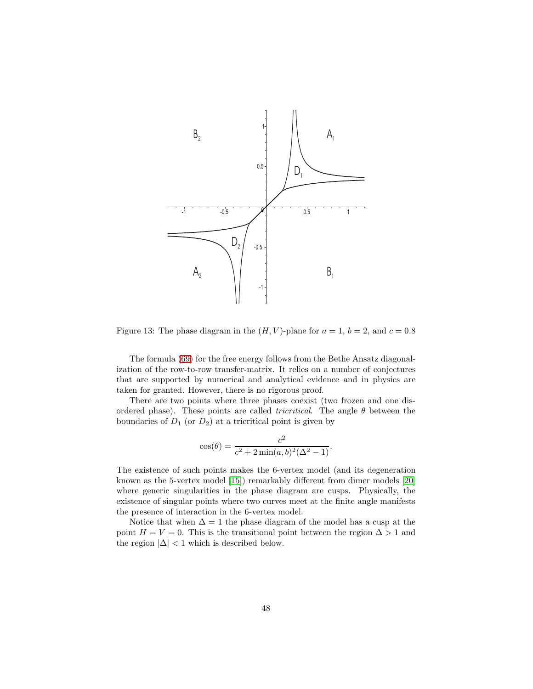

<span id="page-47-0"></span>Figure 13: The phase diagram in the  $(H, V)$ -plane for  $a = 1$ ,  $b = 2$ , and  $c = 0.8$ 

The formula [\(69\)](#page-46-1) for the free energy follows from the Bethe Ansatz diagonalization of the row-to-row transfer-matrix. It relies on a number of conjectures that are supported by numerical and analytical evidence and in physics are taken for granted. However, there is no rigorous proof.

There are two points where three phases coexist (two frozen and one disordered phase). These points are called *tricritical*. The angle  $\theta$  between the boundaries of  $D_1$  (or  $D_2$ ) at a tricritical point is given by

$$
\cos(\theta) = \frac{c^2}{c^2 + 2\min(a, b)^2(\Delta^2 - 1)}.
$$

The existence of such points makes the 6-vertex model (and its degeneration known as the 5-vertex model [\[15\]](#page-71-1)) remarkably different from dimer models [\[20\]](#page-72-0) where generic singularities in the phase diagram are cusps. Physically, the existence of singular points where two curves meet at the finite angle manifests the presence of interaction in the 6-vertex model.

Notice that when  $\Delta = 1$  the phase diagram of the model has a cusp at the point  $H = V = 0$ . This is the transitional point between the region  $\Delta > 1$  and the region  $|\Delta|$  < 1 which is described below.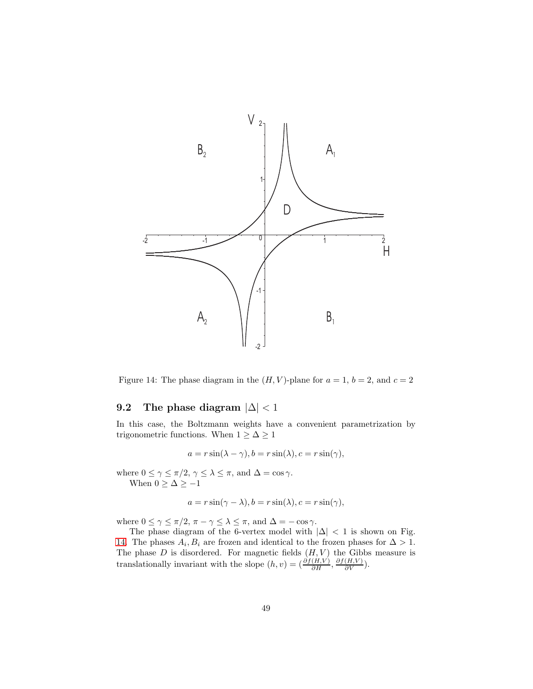

<span id="page-48-0"></span>Figure 14: The phase diagram in the  $(H, V)$ -plane for  $a = 1, b = 2$ , and  $c = 2$ 

# 9.2 The phase diagram  $|\Delta| < 1$

In this case, the Boltzmann weights have a convenient parametrization by trigonometric functions. When  $1 \geq \Delta \geq 1$ 

$$
a = r\sin(\lambda - \gamma), b = r\sin(\lambda), c = r\sin(\gamma),
$$

where  $0 \le \gamma \le \pi/2$ ,  $\gamma \le \lambda \le \pi$ , and  $\Delta = \cos \gamma$ . When  $0 \geq \Delta \geq -1$ 

$$
a = r\sin(\gamma - \lambda), b = r\sin(\lambda), c = r\sin(\gamma),
$$

where  $0 \leq \gamma \leq \pi/2$ ,  $\pi - \gamma \leq \lambda \leq \pi$ , and  $\Delta = -\cos \gamma$ .

The phase diagram of the 6-vertex model with  $|\Delta|$  < 1 is shown on Fig. [14.](#page-48-0) The phases  $A_i, B_i$  are frozen and identical to the frozen phases for  $\Delta > 1$ . The phase  $D$  is disordered. For magnetic fields  $(H, V)$  the Gibbs measure is translationally invariant with the slope  $(h, v) = \left(\frac{\partial f(H, V)}{\partial H}, \frac{\partial f(H, V)}{\partial V}\right)$ .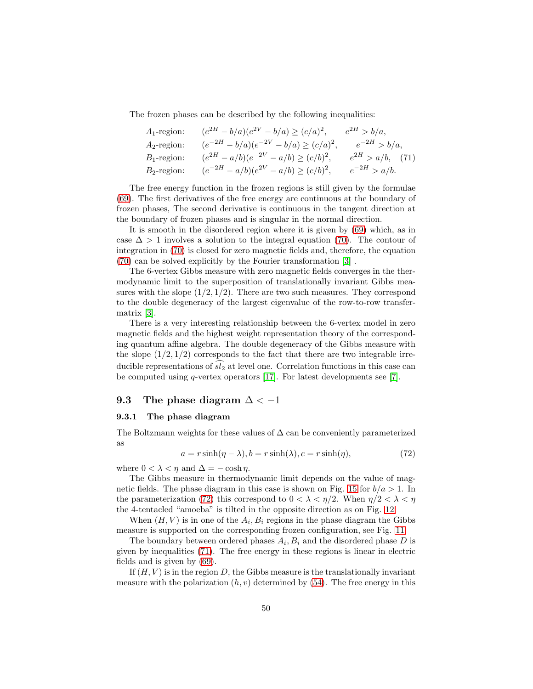The frozen phases can be described by the following inequalities:

<span id="page-49-1"></span>

| $A_1$ -region: | $(e^{2H} - b/a)(e^{2V} - b/a) \ge (c/a)^2$ ,   | $e^{2H} > b/a$ ,      |
|----------------|------------------------------------------------|-----------------------|
| $A_2$ -region: | $(e^{-2H} - b/a)(e^{-2V} - b/a) \ge (c/a)^2$ , | $e^{-2H} > b/a,$      |
| $B_1$ -region: | $(e^{2H} - a/b)(e^{-2V} - a/b) \ge (c/b)^2$ ,  | $e^{2H} > a/b$ , (71) |
| $B_2$ -region: | $(e^{-2H} - a/b)(e^{2V} - a/b) \ge (c/b)^2$ ,  | $e^{-2H} > a/b.$      |

The free energy function in the frozen regions is still given by the formulae [\(69\)](#page-45-1). The first derivatives of the free energy are continuous at the boundary of frozen phases, The second derivative is continuous in the tangent direction at the boundary of frozen phases and is singular in the normal direction.

It is smooth in the disordered region where it is given by [\(69\)](#page-46-1) which, as in case  $\Delta > 1$  involves a solution to the integral equation [\(70\)](#page-46-2). The contour of integration in [\(70\)](#page-46-2) is closed for zero magnetic fields and, therefore, the equation [\(70\)](#page-46-2) can be solved explicitly by the Fourier transformation [\[3\]](#page-70-0) .

The 6-vertex Gibbs measure with zero magnetic fields converges in the thermodynamic limit to the superposition of translationally invariant Gibbs measures with the slope  $(1/2, 1/2)$ . There are two such measures. They correspond to the double degeneracy of the largest eigenvalue of the row-to-row transfermatrix [\[3\]](#page-70-0).

There is a very interesting relationship between the 6-vertex model in zero magnetic fields and the highest weight representation theory of the corresponding quantum affine algebra. The double degeneracy of the Gibbs measure with the slope  $(1/2, 1/2)$  corresponds to the fact that there are two integrable irreducible representations of  $sl_2$  at level one. Correlation functions in this case can be computed using q-vertex operators [\[17\]](#page-71-2). For latest developments see [\[7\]](#page-71-3).

#### 9.3 The phase diagram  $\Delta < -1$

#### 9.3.1 The phase diagram

The Boltzmann weights for these values of  $\Delta$  can be conveniently parameterized as

<span id="page-49-0"></span>
$$
a = r \sinh(\eta - \lambda), b = r \sinh(\lambda), c = r \sinh(\eta),
$$
\n(72)

where  $0 < \lambda < \eta$  and  $\Delta = -\cosh \eta$ .

The Gibbs measure in thermodynamic limit depends on the value of mag-netic fields. The phase diagram in this case is shown on Fig. [15](#page-50-0) for  $b/a > 1$ . In the parameterization [\(72\)](#page-49-0) this correspond to  $0 < \lambda < \eta/2$ . When  $\eta/2 < \lambda < \eta$ the 4-tentacled "amoeba" is tilted in the opposite direction as on Fig. [12.](#page-46-0)

When  $(H, V)$  is in one of the  $A_i, B_i$  regions in the phase diagram the Gibbs measure is supported on the corresponding frozen configuration, see Fig. [11.](#page-45-0)

The boundary between ordered phases  $A_i, B_i$  and the disordered phase D is given by inequalities [\(71\)](#page-49-1). The free energy in these regions is linear in electric fields and is given by [\(69\)](#page-45-1).

If  $(H, V)$  is in the region D, the Gibbs measure is the translationally invariant measure with the polarization  $(h, v)$  determined by  $(54)$ . The free energy in this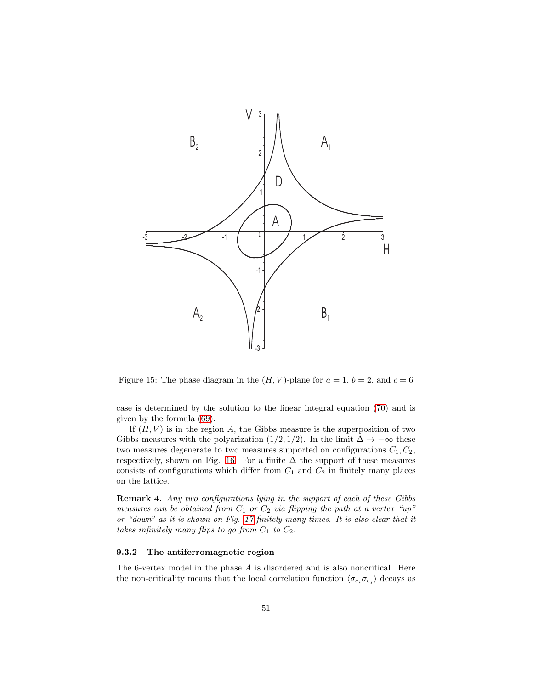

<span id="page-50-0"></span>Figure 15: The phase diagram in the  $(H, V)$ -plane for  $a = 1$ ,  $b = 2$ , and  $c = 6$ 

case is determined by the solution to the linear integral equation [\(70\)](#page-46-2) and is given by the formula [\(69\)](#page-46-1).

If  $(H, V)$  is in the region A, the Gibbs measure is the superposition of two Gibbs measures with the polyarization (1/2, 1/2). In the limit  $\Delta \to -\infty$  these two measures degenerate to two measures supported on configurations  $C_1, C_2$ , respectively, shown on Fig. [16.](#page-51-0) For a finite  $\Delta$  the support of these measures consists of configurations which differ from  $C_1$  and  $C_2$  in finitely many places on the lattice.

Remark 4. Any two configurations lying in the support of each of these Gibbs measures can be obtained from  $C_1$  or  $C_2$  via flipping the path at a vertex "up" or "down" as it is shown on Fig. [17](#page-52-0) finitely many times. It is also clear that it takes infinitely many flips to go from  $C_1$  to  $C_2$ .

#### 9.3.2 The antiferromagnetic region

The 6-vertex model in the phase A is disordered and is also noncritical. Here the non-criticality means that the local correlation function  $\langle \sigma_{e_i} \sigma_{e_j} \rangle$  decays as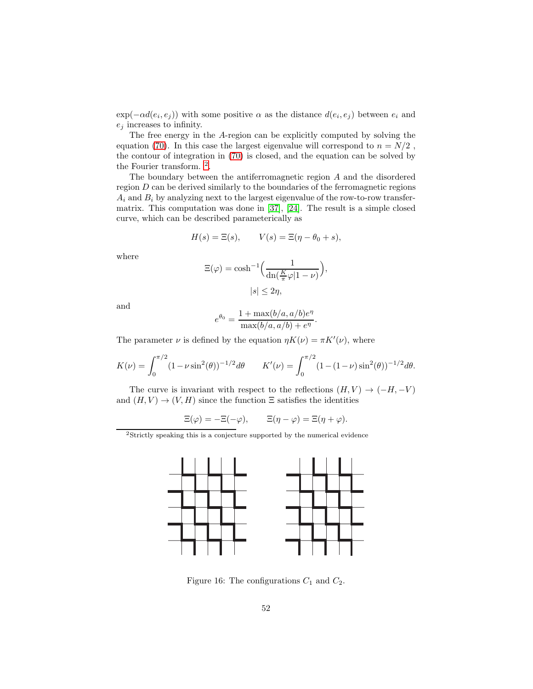$exp(-\alpha d(e_i, e_j))$  with some positive  $\alpha$  as the distance  $d(e_i, e_j)$  between  $e_i$  and  $e_i$  increases to infinity.

The free energy in the A-region can be explicitly computed by solving the equation [\(70\)](#page-46-2). In this case the largest eigenvalue will correspond to  $n = N/2$ , the contour of integration in [\(70\)](#page-46-2) is closed, and the equation can be solved by the Fourier transform. [2](#page-51-1) .

The boundary between the antiferromagnetic region A and the disordered region  $D$  can be derived similarly to the boundaries of the ferromagnetic regions  $A_i$  and  $B_i$  by analyzing next to the largest eigenvalue of the row-to-row transfermatrix. This computation was done in [\[37\]](#page-73-2), [\[24\]](#page-72-1). The result is a simple closed curve, which can be described parameterically as

$$
H(s) = \Xi(s), \qquad V(s) = \Xi(\eta - \theta_0 + s),
$$

where

$$
\Xi(\varphi) = \cosh^{-1}\left(\frac{1}{\mathrm{dn}(\frac{K}{\pi}\varphi|1-\nu)}\right),
$$
  

$$
|s| \le 2\eta,
$$

and

$$
e^{\theta_0} = \frac{1 + \max(b/a, a/b)e^{\eta}}{\max(b/a, a/b) + e^{\eta}}.
$$

The parameter  $\nu$  is defined by the equation  $\eta K(\nu) = \pi K'(\nu)$ , where

$$
K(\nu) = \int_0^{\pi/2} (1 - \nu \sin^2(\theta))^{-1/2} d\theta \qquad K'(\nu) = \int_0^{\pi/2} (1 - (1 - \nu) \sin^2(\theta))^{-1/2} d\theta.
$$

The curve is invariant with respect to the reflections  $(H, V) \rightarrow (-H, -V)$ and  $(H, V) \to (V, H)$  since the function  $\Xi$  satisfies the identities

$$
\Xi(\varphi) = -\Xi(-\varphi), \qquad \Xi(\eta - \varphi) = \Xi(\eta + \varphi).
$$

<span id="page-51-1"></span> ${\rm ^2}$  Strictly speaking this is a conjecture supported by the numerical evidence



<span id="page-51-0"></span>Figure 16: The configurations  $C_1$  and  $C_2$ .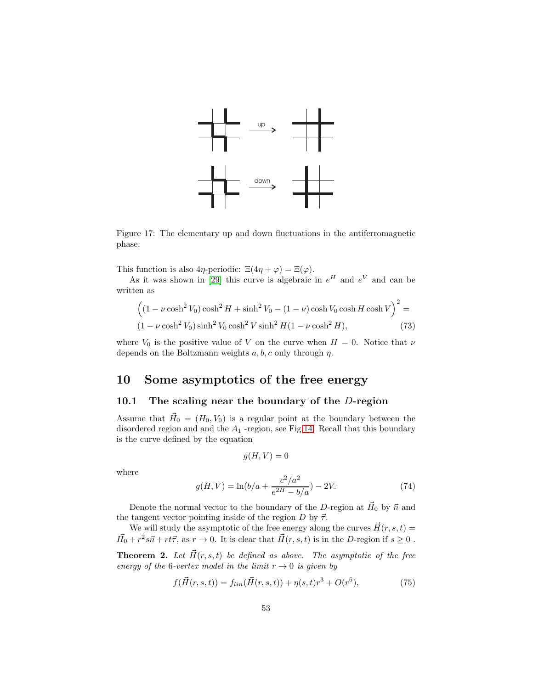

<span id="page-52-0"></span>Figure 17: The elementary up and down fluctuations in the antiferromagnetic phase.

This function is also  $4\eta$ -periodic:  $\Xi(4\eta + \varphi) = \Xi(\varphi)$ .

As it was shown in [\[29\]](#page-72-2) this curve is algebraic in  $e^H$  and  $e^V$  and can be written as

$$
\left( (1 - \nu \cosh^2 V_0) \cosh^2 H + \sinh^2 V_0 - (1 - \nu) \cosh V_0 \cosh H \cosh V \right)^2 =
$$
  

$$
(1 - \nu \cosh^2 V_0) \sinh^2 V_0 \cosh^2 V \sinh^2 H (1 - \nu \cosh^2 H),
$$
 (73)

where  $V_0$  is the positive value of V on the curve when  $H = 0$ . Notice that  $\nu$ depends on the Boltzmann weights  $a, b, c$  only through  $\eta$ .

# 10 Some asymptotics of the free energy

# 10.1 The scaling near the boundary of the  $D$ -region

Assume that  $\vec{H}_0 = (H_0, V_0)$  is a regular point at the boundary between the disordered region and and the  $A_1$  -region, see Fig[.14.](#page-48-0) Recall that this boundary is the curve defined by the equation

$$
g(H, V) = 0
$$

where

<span id="page-52-1"></span>
$$
g(H, V) = \ln(b/a + \frac{c^2/a^2}{e^{2H} - b/a}) - 2V.
$$
 (74)

Denote the normal vector to the boundary of the D-region at  $\vec{H}_0$  by  $\vec{n}$  and the tangent vector pointing inside of the region  $D$  by  $\vec{\tau}$ .

We will study the asymptotic of the free energy along the curves  $\vec{H}(r, s, t) =$  $\vec{H}_0 + r^2 s \vec{n} + r t \vec{\tau}$ , as  $r \to 0$ . It is clear that  $\vec{H}(r, s, t)$  is in the D-region if  $s \ge 0$ .

**Theorem 2.** Let  $\vec{H}(r, s, t)$  be defined as above. The asymptotic of the free energy of the 6-vertex model in the limit  $r \to 0$  is given by

<span id="page-52-2"></span>
$$
f(\vec{H}(r,s,t)) = f_{lin}(\vec{H}(r,s,t)) + \eta(s,t)r^3 + O(r^5),
$$
\n(75)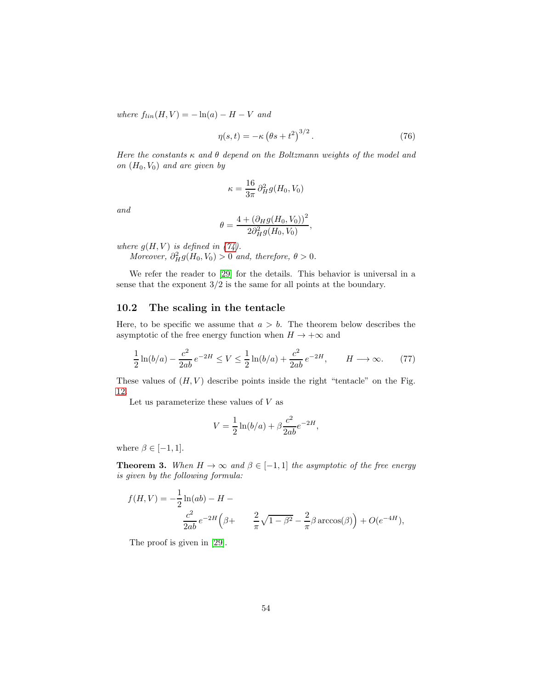where  $f_{lin}(H, V) = -\ln(a) - H - V$  and

$$
\eta(s,t) = -\kappa \left(\theta s + t^2\right)^{3/2}.\tag{76}
$$

Here the constants  $\kappa$  and  $\theta$  depend on the Boltzmann weights of the model and on  $(H_0, V_0)$  and are given by

$$
\kappa = \frac{16}{3\pi} \partial_H^2 g(H_0, V_0)
$$

and

$$
\theta = \frac{4 + (\partial_{H}g(H_0, V_0))^{2}}{2\partial_{H}^{2}g(H_0, V_0)},
$$

where  $g(H, V)$  is defined in [\(74\)](#page-52-1).

Moreover,  $\partial_H^2 g(H_0, V_0) > 0$  and, therefore,  $\theta > 0$ .

We refer the reader to [\[29\]](#page-72-2) for the details. This behavior is universal in a sense that the exponent 3/2 is the same for all points at the boundary.

# 10.2 The scaling in the tentacle

Here, to be specific we assume that  $a > b$ . The theorem below describes the asymptotic of the free energy function when  $H \to +\infty$  and

$$
\frac{1}{2}\ln(b/a) - \frac{c^2}{2ab}e^{-2H} \le V \le \frac{1}{2}\ln(b/a) + \frac{c^2}{2ab}e^{-2H}, \qquad H \longrightarrow \infty.
$$
 (77)

These values of  $(H, V)$  describe points inside the right "tentacle" on the Fig. [12.](#page-46-0)

Let us parameterize these values of  $V$  as

$$
V = \frac{1}{2} \ln(b/a) + \beta \frac{c^2}{2ab} e^{-2H},
$$

where  $\beta \in [-1, 1]$ .

**Theorem 3.** When  $H \to \infty$  and  $\beta \in [-1, 1]$  the asymptotic of the free energy is given by the following formula:

$$
f(H, V) = -\frac{1}{2}\ln(ab) - H - \frac{c^2}{2ab}e^{-2H}(\beta + \frac{2}{\pi}\sqrt{1-\beta^2} - \frac{2}{\pi}\beta \arccos(\beta)) + O(e^{-4H}),
$$

The proof is given in [\[29\]](#page-72-2).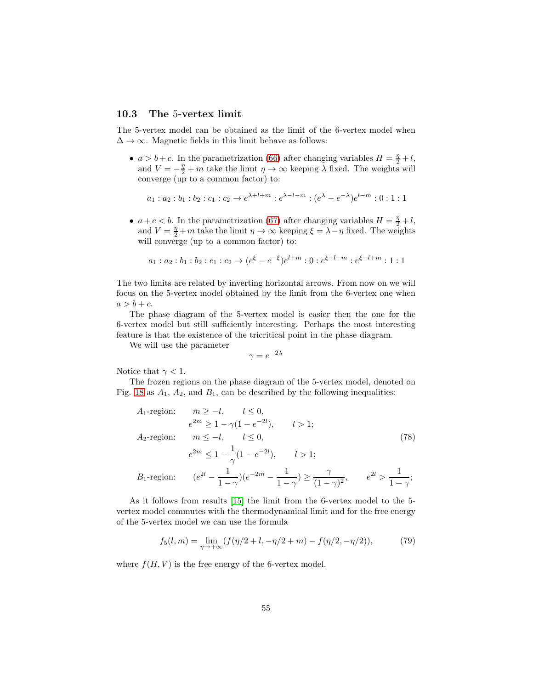# 10.3 The 5-vertex limit

The 5-vertex model can be obtained as the limit of the 6-vertex model when  $\Delta \rightarrow \infty$ . Magnetic fields in this limit behave as follows:

•  $a > b + c$ . In the parametrization [\(66\)](#page-44-0) after changing variables  $H = \frac{\eta}{2} + l$ , and  $V = -\frac{\eta}{2} + m$  take the limit  $\eta \to \infty$  keeping  $\lambda$  fixed. The weights will converge (up to a common factor) to:

$$
a_1: a_2: b_1: b_2: c_1: c_2 \to e^{\lambda + l + m}: e^{\lambda - l - m}: (e^{\lambda} - e^{-\lambda})e^{l - m}: 0: 1: 1
$$

•  $a+c < b$ . In the parametrization [\(67\)](#page-44-1) after changing variables  $H = \frac{\eta}{2} + l$ , and  $V = \frac{\eta}{2} + m$  take the limit  $\eta \to \infty$  keeping  $\xi = \lambda - \eta$  fixed. The weights will converge (up to a common factor) to:

$$
a_1: a_2: b_1: b_2: c_1: c_2 \rightarrow (e^{\xi} - e^{-\xi})e^{l+m}: 0: e^{\xi + l - m}: e^{\xi - l + m}: 1: 1
$$

The two limits are related by inverting horizontal arrows. From now on we will focus on the 5-vertex model obtained by the limit from the 6-vertex one when  $a > b + c$ .

The phase diagram of the 5-vertex model is easier then the one for the 6-vertex model but still sufficiently interesting. Perhaps the most interesting feature is that the existence of the tricritical point in the phase diagram.

We will use the parameter

$$
\gamma = e^{-2\lambda}
$$

Notice that  $\gamma < 1$ .

The frozen regions on the phase diagram of the 5-vertex model, denoted on Fig. [18](#page-55-0) as  $A_1$ ,  $A_2$ , and  $B_1$ , can be described by the following inequalities:

A<sub>1</sub>-region: 
$$
m \ge -l
$$
,  $l \le 0$ ,  
\n $e^{2m} \ge 1 - \gamma(1 - e^{-2l})$ ,  $l > 1$ ;  
\nA<sub>2</sub>-region:  $m \le -l$ ,  $l \le 0$ , (78)  
\n $e^{2m} \le 1 - \frac{1}{\gamma}(1 - e^{-2l})$ ,  $l > 1$ ;  
\nB<sub>1</sub>-region:  $(e^{2l} - \frac{1}{1 - \gamma})(e^{-2m} - \frac{1}{1 - \gamma}) \ge \frac{\gamma}{(1 - \gamma)^2}$ ,  $e^{2l} > \frac{1}{1 - \gamma}$ ;

As it follows from results [\[15\]](#page-71-1) the limit from the 6-vertex model to the 5 vertex model commutes with the thermodynamical limit and for the free energy of the 5-vertex model we can use the formula

$$
f_5(l,m) = \lim_{\eta \to +\infty} (f(\eta/2 + l, -\eta/2 + m) - f(\eta/2, -\eta/2)),\tag{79}
$$

where  $f(H, V)$  is the free energy of the 6-vertex model.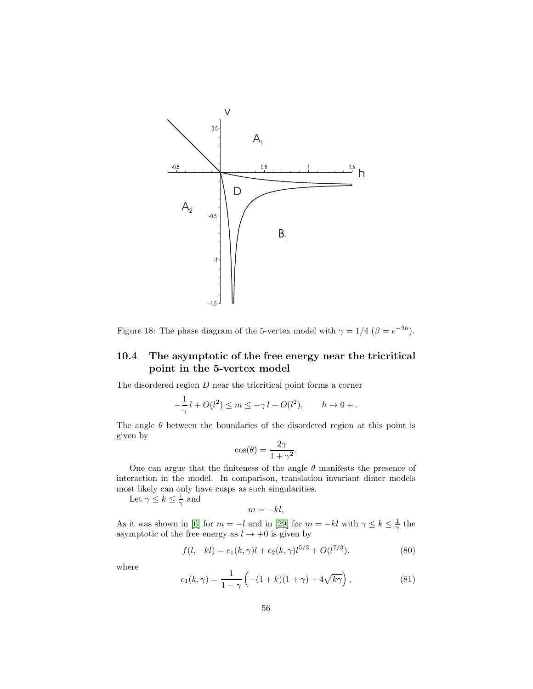

<span id="page-55-0"></span>Figure 18: The phase diagram of the 5-vertex model with  $\gamma = 1/4$  ( $\beta = e^{-2h}$ ).

# 10.4 The asymptotic of the free energy near the tricritical point in the 5-vertex model

The disordered region  $D$  near the tricritical point forms a corner

$$
-\frac{1}{\gamma}l + O(l^2) \le m \le -\gamma l + O(l^2), \qquad h \to 0 + .
$$

The angle  $\theta$  between the boundaries of the disordered region at this point is given by

$$
\cos(\theta) = \frac{2\gamma}{1 + \gamma^2}.
$$

One can argue that the finiteness of the angle  $\theta$  manifests the presence of interaction in the model. In comparison, translation invariant dimer models most likely can only have cusps as such singularities.

Let  $\gamma \leq k \leq \frac{1}{\gamma}$  and

$$
m=-kl,
$$

As it was shown in [\[6\]](#page-71-4) for  $m = -l$  and in [\[29\]](#page-72-2) for  $m = -kl$  with  $\gamma \leq k \leq \frac{1}{\gamma}$  the asymptotic of the free energy as  $l \to +0$  is given by

$$
f(l, -kl) = c_1(k, \gamma)l + c_2(k, \gamma)l^{5/3} + O(l^{7/3}).
$$
\n(80)

where

$$
c_1(k,\gamma) = \frac{1}{1-\gamma} \left( -(1+k)(1+\gamma) + 4\sqrt{k\gamma} \right),
$$
 (81)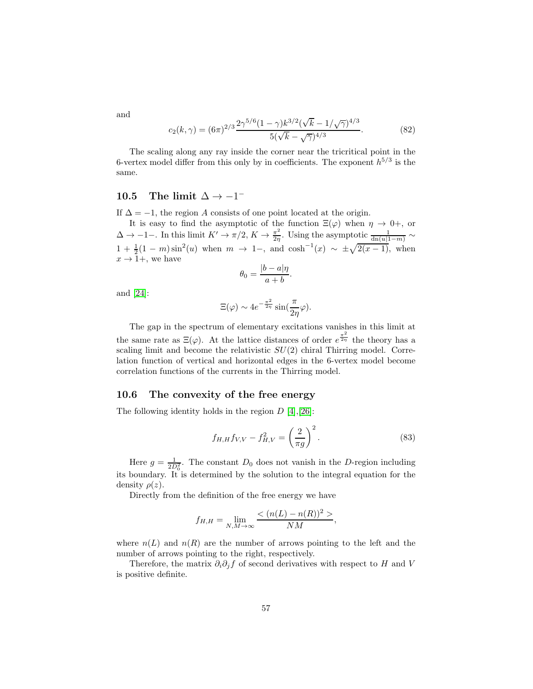and

$$
c_2(k,\gamma) = (6\pi)^{2/3} \frac{2\gamma^{5/6} (1-\gamma) k^{3/2} (\sqrt{k} - 1/\sqrt{\gamma})^{4/3}}{5(\sqrt{k} - \sqrt{\gamma})^{4/3}}.
$$
 (82)

The scaling along any ray inside the corner near the tricritical point in the 6-vertex model differ from this only by in coefficients. The exponent  $h^{5/3}$  is the same.

# 10.5 The limit  $\Delta \rightarrow -1^-$

If  $\Delta = -1$ , the region A consists of one point located at the origin.

It is easy to find the asymptotic of the function  $\Xi(\varphi)$  when  $\eta \to 0^+$ , or  $\Delta \to -1-$ . In this limit  $K' \to \pi/2$ ,  $K \to \frac{\pi^2}{2\eta}$  $\frac{\pi^2}{2\eta}$ . Using the asymptotic  $\frac{1}{\text{dn}(u|1-m)} \sim$  $1 + \frac{1}{2}(1 - m)\sin^2(u)$  when  $m \to 1$ -, and  $\cosh^{-1}(x) \sim \pm \sqrt{2(x - 1)}$ , when  $x \to 1+$ , we have

$$
\theta_0 = \frac{|b - a|\eta}{a + b}.
$$

and [\[24\]](#page-72-1):

$$
\Xi(\varphi) \sim 4e^{-\frac{\pi^2}{2\eta}}\sin(\frac{\pi}{2\eta}\varphi).
$$

The gap in the spectrum of elementary excitations vanishes in this limit at the same rate as  $\Xi(\varphi)$ . At the lattice distances of order  $e^{\frac{\pi^2}{2\eta}}$  the theory has a scaling limit and become the relativistic  $SU(2)$  chiral Thirring model. Correlation function of vertical and horizontal edges in the 6-vertex model become correlation functions of the currents in the Thirring model.

### 10.6 The convexity of the free energy

The following identity holds in the region  $D$  [\[4\]](#page-70-1),[\[26\]](#page-72-3):

$$
f_{H,H}f_{V,V} - f_{H,V}^2 = \left(\frac{2}{\pi g}\right)^2.
$$
 (83)

Here  $g = \frac{1}{2D_0^2}$ . The constant  $D_0$  does not vanish in the D-region including its boundary. It is determined by the solution to the integral equation for the density  $\rho(z)$ .

Directly from the definition of the free energy we have

$$
f_{H,H} = \lim_{N,M \to \infty} \frac{\langle (n(L) - n(R))^{2} \rangle}{NM},
$$

where  $n(L)$  and  $n(R)$  are the number of arrows pointing to the left and the number of arrows pointing to the right, respectively.

Therefore, the matrix  $\partial_i \partial_j f$  of second derivatives with respect to H and V is positive definite.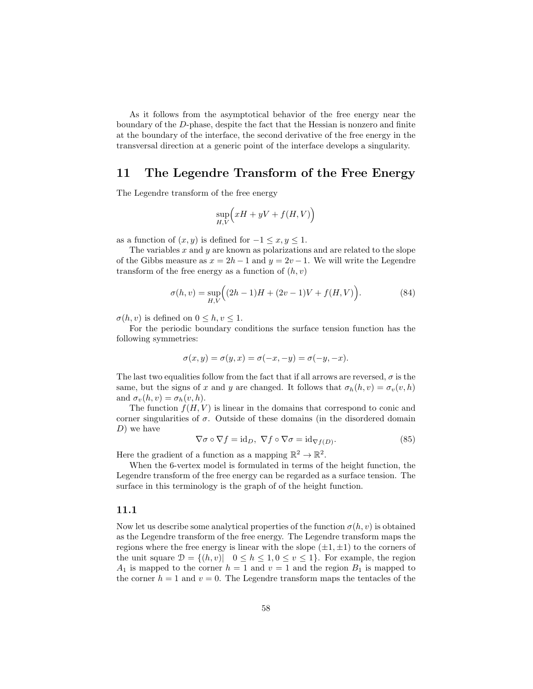As it follows from the asymptotical behavior of the free energy near the boundary of the D-phase, despite the fact that the Hessian is nonzero and finite at the boundary of the interface, the second derivative of the free energy in the transversal direction at a generic point of the interface develops a singularity.

# 11 The Legendre Transform of the Free Energy

The Legendre transform of the free energy

$$
\sup_{H,V}\Bigl(xH+yV+f(H,V)\Bigr)
$$

as a function of  $(x, y)$  is defined for  $-1 \le x, y \le 1$ .

The variables  $x$  and  $y$  are known as polarizations and are related to the slope of the Gibbs measure as  $x = 2h - 1$  and  $y = 2v - 1$ . We will write the Legendre transform of the free energy as a function of  $(h, v)$ 

$$
\sigma(h, v) = \sup_{H, V} \Big( (2h - 1)H + (2v - 1)V + f(H, V) \Big). \tag{84}
$$

 $\sigma(h, v)$  is defined on  $0 \leq h, v \leq 1$ .

For the periodic boundary conditions the surface tension function has the following symmetries:

$$
\sigma(x,y) = \sigma(y,x) = \sigma(-x,-y) = \sigma(-y,-x).
$$

The last two equalities follow from the fact that if all arrows are reversed,  $\sigma$  is the same, but the signs of x and y are changed. It follows that  $\sigma_h(h, v) = \sigma_v(v, h)$ and  $\sigma_v(h, v) = \sigma_h(v, h)$ .

The function  $f(H, V)$  is linear in the domains that correspond to conic and corner singularities of  $\sigma$ . Outside of these domains (in the disordered domain  $D)$  we have

<span id="page-57-0"></span>
$$
\nabla \sigma \circ \nabla f = \mathrm{id}_D, \ \nabla f \circ \nabla \sigma = \mathrm{id}_{\nabla f(D)}.
$$
 (85)

Here the gradient of a function as a mapping  $\mathbb{R}^2 \to \mathbb{R}^2$ .

When the 6-vertex model is formulated in terms of the height function, the Legendre transform of the free energy can be regarded as a surface tension. The surface in this terminology is the graph of of the height function.

#### 11.1

Now let us describe some analytical properties of the function  $\sigma(h, v)$  is obtained as the Legendre transform of the free energy. The Legendre transform maps the regions where the free energy is linear with the slope  $(\pm 1, \pm 1)$  to the corners of the unit square  $\mathcal{D} = \{(h, v) | 0 \leq h \leq 1, 0 \leq v \leq 1\}$ . For example, the region  $A_1$  is mapped to the corner  $h = 1$  and  $v = 1$  and the region  $B_1$  is mapped to the corner  $h = 1$  and  $v = 0$ . The Legendre transform maps the tentacles of the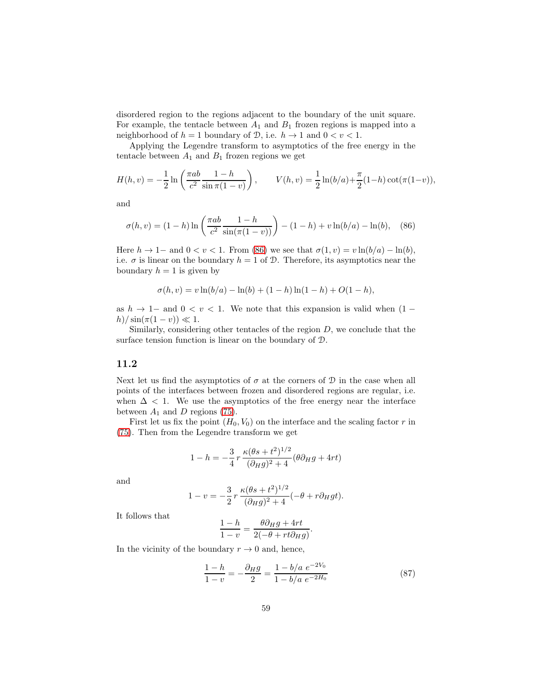disordered region to the regions adjacent to the boundary of the unit square. For example, the tentacle between  $A_1$  and  $B_1$  frozen regions is mapped into a neighborhood of  $h = 1$  boundary of  $D$ , i.e.  $h \to 1$  and  $0 < v < 1$ .

Applying the Legendre transform to asymptotics of the free energy in the tentacle between  $A_1$  and  $B_1$  frozen regions we get

$$
H(h, v) = -\frac{1}{2} \ln \left( \frac{\pi ab}{c^2} \frac{1-h}{\sin \pi (1-v)} \right), \qquad V(h, v) = \frac{1}{2} \ln (b/a) + \frac{\pi}{2} (1-h) \cot(\pi (1-v)),
$$

and

<span id="page-58-0"></span>
$$
\sigma(h, v) = (1 - h) \ln \left( \frac{\pi a b}{c^2} \frac{1 - h}{\sin(\pi(1 - v))} \right) - (1 - h) + v \ln(b/a) - \ln(b), \quad (86)
$$

Here  $h \to 1-$  and  $0 < v < 1$ . From [\(86\)](#page-58-0) we see that  $\sigma(1, v) = v \ln(b/a) - \ln(b)$ . i.e.  $\sigma$  is linear on the boundary  $h = 1$  of D. Therefore, its asymptotics near the boundary  $h = 1$  is given by

$$
\sigma(h, v) = v \ln(b/a) - \ln(b) + (1 - h) \ln(1 - h) + O(1 - h),
$$

as  $h \to 1-$  and  $0 < v < 1$ . We note that this expansion is valid when  $(1$  $h)/\sin(\pi(1-v)) \ll 1.$ 

Similarly, considering other tentacles of the region  $D$ , we conclude that the surface tension function is linear on the boundary of D.

# 11.2

Next let us find the asymptotics of  $\sigma$  at the corners of  $\mathcal D$  in the case when all points of the interfaces between frozen and disordered regions are regular, i.e. when  $\Delta$  < 1. We use the asymptotics of the free energy near the interface between  $A_1$  and D regions [\(75\)](#page-52-2).

First let us fix the point  $(H_0, V_0)$  on the interface and the scaling factor r in [\(75\)](#page-52-2). Then from the Legendre transform we get

$$
1 - h = -\frac{3}{4}r \frac{\kappa(\theta s + t^2)^{1/2}}{(\partial_H g)^2 + 4} (\theta \partial_H g + 4rt)
$$

and

$$
1 - v = -\frac{3}{2} r \frac{\kappa (\theta s + t^2)^{1/2}}{(\partial_H g)^2 + 4} (-\theta + r \partial_H gt).
$$

It follows that

$$
\frac{1-h}{1-v} = \frac{\theta \partial_H g + 4rt}{2(-\theta + rt \partial_H g)}
$$

In the vicinity of the boundary  $r \to 0$  and, hence,

<span id="page-58-1"></span>
$$
\frac{1-h}{1-v} = -\frac{\partial_H g}{2} = \frac{1-b/a \ e^{-2V_0}}{1-b/a \ e^{-2H_0}}
$$
\n(87)

.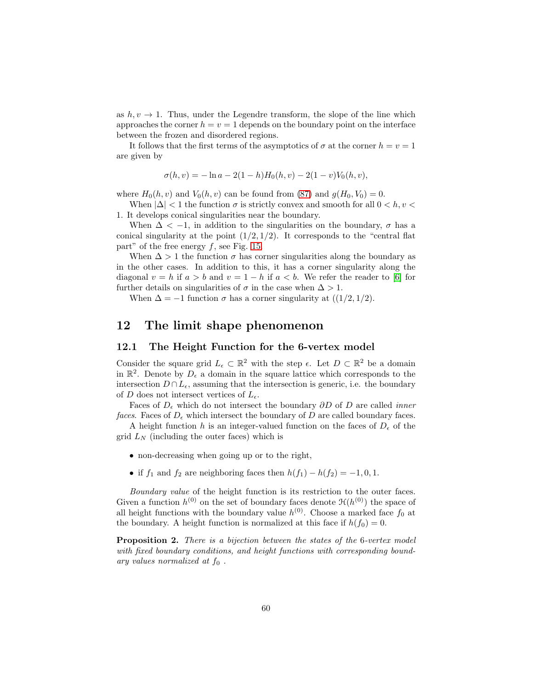as  $h, v \rightarrow 1$ . Thus, under the Legendre transform, the slope of the line which approaches the corner  $h = v = 1$  depends on the boundary point on the interface between the frozen and disordered regions.

It follows that the first terms of the asymptotics of  $\sigma$  at the corner  $h = v = 1$ are given by

$$
\sigma(h, v) = -\ln a - 2(1 - h)H_0(h, v) - 2(1 - v)V_0(h, v),
$$

where  $H_0(h, v)$  and  $V_0(h, v)$  can be found from [\(87\)](#page-58-1) and  $g(H_0, V_0) = 0$ .

When  $|\Delta|$  < 1 the function  $\sigma$  is strictly convex and smooth for all  $0 < h, v <$ 1. It develops conical singularities near the boundary.

When  $\Delta < -1$ , in addition to the singularities on the boundary,  $\sigma$  has a conical singularity at the point  $(1/2, 1/2)$ . It corresponds to the "central flat part" of the free energy  $f$ , see Fig. [15.](#page-50-0)

When  $\Delta > 1$  the function  $\sigma$  has corner singularities along the boundary as in the other cases. In addition to this, it has a corner singularity along the diagonal  $v = h$  if  $a > b$  and  $v = 1 - h$  if  $a < b$ . We refer the reader to [\[6\]](#page-71-4) for further details on singularities of  $\sigma$  in the case when  $\Delta > 1$ .

When  $\Delta = -1$  function  $\sigma$  has a corner singularity at  $((1/2, 1/2))$ .

# 12 The limit shape phenomenon

#### 12.1 The Height Function for the 6-vertex model

Consider the square grid  $L_{\epsilon} \subset \mathbb{R}^2$  with the step  $\epsilon$ . Let  $D \subset \mathbb{R}^2$  be a domain in  $\mathbb{R}^2$ . Denote by  $D_{\epsilon}$  a domain in the square lattice which corresponds to the intersection  $D \cap L_{\epsilon}$ , assuming that the intersection is generic, i.e. the boundary of D does not intersect vertices of  $L_{\epsilon}$ .

Faces of  $D_{\epsilon}$  which do not intersect the boundary  $\partial D$  of D are called *inner* faces. Faces of  $D_{\epsilon}$  which intersect the boundary of D are called boundary faces.

A height function h is an integer-valued function on the faces of  $D_{\epsilon}$  of the grid  $L<sub>N</sub>$  (including the outer faces) which is

- non-decreasing when going up or to the right,
- if  $f_1$  and  $f_2$  are neighboring faces then  $h(f_1) h(f_2) = -1, 0, 1$ .

Boundary value of the height function is its restriction to the outer faces. Given a function  $h^{(0)}$  on the set of boundary faces denote  $\mathcal{H}(h^{(0)})$  the space of all height functions with the boundary value  $h^{(0)}$ . Choose a marked face  $f_0$  at the boundary. A height function is normalized at this face if  $h(f_0) = 0$ .

Proposition 2. There is a bijection between the states of the 6-vertex model with fixed boundary conditions, and height functions with corresponding boundary values normalized at  $f_0$ .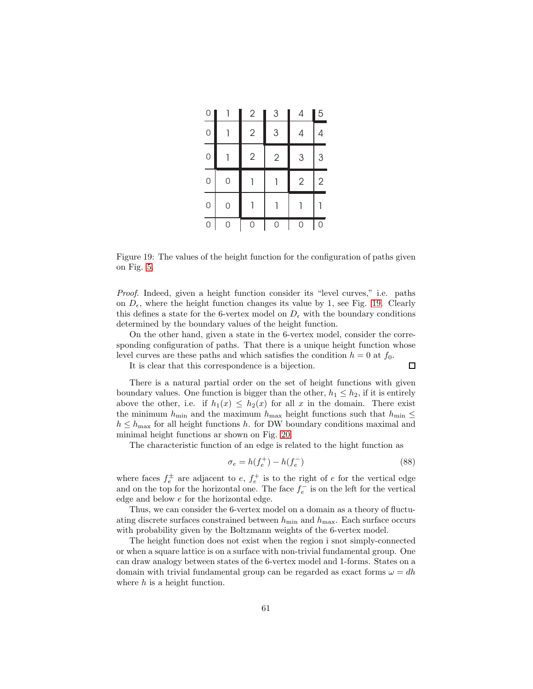| 0              |   | $\mathbf{2}$   | 3          | 4              | 5              |
|----------------|---|----------------|------------|----------------|----------------|
| $\mathbf 0$    |   | $\overline{2}$ | 3          | 4              | 4              |
| $\overline{0}$ |   | $\overline{2}$ | $\sqrt{2}$ | 3              | 3              |
| $\overline{0}$ | 0 |                |            | $\overline{2}$ | $\overline{2}$ |
| $\overline{0}$ | 0 |                |            |                |                |
| $\overline{0}$ | 0 | 0              | 0          | 0              | 0              |

<span id="page-60-0"></span>Figure 19: The values of the height function for the configuration of paths given on Fig. [5.](#page-29-0)

Proof. Indeed, given a height function consider its "level curves," i.e. paths on  $D_{\epsilon}$ , where the height function changes its value by 1, see Fig. [19.](#page-60-0) Clearly this defines a state for the 6-vertex model on  $D_{\epsilon}$  with the boundary conditions determined by the boundary values of the height function.

On the other hand, given a state in the 6-vertex model, consider the corresponding configuration of paths. That there is a unique height function whose level curves are these paths and which satisfies the condition  $h = 0$  at  $f_0$ .

It is clear that this correspondence is a bijection.

There is a natural partial order on the set of height functions with given boundary values. One function is bigger than the other,  $h_1 \leq h_2$ , if it is entirely above the other, i.e. if  $h_1(x) \leq h_2(x)$  for all x in the domain. There exist the minimum  $h_{\min}$  and the maximum  $h_{\max}$  height functions such that  $h_{\min} \leq$  $h \leq h_{\text{max}}$  for all height functions h. for DW boundary conditions maximal and minimal height functions ar shown on Fig. [20.](#page-61-0)

The characteristic function of an edge is related to the hight function as

$$
\sigma_e = h(f_e^+) - h(f_e^-) \tag{88}
$$

 $\Box$ 

where faces  $f_e^{\pm}$  are adjacent to  $e, f_e^{\pm}$  is to the right of e for the vertical edge and on the top for the horizontal one. The face  $f_e^-$  is on the left for the vertical edge and below e for the horizontal edge.

Thus, we can consider the 6-vertex model on a domain as a theory of fluctuating discrete surfaces constrained between  $h_{\min}$  and  $h_{\max}$ . Each surface occurs with probability given by the Boltzmann weights of the 6-vertex model.

The height function does not exist when the region i snot simply-connected or when a square lattice is on a surface with non-trivial fundamental group. One can draw analogy between states of the 6-vertex model and 1-forms. States on a domain with trivial fundamental group can be regarded as exact forms  $\omega = dh$ where  $h$  is a height function.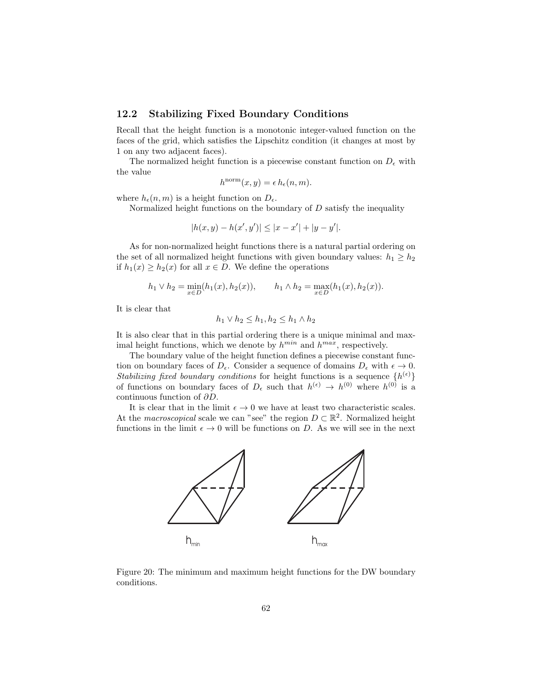# 12.2 Stabilizing Fixed Boundary Conditions

Recall that the height function is a monotonic integer-valued function on the faces of the grid, which satisfies the Lipschitz condition (it changes at most by 1 on any two adjacent faces).

The normalized height function is a piecewise constant function on  $D_{\epsilon}$  with the value

$$
h^{\text{norm}}(x, y) = \epsilon \, h_{\epsilon}(n, m).
$$

where  $h_{\epsilon}(n,m)$  is a height function on  $D_{\epsilon}$ .

Normalized height functions on the boundary of  $D$  satisfy the inequality

$$
|h(x,y) - h(x',y')| \le |x - x'| + |y - y'|.
$$

As for non-normalized height functions there is a natural partial ordering on the set of all normalized height functions with given boundary values:  $h_1 \geq h_2$ if  $h_1(x) \ge h_2(x)$  for all  $x \in D$ . We define the operations

$$
h_1 \vee h_2 = \min_{x \in D} (h_1(x), h_2(x)), \qquad h_1 \wedge h_2 = \max_{x \in D} (h_1(x), h_2(x)).
$$

It is clear that

$$
h_1 \vee h_2 \le h_1, h_2 \le h_1 \wedge h_2
$$

It is also clear that in this partial ordering there is a unique minimal and maximal height functions, which we denote by  $h^{min}$  and  $h^{max}$ , respectively.

The boundary value of the height function defines a piecewise constant function on boundary faces of  $D_{\epsilon}$ . Consider a sequence of domains  $D_{\epsilon}$  with  $\epsilon \to 0$ . Stabilizing fixed boundary conditions for height functions is a sequence  $\{h^{(\epsilon)}\}$ of functions on boundary faces of  $D_{\epsilon}$  such that  $h^{(\epsilon)} \to h^{(0)}$  where  $h^{(0)}$  is a continuous function of ∂D.

It is clear that in the limit  $\epsilon \to 0$  we have at least two characteristic scales. At the *macroscopical* scale we can "see" the region  $D \subset \mathbb{R}^2$ . Normalized height functions in the limit  $\epsilon \to 0$  will be functions on D. As we will see in the next



<span id="page-61-0"></span>Figure 20: The minimum and maximum height functions for the DW boundary conditions.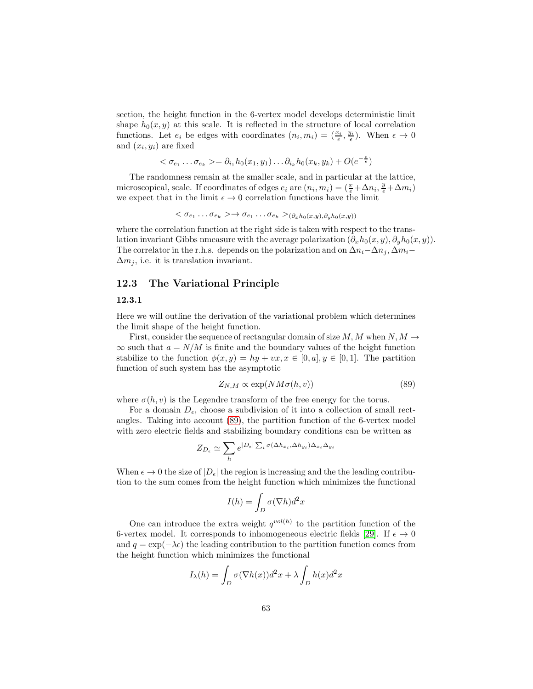section, the height function in the 6-vertex model develops deterministic limit shape  $h_0(x, y)$  at this scale. It is reflected in the structure of local correlation functions. Let  $e_i$  be edges with coordinates  $(n_i, m_i) = (\frac{x_i}{\epsilon}, \frac{y_i}{\epsilon})$ . When  $\epsilon \to 0$ and  $(x_i, y_i)$  are fixed

$$
\langle \sigma_{e_1} \dots \sigma_{e_k} \rangle = \partial_{i_1} h_0(x_1, y_1) \dots \partial_{i_k} h_0(x_k, y_k) + O(e^{-\frac{c}{\epsilon}})
$$

The randomness remain at the smaller scale, and in particular at the lattice, microscopical, scale. If coordinates of edges  $e_i$  are  $(n_i, m_i) = (\frac{x}{\epsilon} + \Delta n_i, \frac{y}{\epsilon} + \Delta m_i)$ we expect that in the limit  $\epsilon \to 0$  correlation functions have the limit

$$
\langle \sigma_{e_1} \dots \sigma_{e_k} \rangle \to \sigma_{e_1} \dots \sigma_{e_k} \rangle_{(\partial_x h_0(x,y), \partial_y h_0(x,y))}
$$

where the correlation function at the right side is taken with respect to the translation invariant Gibbs nmeasure with the average polarization  $(\partial_x h_0(x, y), \partial_y h_0(x, y))$ . The correlator in the r.h.s. depends on the polarization and on  $\Delta n_i-\Delta n_j$ ,  $\Delta m_i \Delta m_i$ , i.e. it is translation invariant.

# 12.3 The Variational Principle

#### 12.3.1

Here we will outline the derivation of the variational problem which determines the limit shape of the height function.

First, consider the sequence of rectangular domain of size M, M when  $N, M \rightarrow$  $\infty$  such that  $a = N/M$  is finite and the boundary values of the height function stabilize to the function  $\phi(x, y) = hy + vx, x \in [0, a], y \in [0, 1]$ . The partition function of such system has the asymptotic

<span id="page-62-0"></span>
$$
Z_{N,M} \propto \exp(NM\sigma(h,v))\tag{89}
$$

where  $\sigma(h, v)$  is the Legendre transform of the free energy for the torus.

For a domain  $D_{\epsilon}$ , choose a subdivision of it into a collection of small rectangles. Taking into account [\(89\)](#page-62-0), the partition function of the 6-vertex model with zero electric fields and stabilizing boundary conditions can be written as

$$
Z_{D_{\epsilon}} \simeq \sum_{h} e^{|D_{\epsilon}| \sum_{i} \sigma(\Delta h_{x_i}, \Delta h_{y_i}) \Delta_{x_i} \Delta_{y_i}}
$$

When  $\epsilon \to 0$  the size of  $|D_{\epsilon}|$  the region is increasing and the the leading contribution to the sum comes from the height function which minimizes the functional

$$
I(h) = \int_D \sigma(\nabla h) d^2x
$$

One can introduce the extra weight  $q^{vol(h)}$  to the partition function of the 6-vertex model. It corresponds to inhomogeneous electric fields [\[29\]](#page-72-2). If  $\epsilon \to 0$ and  $q = \exp(-\lambda \epsilon)$  the leading contribution to the partition function comes from the height function which minimizes the functional

$$
I_{\lambda}(h) = \int_{D} \sigma(\nabla h(x))d^{2}x + \lambda \int_{D} h(x)d^{2}x
$$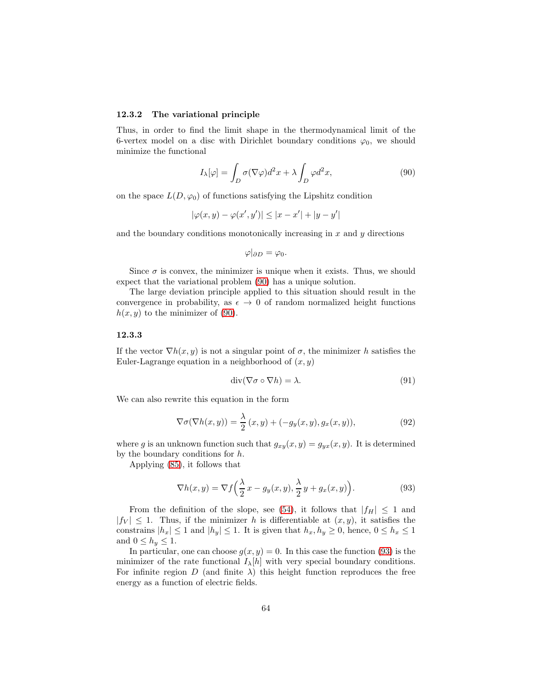#### 12.3.2 The variational principle

Thus, in order to find the limit shape in the thermodynamical limit of the 6-vertex model on a disc with Dirichlet boundary conditions  $\varphi_0$ , we should minimize the functional

<span id="page-63-0"></span>
$$
I_{\lambda}[\varphi] = \int_{D} \sigma(\nabla \varphi) d^{2}x + \lambda \int_{D} \varphi d^{2}x, \qquad (90)
$$

on the space  $L(D, \varphi_0)$  of functions satisfying the Lipshitz condition

$$
|\varphi(x, y) - \varphi(x', y')| \le |x - x'| + |y - y'|
$$

and the boundary conditions monotonically increasing in  $x$  and  $y$  directions

$$
\varphi|_{\partial D}=\varphi_0.
$$

Since  $\sigma$  is convex, the minimizer is unique when it exists. Thus, we should expect that the variational problem [\(90\)](#page-63-0) has a unique solution.

The large deviation principle applied to this situation should result in the convergence in probability, as  $\epsilon \to 0$  of random normalized height functions  $h(x, y)$  to the minimizer of [\(90\)](#page-63-0).

#### 12.3.3

If the vector  $\nabla h(x, y)$  is not a singular point of  $\sigma$ , the minimizer h satisfies the Euler-Lagrange equation in a neighborhood of  $(x, y)$ 

$$
\operatorname{div}(\nabla \sigma \circ \nabla h) = \lambda. \tag{91}
$$

We can also rewrite this equation in the form

$$
\nabla \sigma(\nabla h(x, y)) = \frac{\lambda}{2} (x, y) + (-g_y(x, y), g_x(x, y)), \qquad (92)
$$

where g is an unknown function such that  $g_{xy}(x, y) = g_{yx}(x, y)$ . It is determined by the boundary conditions for  $h$ .

Applying [\(85\)](#page-57-0), it follows that

<span id="page-63-1"></span>
$$
\nabla h(x,y) = \nabla f\left(\frac{\lambda}{2}x - g_y(x,y), \frac{\lambda}{2}y + g_x(x,y)\right).
$$
 (93)

From the definition of the slope, see [\(54\)](#page-35-1), it follows that  $|f_H| \leq 1$  and  $|f_V| \leq 1$ . Thus, if the minimizer h is differentiable at  $(x, y)$ , it satisfies the constrains  $|h_x| \leq 1$  and  $|h_y| \leq 1$ . It is given that  $h_x, h_y \geq 0$ , hence,  $0 \leq h_x \leq 1$ and  $0 \leq h_y \leq 1$ .

In particular, one can choose  $g(x, y) = 0$ . In this case the function [\(93\)](#page-63-1) is the minimizer of the rate functional  $I_{\lambda}[h]$  with very special boundary conditions. For infinite region D (and finite  $\lambda$ ) this height function reproduces the free energy as a function of electric fields.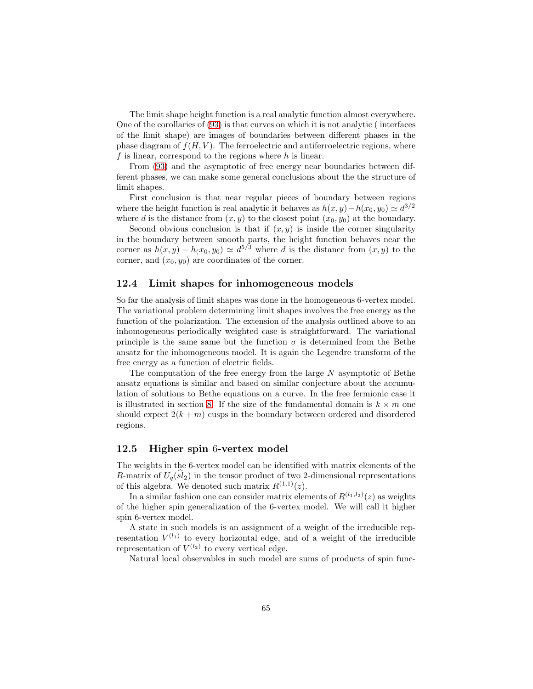The limit shape height function is a real analytic function almost everywhere. One of the corollaries of [\(93\)](#page-63-1) is that curves on which it is not analytic ( interfaces of the limit shape) are images of boundaries between different phases in the phase diagram of  $f(H, V)$ . The ferroelectric and antiferroelectric regions, where f is linear, correspond to the regions where  $h$  is linear.

From [\(93\)](#page-63-1) and the asymptotic of free energy near boundaries between different phases, we can make some general conclusions about the the structure of limit shapes.

First conclusion is that near regular pieces of boundary between regions where the height function is real analytic it behaves as  $h(x, y) - h(x_0, y_0) \simeq d^{3/2}$ where d is the distance from  $(x, y)$  to the closest point  $(x_0, y_0)$  at the boundary.

Second obvious conclusion is that if  $(x, y)$  is inside the corner singularity in the boundary between smooth parts, the height function behaves near the corner as  $h(x, y) - h(x_0, y_0) \simeq d^{5/3}$  where d is the distance from  $(x, y)$  to the corner, and  $(x_0, y_0)$  are coordinates of the corner.

### 12.4 Limit shapes for inhomogeneous models

So far the analysis of limit shapes was done in the homogeneous 6-vertex model. The variational problem determining limit shapes involves the free energy as the function of the polarization. The extension of the analysis outlined above to an inhomogeneous periodically weighted case is straightforward. The variational principle is the same same but the function  $\sigma$  is determined from the Bethe ansatz for the inhomogeneous model. It is again the Legendre transform of the free energy as a function of electric fields.

The computation of the free energy from the large  $N$  asymptotic of Bethe ansatz equations is similar and based on similar conjecture about the accumulation of solutions to Bethe equations on a curve. In the free fermionic case it is illustrated in section [8.](#page-37-1) If the size of the fundamental domain is  $k \times m$  one should expect  $2(k + m)$  cusps in the boundary between ordered and disordered regions.

### 12.5 Higher spin 6-vertex model

The weights in the 6-vertex model can be identified with matrix elements of the R-matrix of  $U_q(sl_2)$  in the tensor product of two 2-dimensional representations of this algebra. We denoted such matrix  $R^{(1,1)}(z)$ .

In a similar fashion one can consider matrix elements of  $R^{(l_1, l_2)}(z)$  as weights of the higher spin generalization of the 6-vertex model. We will call it higher spin 6-vertex model.

A state in such models is an assignment of a weight of the irreducible representation  $V^{(l_1)}$  to every horizontal edge, and of a weight of the irreducible representation of  $V^{(l_2)}$  to every vertical edge.

Natural local observables in such model are sums of products of spin func-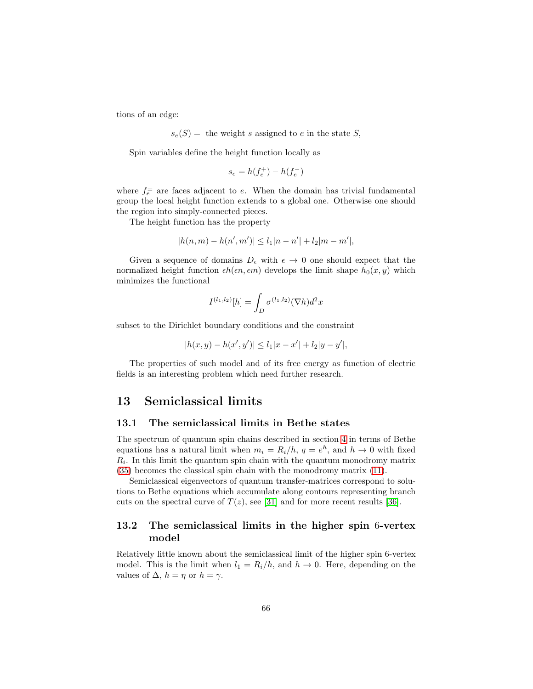tions of an edge:

 $s_e(S)$  = the weight s assigned to e in the state S,

Spin variables define the height function locally as

$$
s_e = h(f_e^+) - h(f_e^-)
$$

where  $f_e^{\pm}$  are faces adjacent to e. When the domain has trivial fundamental group the local height function extends to a global one. Otherwise one should the region into simply-connected pieces.

The height function has the property

$$
|h(n, m) - h(n', m')| \le l_1 |n - n'| + l_2 |m - m'|,
$$

Given a sequence of domains  $D_{\epsilon}$  with  $\epsilon \to 0$  one should expect that the normalized height function  $\epsilon h(\epsilon n, \epsilon m)$  develops the limit shape  $h_0(x, y)$  which minimizes the functional

$$
I^{(l_1,l_2)}[h] = \int_D \sigma^{(l_1,l_2)}(\nabla h) d^2x
$$

subset to the Dirichlet boundary conditions and the constraint

$$
|h(x,y) - h(x',y')| \le l_1|x - x'| + l_2|y - y'|,
$$

The properties of such model and of its free energy as function of electric fields is an interesting problem which need further research.

# 13 Semiclassical limits

### 13.1 The semiclassical limits in Bethe states

The spectrum of quantum spin chains described in section [4](#page-20-0) in terms of Bethe equations has a natural limit when  $m_i = R_i/h$ ,  $q = e^h$ , and  $h \to 0$  with fixed  $R_i$ . In this limit the quantum spin chain with the quantum monodromy matrix [\(35\)](#page-20-1) becomes the classical spin chain with the monodromy matrix [\(11\)](#page-8-0).

Semiclassical eigenvectors of quantum transfer-matrices correspond to solutions to Bethe equations which accumulate along contours representing branch cuts on the spectral curve of  $T(z)$ , see [\[31\]](#page-72-4) and for more recent results [\[36\]](#page-73-3).

# 13.2 The semiclassical limits in the higher spin 6-vertex model

Relatively little known about the semiclassical limit of the higher spin 6-vertex model. This is the limit when  $l_1 = R_i/h$ , and  $h \to 0$ . Here, depending on the values of  $\Delta$ ,  $h = \eta$  or  $h = \gamma$ .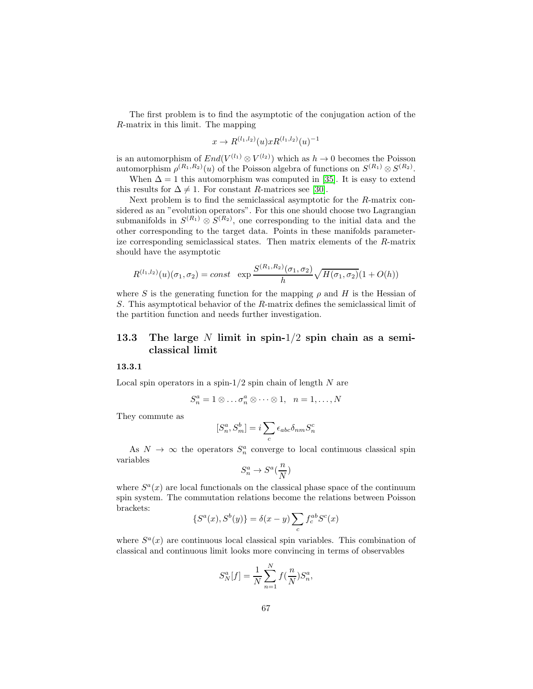The first problem is to find the asymptotic of the conjugation action of the R-matrix in this limit. The mapping

$$
x \to R^{(l_1, l_2)}(u) x R^{(l_1, l_2)}(u)^{-1}
$$

is an automorphism of  $End(V^{(l_1)} \otimes V^{(l_2)})$  which as  $h \to 0$  becomes the Poisson automorphism  $\rho^{(R_1,R_2)}(u)$  of the Poisson algebra of functions on  $S^{(R_1)} \otimes S^{(R_2)}$ .

When  $\Delta = 1$  this automorphism was computed in [\[35\]](#page-73-4). It is easy to extend this results for  $\Delta \neq 1$ . For constant R-matrices see [\[30\]](#page-72-5).

Next problem is to find the semiclassical asymptotic for the R-matrix considered as an "evolution operators". For this one should choose two Lagrangian submanifolds in  $S^{(R_1)} \otimes S^{(R_2)}$ , one corresponding to the initial data and the other corresponding to the target data. Points in these manifolds parameterize corresponding semiclassical states. Then matrix elements of the R-matrix should have the asymptotic

$$
R^{(l_1,l_2)}(u)(\sigma_1,\sigma_2) = const \exp \frac{S^{(R_1,R_2)}(\sigma_1,\sigma_2)}{h} \sqrt{H(\sigma_1,\sigma_2)} (1 + O(h))
$$

where S is the generating function for the mapping  $\rho$  and H is the Hessian of S. This asymptotical behavior of the R-matrix defines the semiclassical limit of the partition function and needs further investigation.

# 13.3 The large N limit in spin- $1/2$  spin chain as a semiclassical limit

### 13.3.1

Local spin operators in a spin- $1/2$  spin chain of length N are

$$
S_n^a = 1 \otimes \ldots \sigma_n^a \otimes \cdots \otimes 1, \quad n = 1, \ldots, N
$$

They commute as

$$
[S_n^a, S_m^b] = i \sum_c \epsilon_{abc} \delta_{nm} S_n^c
$$

As  $N \to \infty$  the operators  $S_n^a$  converge to local continuous classical spin variables

$$
S_n^a \to S^a(\frac{n}{N})
$$

where  $S<sup>a</sup>(x)$  are local functionals on the classical phase space of the continuum spin system. The commutation relations become the relations between Poisson brackets:

$$
\{S^a(x), S^b(y)\} = \delta(x - y) \sum_c f_c^{ab} S^c(x)
$$

where  $S<sup>a</sup>(x)$  are continuous local classical spin variables. This combination of classical and continuous limit looks more convincing in terms of observables

$$
S_N^a[f] = \frac{1}{N} \sum_{n=1}^{N} f(\frac{n}{N}) S_n^a,
$$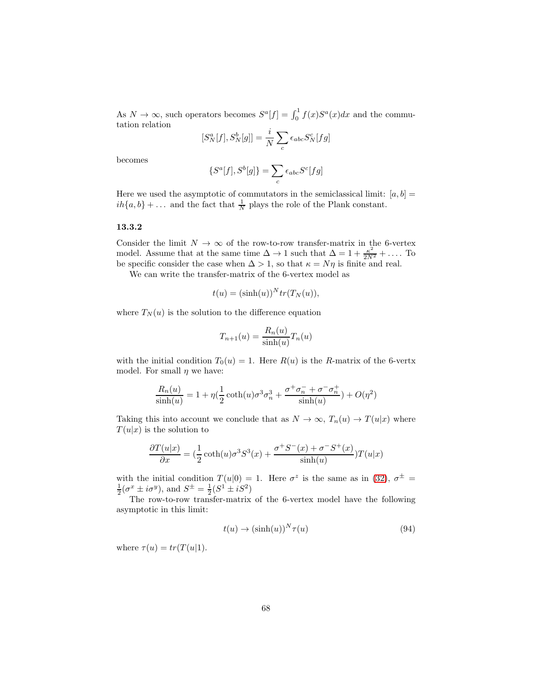As  $N \to \infty$ , such operators becomes  $S^a[f] = \int_0^1 f(x)S^a(x)dx$  and the commutation relation

$$
[S_N^a[f], S_N^b[g]] = \frac{i}{N} \sum_c \epsilon_{abc} S_N^c[fg]
$$

becomes

$$
\{S^a[f], S^b[g]\} = \sum_c \epsilon_{abc} S^c[fg]
$$

Here we used the asymptotic of commutators in the semiclassical limit:  $[a, b] =$  $ih{a,b} + \dots$  and the fact that  $\frac{1}{N}$  plays the role of the Plank constant.

#### 13.3.2

Consider the limit  $N \to \infty$  of the row-to-row transfer-matrix in the 6-vertex model. Assume that at the same time  $\Delta \to 1$  such that  $\Delta = 1 + \frac{\kappa^2}{2N^2} + \dots$  To be specific consider the case when  $\Delta > 1$ , so that  $\kappa = N\eta$  is finite and real.

We can write the transfer-matrix of the 6-vertex model as

$$
t(u) = (\sinh(u))^N tr(T_N(u)),
$$

where  $T_N(u)$  is the solution to the difference equation

$$
T_{n+1}(u) = \frac{R_n(u)}{\sinh(u)} T_n(u)
$$

with the initial condition  $T_0(u) = 1$ . Here  $R(u)$  is the R-matrix of the 6-vertx model. For small  $\eta$  we have:

$$
\frac{R_n(u)}{\sinh(u)}=1+\eta(\frac{1}{2}\coth(u)\sigma^3\sigma_n^3+\frac{\sigma^+\sigma_n^-+\sigma^-\sigma_n^+}{\sinh(u)})+O(\eta^2)
$$

Taking this into account we conclude that as  $N \to \infty$ ,  $T_n(u) \to T(u|x)$  where  $T(u|x)$  is the solution to

$$
\frac{\partial T(u|x)}{\partial x} = \left(\frac{1}{2}\coth(u)\sigma^3 S^3(x) + \frac{\sigma^+ S^-(x) + \sigma^- S^+(x)}{\sinh(u)}\right) T(u|x)
$$

with the initial condition  $T(u|0) = 1$ . Here  $\sigma^z$  is the same as in [\(32\)](#page-18-0),  $\sigma^{\pm} =$  $\frac{1}{2}(\sigma^x \pm i\sigma^y)$ , and  $S^{\pm} = \frac{1}{2}(S^1 \pm iS^2)$ 

The row-to-row transfer-matrix of the 6-vertex model have the following asymptotic in this limit:

<span id="page-67-0"></span>
$$
t(u) \to (\sinh(u))^N \tau(u) \tag{94}
$$

where  $\tau(u) = tr(T(u|1))$ .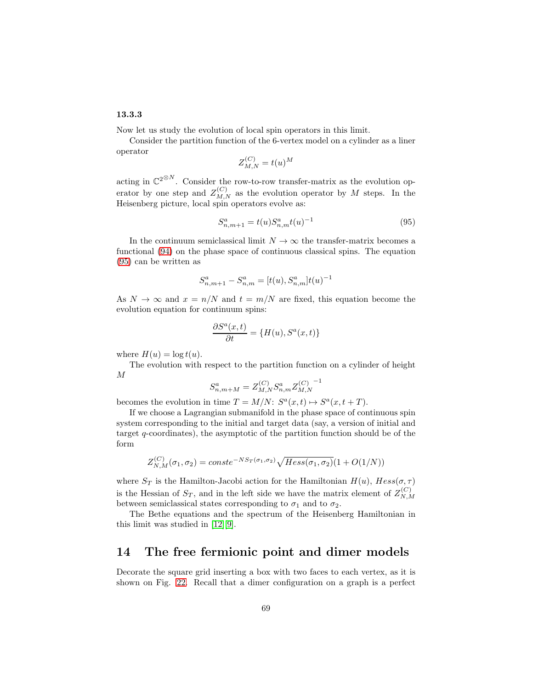### 13.3.3

Now let us study the evolution of local spin operators in this limit.

Consider the partition function of the 6-vertex model on a cylinder as a liner operator

$$
Z_{M,N}^{(C)} = t(u)^M
$$

acting in  $\mathbb{C}^{2\otimes N}$ . Consider the row-to-row transfer-matrix as the evolution operator by one step and  $Z_{M,N}^{(C)}$  as the evolution operator by M steps. In the Heisenberg picture, local spin operators evolve as:

<span id="page-68-0"></span>
$$
S_{n,m+1}^a = t(u)S_{n,m}^a t(u)^{-1}
$$
\n(95)

In the continuum semiclassical limit  $N \to \infty$  the transfer-matrix becomes a functional [\(94\)](#page-67-0) on the phase space of continuous classical spins. The equation [\(95\)](#page-68-0) can be written as

$$
S_{n,m+1}^a - S_{n,m}^a = [t(u), S_{n,m}^a]t(u)^{-1}
$$

As  $N \to \infty$  and  $x = n/N$  and  $t = m/N$  are fixed, this equation become the evolution equation for continuum spins:

$$
\frac{\partial S^a(x,t)}{\partial t} = \{H(u), S^a(x,t)\}
$$

where  $H(u) = \log t(u)$ .

The evolution with respect to the partition function on a cylinder of height M

$$
S^a_{n,m+M} = Z^{(C)}_{M,N} S^a_{n,m} Z^{(C)}_{M,N}^{\; -1}
$$

becomes the evolution in time  $T = M/N$ :  $S^a(x,t) \mapsto S^a(x,t+T)$ .

If we choose a Lagrangian submanifold in the phase space of continuous spin system corresponding to the initial and target data (say, a version of initial and target q-coordinates), the asymptotic of the partition function should be of the form

$$
Z_{N,M}^{(C)}(\sigma_1, \sigma_2) = const e^{-NS_T(\sigma_1, \sigma_2)} \sqrt{Hess(\sigma_1, \sigma_2)} (1 + O(1/N))
$$

where  $S_T$  is the Hamilton-Jacobi action for the Hamiltonian  $H(u)$ ,  $Hess(\sigma, \tau)$ is the Hessian of  $S_T$ , and in the left side we have the matrix element of  $Z_{N,N}^{(C)}$  $_{N,M}$ between semiclassical states corresponding to  $\sigma_1$  and to  $\sigma_2$ .

The Bethe equations and the spectrum of the Heisenberg Hamiltonian in this limit was studied in [\[12\]](#page-71-5)[\[9\]](#page-71-6).

# 14 The free fermionic point and dimer models

Decorate the square grid inserting a box with two faces to each vertex, as it is shown on Fig. [22.](#page-70-2) Recall that a dimer configuration on a graph is a perfect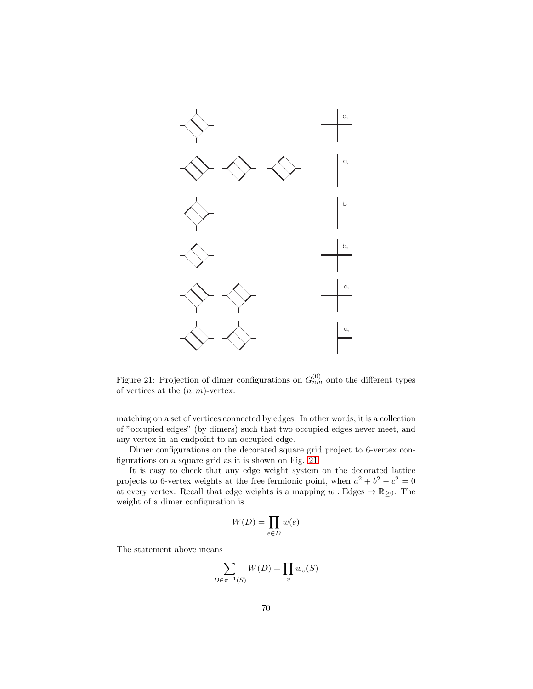

<span id="page-69-0"></span>Figure 21: Projection of dimer configurations on  $G_{nm}^{(0)}$  onto the different types of vertices at the  $(n, m)$ -vertex.

matching on a set of vertices connected by edges. In other words, it is a collection of "occupied edges" (by dimers) such that two occupied edges never meet, and any vertex in an endpoint to an occupied edge.

Dimer configurations on the decorated square grid project to 6-vertex configurations on a square grid as it is shown on Fig. [21.](#page-69-0)

It is easy to check that any edge weight system on the decorated lattice projects to 6-vertex weights at the free fermionic point, when  $a^2 + b^2 - c^2 = 0$ at every vertex. Recall that edge weights is a mapping  $w : Edges \rightarrow \mathbb{R}_{\geq 0}$ . The weight of a dimer configuration is

$$
W(D) = \prod_{e \in D} w(e)
$$

The statement above means

$$
\sum_{D \in \pi^{-1}(S)} W(D) = \prod_v w_v(S)
$$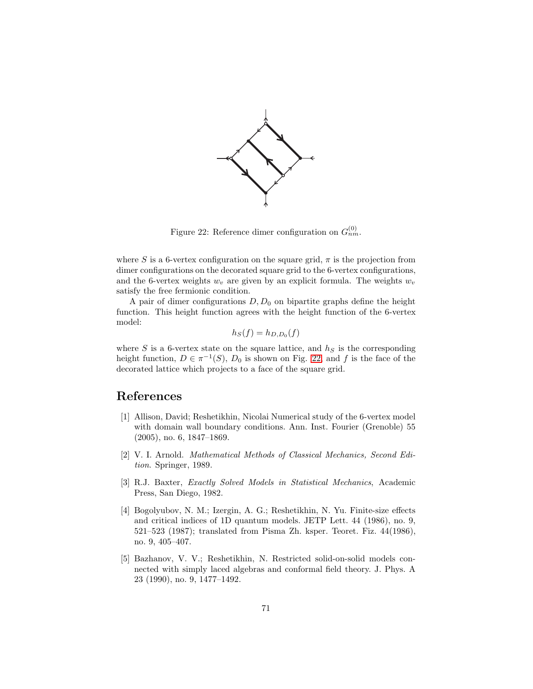

<span id="page-70-2"></span>Figure 22: Reference dimer configuration on  $G_{nm}^{(0)}$ .

where S is a 6-vertex configuration on the square grid,  $\pi$  is the projection from dimer configurations on the decorated square grid to the 6-vertex configurations, and the 6-vertex weights  $w_v$  are given by an explicit formula. The weights  $w_v$ satisfy the free fermionic condition.

A pair of dimer configurations  $D, D_0$  on bipartite graphs define the height function. This height function agrees with the height function of the 6-vertex model:

$$
h_S(f) = h_{D,D_0}(f)
$$

where  $S$  is a 6-vertex state on the square lattice, and  $h_S$  is the corresponding height function,  $D \in \pi^{-1}(S)$ ,  $D_0$  is shown on Fig. [22,](#page-70-2) and f is the face of the decorated lattice which projects to a face of the square grid.

# References

- [1] Allison, David; Reshetikhin, Nicolai Numerical study of the 6-vertex model with domain wall boundary conditions. Ann. Inst. Fourier (Grenoble) 55 (2005), no. 6, 1847–1869.
- [2] V. I. Arnold. Mathematical Methods of Classical Mechanics, Second Edition. Springer, 1989.
- <span id="page-70-0"></span>[3] R.J. Baxter, Exactly Solved Models in Statistical Mechanics, Academic Press, San Diego, 1982.
- <span id="page-70-1"></span>[4] Bogolyubov, N. M.; Izergin, A. G.; Reshetikhin, N. Yu. Finite-size effects and critical indices of 1D quantum models. JETP Lett. 44 (1986), no. 9, 521–523 (1987); translated from Pisma Zh. ksper. Teoret. Fiz. 44(1986), no. 9, 405–407.
- [5] Bazhanov, V. V.; Reshetikhin, N. Restricted solid-on-solid models connected with simply laced algebras and conformal field theory. J. Phys. A 23 (1990), no. 9, 1477–1492.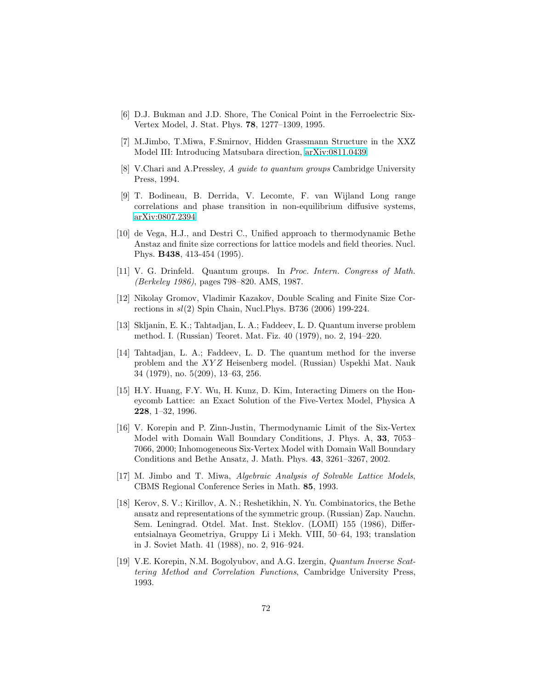- <span id="page-71-4"></span><span id="page-71-3"></span>[6] D.J. Bukman and J.D. Shore, The Conical Point in the Ferroelectric Six-Vertex Model, J. Stat. Phys. 78, 1277–1309, 1995.
- [7] M.Jimbo, T.Miwa, F.Smirnov, Hidden Grassmann Structure in the XXZ Model III: Introducing Matsubara direction, [arXiv:0811.0439.](http://arxiv.org/abs/0811.0439)
- <span id="page-71-6"></span>[8] V.Chari and A.Pressley, A guide to quantum groups Cambridge University Press, 1994.
- [9] T. Bodineau, B. Derrida, V. Lecomte, F. van Wijland Long range correlations and phase transition in non-equilibrium diffusive systems, [arXiv:0807.2394](http://arxiv.org/abs/0807.2394)
- <span id="page-71-0"></span>[10] de Vega, H.J., and Destri C., Unified approach to thermodynamic Bethe Anstaz and finite size corrections for lattice models and field theories. Nucl. Phys. B438, 413-454 (1995).
- [11] V. G. Drinfeld. Quantum groups. In Proc. Intern. Congress of Math. (Berkeley 1986), pages 798–820. AMS, 1987.
- <span id="page-71-5"></span>[12] Nikolay Gromov, Vladimir Kazakov, Double Scaling and Finite Size Corrections in  $sl(2)$  Spin Chain, Nucl. Phys. B736 (2006) 199-224.
- [13] Skljanin, E. K.; Tahtadjan, L. A.; Faddeev, L. D. Quantum inverse problem method. I. (Russian) Teoret. Mat. Fiz. 40 (1979), no. 2, 194–220.
- [14] Tahtadjan, L. A.; Faddeev, L. D. The quantum method for the inverse problem and the XYZ Heisenberg model. (Russian) Uspekhi Mat. Nauk 34 (1979), no. 5(209), 13–63, 256.
- <span id="page-71-1"></span>[15] H.Y. Huang, F.Y. Wu, H. Kunz, D. Kim, Interacting Dimers on the Honeycomb Lattice: an Exact Solution of the Five-Vertex Model, Physica A 228, 1–32, 1996.
- [16] V. Korepin and P. Zinn-Justin, Thermodynamic Limit of the Six-Vertex Model with Domain Wall Boundary Conditions, J. Phys. A, 33, 7053– 7066, 2000; Inhomogeneous Six-Vertex Model with Domain Wall Boundary Conditions and Bethe Ansatz, J. Math. Phys. 43, 3261–3267, 2002.
- <span id="page-71-2"></span>[17] M. Jimbo and T. Miwa, Algebraic Analysis of Solvable Lattice Models, CBMS Regional Conference Series in Math. 85, 1993.
- [18] Kerov, S. V.; Kirillov, A. N.; Reshetikhin, N. Yu. Combinatorics, the Bethe ansatz and representations of the symmetric group. (Russian) Zap. Nauchn. Sem. Leningrad. Otdel. Mat. Inst. Steklov. (LOMI) 155 (1986), Differentsialnaya Geometriya, Gruppy Li i Mekh. VIII, 50–64, 193; translation in J. Soviet Math. 41 (1988), no. 2, 916–924.
- [19] V.E. Korepin, N.M. Bogolyubov, and A.G. Izergin, Quantum Inverse Scattering Method and Correlation Functions, Cambridge University Press, 1993.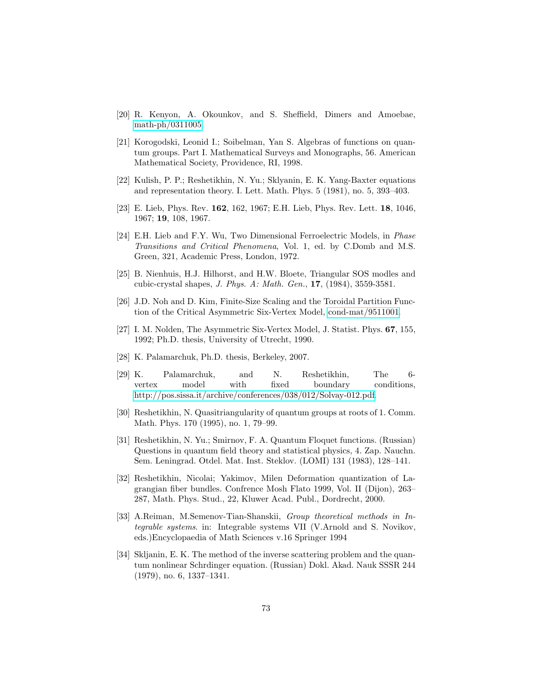- [20] R. Kenyon, A. Okounkov, and S. Sheffield, Dimers and Amoebae, [math-ph/0311005.](http://arxiv.org/abs/math-ph/0311005)
- <span id="page-72-1"></span>[21] Korogodski, Leonid I.; Soibelman, Yan S. Algebras of functions on quantum groups. Part I. Mathematical Surveys and Monographs, 56. American Mathematical Society, Providence, RI, 1998.
- [22] Kulish, P. P.; Reshetikhin, N. Yu.; Sklyanin, E. K. Yang-Baxter equations and representation theory. I. Lett. Math. Phys. 5 (1981), no. 5, 393–403.
- [23] E. Lieb, Phys. Rev. 162, 162, 1967; E.H. Lieb, Phys. Rev. Lett. 18, 1046, 1967; 19, 108, 1967.
- [24] E.H. Lieb and F.Y. Wu, Two Dimensional Ferroelectric Models, in Phase Transitions and Critical Phenomena, Vol. 1, ed. by C.Domb and M.S. Green, 321, Academic Press, London, 1972.
- [25] B. Nienhuis, H.J. Hilhorst, and H.W. Bloete, Triangular SOS modles and cubic-crystal shapes, J. Phys. A: Math. Gen., 17, (1984), 3559-3581.
- [26] J.D. Noh and D. Kim, Finite-Size Scaling and the Toroidal Partition Function of the Critical Asymmetric Six-Vertex Model, [cond-mat/9511001.](http://arxiv.org/abs/cond-mat/9511001)
- [27] I. M. Nolden, The Asymmetric Six-Vertex Model, J. Statist. Phys. 67, 155, 1992; Ph.D. thesis, University of Utrecht, 1990.
- [28] K. Palamarchuk, Ph.D. thesis, Berkeley, 2007.
- [29] K. Palamarchuk, and N. Reshetikhin, The 6 vertex model with fixed boundary conditions, [http://pos.sissa.it/archive/conferences/038/012/Solvay-012.pdf.](http://pos.sissa.it/archive/conferences/038/012/Solvay-012.pdf)
- [30] Reshetikhin, N. Quasitriangularity of quantum groups at roots of 1. Comm. Math. Phys. 170 (1995), no. 1, 79–99.
- [31] Reshetikhin, N. Yu.; Smirnov, F. A. Quantum Floquet functions. (Russian) Questions in quantum field theory and statistical physics, 4. Zap. Nauchn. Sem. Leningrad. Otdel. Mat. Inst. Steklov. (LOMI) 131 (1983), 128–141.
- <span id="page-72-2"></span>[32] Reshetikhin, Nicolai; Yakimov, Milen Deformation quantization of Lagrangian fiber bundles. Confrence Mosh Flato 1999, Vol. II (Dijon), 263– 287, Math. Phys. Stud., 22, Kluwer Acad. Publ., Dordrecht, 2000.
- <span id="page-72-0"></span>[33] A.Reiman, M.Semenov-Tian-Shanskii, Group theoretical methods in Integrable systems. in: Integrable systems VII (V.Arnold and S. Novikov, eds.)Encyclopaedia of Math Sciences v.16 Springer 1994
- [34] Skljanin, E. K. The method of the inverse scattering problem and the quantum nonlinear Schrdinger equation. (Russian) Dokl. Akad. Nauk SSSR 244 (1979), no. 6, 1337–1341.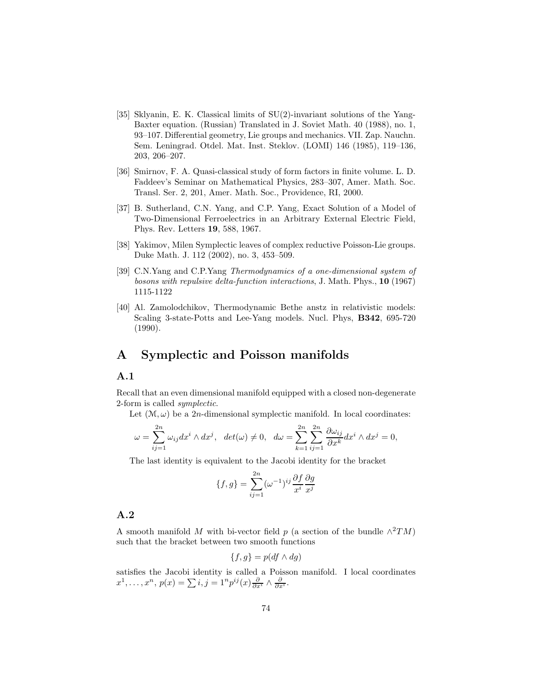- [35] Sklyanin, E. K. Classical limits of SU(2)-invariant solutions of the Yang-Baxter equation. (Russian) Translated in J. Soviet Math. 40 (1988), no. 1, 93–107. Differential geometry, Lie groups and mechanics. VII. Zap. Nauchn. Sem. Leningrad. Otdel. Mat. Inst. Steklov. (LOMI) 146 (1985), 119–136, 203, 206–207.
- [36] Smirnov, F. A. Quasi-classical study of form factors in finite volume. L. D. Faddeev's Seminar on Mathematical Physics, 283–307, Amer. Math. Soc. Transl. Ser. 2, 201, Amer. Math. Soc., Providence, RI, 2000.
- [37] B. Sutherland, C.N. Yang, and C.P. Yang, Exact Solution of a Model of Two-Dimensional Ferroelectrics in an Arbitrary External Electric Field, Phys. Rev. Letters 19, 588, 1967.
- <span id="page-73-0"></span>[38] Yakimov, Milen Symplectic leaves of complex reductive Poisson-Lie groups. Duke Math. J. 112 (2002), no. 3, 453–509.
- [39] C.N.Yang and C.P.Yang Thermodynamics of a one-dimensional system of bosons with repulsive delta-function interactions, J. Math. Phys., 10 (1967) 1115-1122
- [40] Al. Zamolodchikov, Thermodynamic Bethe anstz in relativistic models: Scaling 3-state-Potts and Lee-Yang models. Nucl. Phys, B342, 695-720 (1990).

# A Symplectic and Poisson manifolds

#### A.1

Recall that an even dimensional manifold equipped with a closed non-degenerate 2-form is called symplectic.

Let  $(\mathcal{M}, \omega)$  be a 2*n*-dimensional symplectic manifold. In local coordinates:

$$
\omega = \sum_{ij=1}^{2n} \omega_{ij} dx^i \wedge dx^j, \ \ \det(\omega) \neq 0, \ \ \ d\omega = \sum_{k=1}^{2n} \sum_{ij=1}^{2n} \frac{\partial \omega_{ij}}{\partial x^k} dx^i \wedge dx^j = 0,
$$

The last identity is equivalent to the Jacobi identity for the bracket

$$
\{f,g\} = \sum_{ij=1}^{2n} (\omega^{-1})^{ij} \frac{\partial f}{\partial x^i} \frac{\partial g}{\partial x^j}
$$

#### A.2

A smooth manifold M with bi-vector field p (a section of the bundle  $\wedge^2 TM$ ) such that the bracket between two smooth functions

$$
\{f,g\} = p(df \wedge dg)
$$

satisfies the Jacobi identity is called a Poisson manifold. I local coordinates  $x^1, \ldots, x^n, p(x) = \sum_i i, j = 1^n p^{ij}(x) \frac{\partial}{\partial x^i} \wedge \frac{\partial}{\partial x^i}.$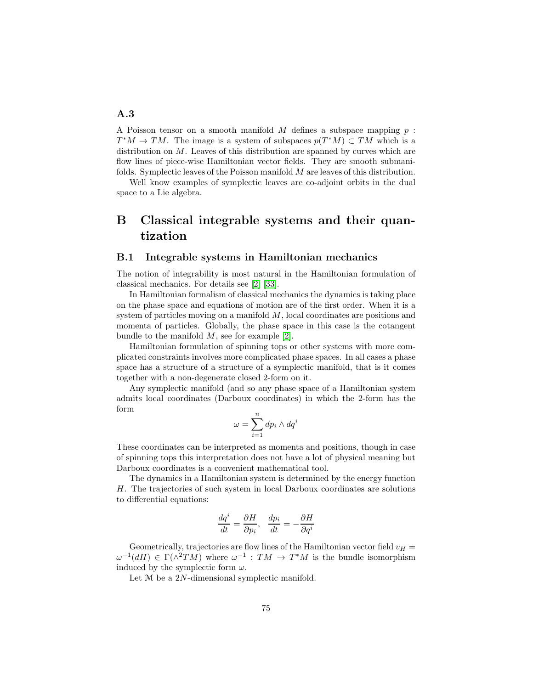A Poisson tensor on a smooth manifold M defines a subspace mapping  $p$ :  $T^*M \to TM$ . The image is a system of subspaces  $p(T^*M) \subset TM$  which is a distribution on  $M$ . Leaves of this distribution are spanned by curves which are flow lines of piece-wise Hamiltonian vector fields. They are smooth submanifolds. Symplectic leaves of the Poisson manifold M are leaves of this distribution.

Well know examples of symplectic leaves are co-adjoint orbits in the dual space to a Lie algebra.

# B Classical integrable systems and their quantization

#### B.1 Integrable systems in Hamiltonian mechanics

The notion of integrability is most natural in the Hamiltonian formulation of classical mechanics. For details see [\[2\]](#page-70-0) [\[33\]](#page-72-0).

In Hamiltonian formalism of classical mechanics the dynamics is taking place on the phase space and equations of motion are of the first order. When it is a system of particles moving on a manifold M, local coordinates are positions and momenta of particles. Globally, the phase space in this case is the cotangent bundle to the manifold  $M$ , see for example [\[2\]](#page-70-0).

Hamiltonian formulation of spinning tops or other systems with more complicated constraints involves more complicated phase spaces. In all cases a phase space has a structure of a structure of a symplectic manifold, that is it comes together with a non-degenerate closed 2-form on it.

Any symplectic manifold (and so any phase space of a Hamiltonian system admits local coordinates (Darboux coordinates) in which the 2-form has the form

$$
\omega = \sum_{i=1}^{n} dp_i \wedge dq^i
$$

These coordinates can be interpreted as momenta and positions, though in case of spinning tops this interpretation does not have a lot of physical meaning but Darboux coordinates is a convenient mathematical tool.

The dynamics in a Hamiltonian system is determined by the energy function H. The trajectories of such system in local Darboux coordinates are solutions to differential equations:

$$
\frac{dq^i}{dt} = \frac{\partial H}{\partial p_i}, \quad \frac{dp_i}{dt} = -\frac{\partial H}{\partial q^i}
$$

Geometrically, trajectories are flow lines of the Hamiltonian vector field  $v_H =$  $\omega^{-1}(dH) \in \Gamma(\wedge^2 TM)$  where  $\omega^{-1} : TM \to T^*M$  is the bundle isomorphism induced by the symplectic form  $\omega$ .

Let  $M$  be a 2N-dimensional symplectic manifold.

#### A.3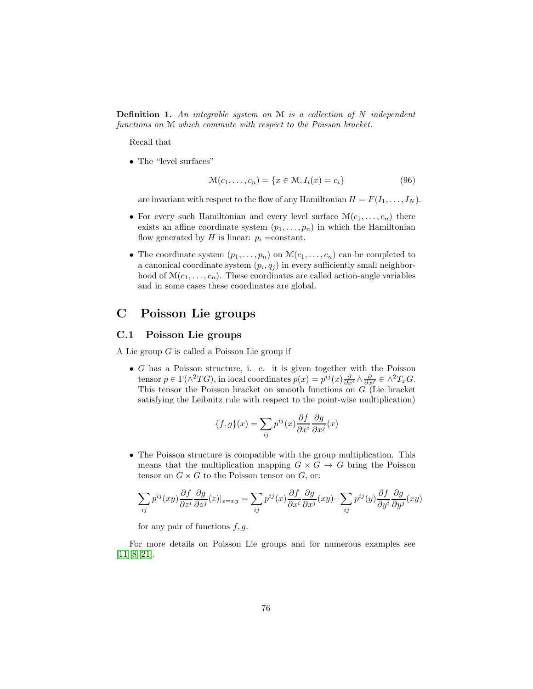**Definition 1.** An integrable system on  $M$  is a collection of  $N$  independent functions on M which commute with respect to the Poisson bracket.

Recall that

• The "level surfaces"

$$
\mathcal{M}(c_1,\ldots,c_n) = \{x \in \mathcal{M}, I_i(x) = c_i\}
$$
\n(96)

are invariant with respect to the flow of any Hamiltonian  $H = F(I_1, \ldots, I_N)$ .

- For every such Hamiltonian and every level surface  $\mathcal{M}(c_1, \ldots, c_n)$  there exists an affine coordinate system  $(p_1, \ldots, p_n)$  in which the Hamiltonian flow generated by  $H$  is linear:  $p_i$  =constant.
- The coordinate system  $(p_1, \ldots, p_n)$  on  $\mathcal{M}(c_1, \ldots, c_n)$  can be completed to a canonical coordinate system  $(p_i, q_j)$  in every sufficiently small neighborhood of  $\mathcal{M}(c_1, \ldots, c_n)$ . These coordinates are called action-angle variables and in some cases these coordinates are global.

## C Poisson Lie groups

## C.1 Poisson Lie groups

A Lie group G is called a Poisson Lie group if

 $\bullet$  G has a Poisson structure, i. e. it is given together with the Poisson tensor  $p \in \Gamma(\wedge^2 TG)$ , in local coordinates  $p(x) = p^{ij}(x) \frac{\partial}{\partial x^i} \wedge \frac{\partial}{\partial x^j} \in \wedge^2 T_x G$ . This tensor the Poisson bracket on smooth functions on G (Lie bracket satisfying the Leibnitz rule with respect to the point-wise multiplication)

$$
\{f, g\}(x) = \sum_{ij} p^{ij}(x) \frac{\partial f}{\partial x^i} \frac{\partial g}{\partial x^j}(x)
$$

• The Poisson structure is compatible with the group multiplication. This means that the multiplication mapping  $G \times G \to G$  bring the Poisson tensor on  $G \times G$  to the Poisson tensor on  $G$ , or:

$$
\sum_{ij} p^{ij}(xy) \frac{\partial f}{\partial z^i} \frac{\partial g}{\partial z^j}(z)|_{z=xy} = \sum_{ij} p^{ij}(x) \frac{\partial f}{\partial x^i} \frac{\partial g}{\partial x^j}(xy) + \sum_{ij} p^{ij}(y) \frac{\partial f}{\partial y^i} \frac{\partial g}{\partial y^j}(xy)
$$

for any pair of functions  $f, g$ .

For more details on Poisson Lie groups and for numerous examples see [\[11\]](#page-71-0)[\[8\]](#page-71-1)[\[21\]](#page-72-1).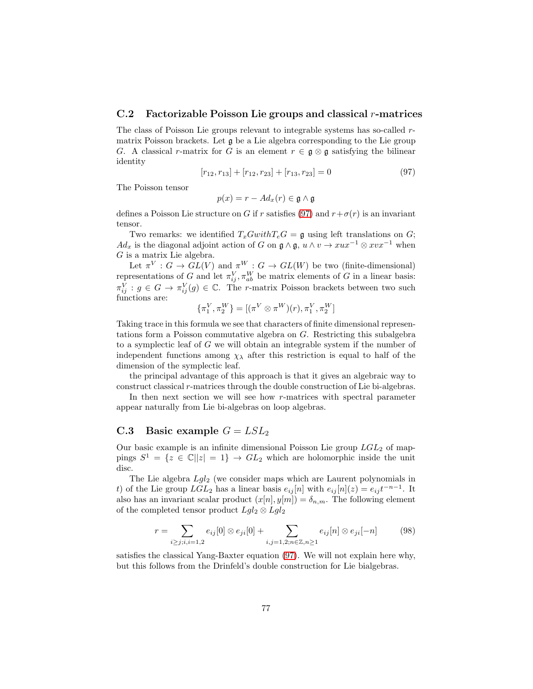### C.2 Factorizable Poisson Lie groups and classical r-matrices

The class of Poisson Lie groups relevant to integrable systems has so-called rmatrix Poisson brackets. Let g be a Lie algebra corresponding to the Lie group G. A classical r-matrix for G is an element  $r \in \mathfrak{g} \otimes \mathfrak{g}$  satisfying the bilinear identity

<span id="page-76-0"></span>
$$
[r_{12}, r_{13}] + [r_{12}, r_{23}] + [r_{13}, r_{23}] = 0 \tag{97}
$$

The Poisson tensor

$$
p(x) = r - Ad_x(r) \in \mathfrak{g} \wedge \mathfrak{g}
$$

defines a Poisson Lie structure on G if r satisfies [\(97\)](#page-76-0) and  $r+\sigma(r)$  is an invariant tensor.

Two remarks: we identified  $T_xGwithT_eG = \mathfrak{g}$  using left translations on G;  $Ad_x$  is the diagonal adjoint action of G on  $\mathfrak{g} \wedge \mathfrak{g}$ ,  $u \wedge v \rightarrow x u x^{-1} \otimes x v x^{-1}$  when G is a matrix Lie algebra.

Let  $\pi^V : G \to GL(V)$  and  $\pi^W : G \to GL(W)$  be two (finite-dimensional) representations of G and let  $\pi_{ij}^V$ ,  $\pi_{ab}^W$  be matrix elements of G in a linear basis:  $\pi_{ij}^V : g \in G \to \pi_{ij}^V(g) \in \mathbb{C}$ . The *r*-matrix Poisson brackets between two such functions are:

$$
\{\pi_1^V, \pi_2^W\} = [(\pi^V \otimes \pi^W)(r), \pi_1^V, \pi_2^W]
$$

Taking trace in this formula we see that characters of finite dimensional representations form a Poisson commutative algebra on G. Restricting this subalgebra to a symplectic leaf of G we will obtain an integrable system if the number of independent functions among  $\chi_{\lambda}$  after this restriction is equal to half of the dimension of the symplectic leaf.

the principal advantage of this approach is that it gives an algebraic way to construct classical r-matrices through the double construction of Lie bi-algebras.

In then next section we will see how r-matrices with spectral parameter appear naturally from Lie bi-algebras on loop algebras.

#### C.3 Basic example  $G = LSL<sub>2</sub>$

Our basic example is an infinite dimensional Poisson Lie group  $LGL_2$  of mappings  $S^1 = \{z \in \mathbb{C} \mid |z| = 1\} \rightarrow GL_2$  which are holomorphic inside the unit disc.

The Lie algebra  $Lgl_2$  (we consider maps which are Laurent polynomials in t) of the Lie group  $LGL_2$  has a linear basis  $e_{ij}[n]$  with  $e_{ij}[n](z) = e_{ij}t^{-n-1}$ . It also has an invariant scalar product  $(x[n], y[m]) = \delta_{n,m}$ . The following element of the completed tensor product  $Lgl_2 \otimes Lgl_2$ 

<span id="page-76-1"></span>
$$
r = \sum_{i \ge j; i, i = 1,2} e_{ij}[0] \otimes e_{ji}[0] + \sum_{i,j = 1,2; n \in \mathbb{Z}, n \ge 1} e_{ij}[n] \otimes e_{ji}[-n] \tag{98}
$$

satisfies the classical Yang-Baxter equation [\(97\)](#page-76-0). We will not explain here why, but this follows from the Drinfeld's double construction for Lie bialgebras.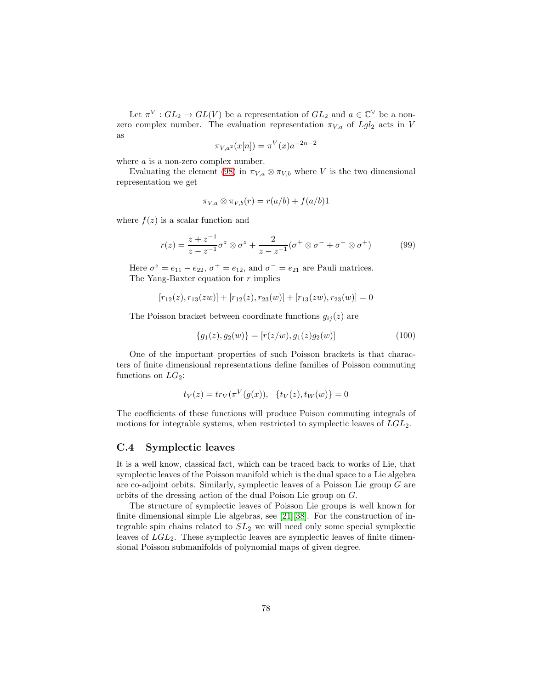Let  $\pi^V : GL_2 \to GL(V)$  be a representation of  $GL_2$  and  $a \in \mathbb{C}^{\vee}$  be a nonzero complex number. The evaluation representation  $\pi_{V,a}$  of  $Lgl_2$  acts in V as

$$
\pi_{V,a^2}(x[n]) = \pi^V(x)a^{-2n-2}
$$

where *a* is a non-zero complex number.

Evaluating the element [\(98\)](#page-76-1) in  $\pi_{V,a} \otimes \pi_{V,b}$  where V is the two dimensional representation we get

$$
\pi_{V,a} \otimes \pi_{V,b}(r) = r(a/b) + f(a/b)1
$$

where  $f(z)$  is a scalar function and

$$
r(z) = \frac{z + z^{-1}}{z - z^{-1}} \sigma^z \otimes \sigma^z + \frac{2}{z - z^{-1}} (\sigma^+ \otimes \sigma^- + \sigma^- \otimes \sigma^+) \tag{99}
$$

Here  $\sigma^z = e_{11} - e_{22}$ ,  $\sigma^+ = e_{12}$ , and  $\sigma^- = e_{21}$  are Pauli matrices. The Yang-Baxter equation for  $r$  implies

$$
[r_{12}(z), r_{13}(zw)] + [r_{12}(z), r_{23}(w)] + [r_{13}(zw), r_{23}(w)] = 0
$$

The Poisson bracket between coordinate functions  $g_{ij}(z)$  are

$$
\{g_1(z), g_2(w)\} = [r(z/w), g_1(z)g_2(w)] \tag{100}
$$

One of the important properties of such Poisson brackets is that characters of finite dimensional representations define families of Poisson commuting functions on  $LG_2$ :

$$
t_V(z) = tr_V(\pi^V(g(x)), \{t_V(z), t_W(w)\} = 0
$$

The coefficients of these functions will produce Poison commuting integrals of motions for integrable systems, when restricted to symplectic leaves of  $LGL<sub>2</sub>$ .

#### C.4 Symplectic leaves

It is a well know, classical fact, which can be traced back to works of Lie, that symplectic leaves of the Poisson manifold which is the dual space to a Lie algebra are co-adjoint orbits. Similarly, symplectic leaves of a Poisson Lie group G are orbits of the dressing action of the dual Poison Lie group on G.

The structure of symplectic leaves of Poisson Lie groups is well known for finite dimensional simple Lie algebras, see [\[21\]](#page-72-1)[\[38\]](#page-73-0). For the construction of integrable spin chains related to  $SL<sub>2</sub>$  we will need only some special symplectic leaves of  $LGL_2$ . These symplectic leaves are symplectic leaves of finite dimensional Poisson submanifolds of polynomial maps of given degree.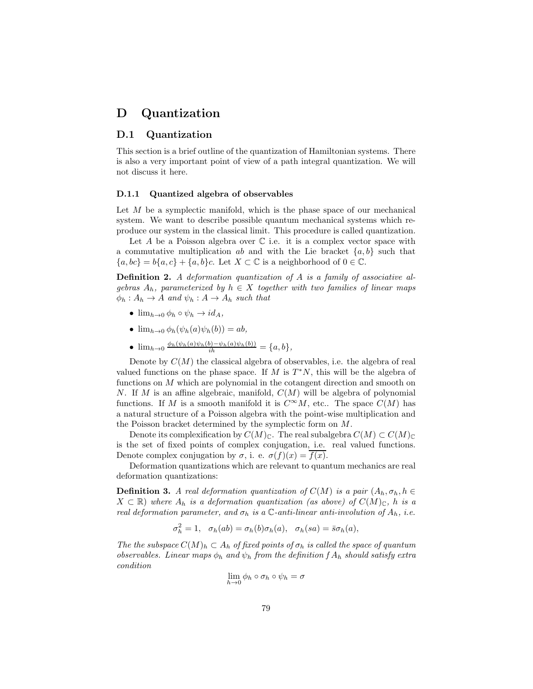## D Quantization

### D.1 Quantization

This section is a brief outline of the quantization of Hamiltonian systems. There is also a very important point of view of a path integral quantization. We will not discuss it here.

#### D.1.1 Quantized algebra of observables

Let  $M$  be a symplectic manifold, which is the phase space of our mechanical system. We want to describe possible quantum mechanical systems which reproduce our system in the classical limit. This procedure is called quantization.

Let A be a Poisson algebra over  $\mathbb C$  i.e. it is a complex vector space with a commutative multiplication ab and with the Lie bracket  $\{a, b\}$  such that  ${a, bc} = b{a, c} + {a, b}c$ . Let  $X \subset \mathbb{C}$  is a neighborhood of  $0 \in \mathbb{C}$ .

Definition 2. A deformation quantization of A is a family of associative algebras  $A_h$ , parameterized by  $h \in X$  together with two families of linear maps  $\phi_h : A_h \to A$  and  $\psi_h : A \to A_h$  such that

- $\lim_{h\to 0} \phi_h \circ \psi_h \to id_A$ ,
- $\lim_{h\to 0} \phi_h(\psi_h(a)\psi_h(b)) = ab,$
- $\lim_{h\to 0} \frac{\phi_h(\psi_h(a)\psi_h(b)-\psi_h(a)\psi_h(b))}{ih} = \{a, b\},\$

Denote by  $C(M)$  the classical algebra of observables, i.e. the algebra of real valued functions on the phase space. If  $M$  is  $T^*N$ , this will be the algebra of functions on M which are polynomial in the cotangent direction and smooth on N. If M is an affine algebraic, manifold,  $C(M)$  will be algebra of polynomial functions. If M is a smooth manifold it is  $C^{\infty}M$ , etc.. The space  $C(M)$  has a natural structure of a Poisson algebra with the point-wise multiplication and the Poisson bracket determined by the symplectic form on M.

Denote its complexification by  $C(M)_{\mathbb{C}}$ . The real subalgebra  $C(M) \subset C(M)_{\mathbb{C}}$ is the set of fixed points of complex conjugation, i.e. real valued functions. Denote complex conjugation by  $\sigma$ , i. e.  $\sigma(f)(x) = f(x)$ .

Deformation quantizations which are relevant to quantum mechanics are real deformation quantizations:

**Definition 3.** A real deformation quantization of  $C(M)$  is a pair  $(A_h, \sigma_h, h \in$  $X \subset \mathbb{R}$ ) where  $A_h$  is a deformation quantization (as above) of  $C(M)_{\mathbb{C}}$ , h is a real deformation parameter, and  $\sigma_h$  is a  $\mathbb{C}$ -anti-linear anti-involution of  $A_h$ , i.e.

$$
\sigma_h^2 = 1, \quad \sigma_h(ab) = \sigma_h(b)\sigma_h(a), \quad \sigma_h(sa) = \bar{s}\sigma_h(a),
$$

The the subspace  $C(M)_h \subset A_h$  of fixed points of  $\sigma_h$  is called the space of quantum observables. Linear maps  $\phi_h$  and  $\psi_h$  from the definition f  $A_h$  should satisfy extra condition

$$
\lim_{h \to 0} \phi_h \circ \sigma_h \circ \psi_h = \sigma
$$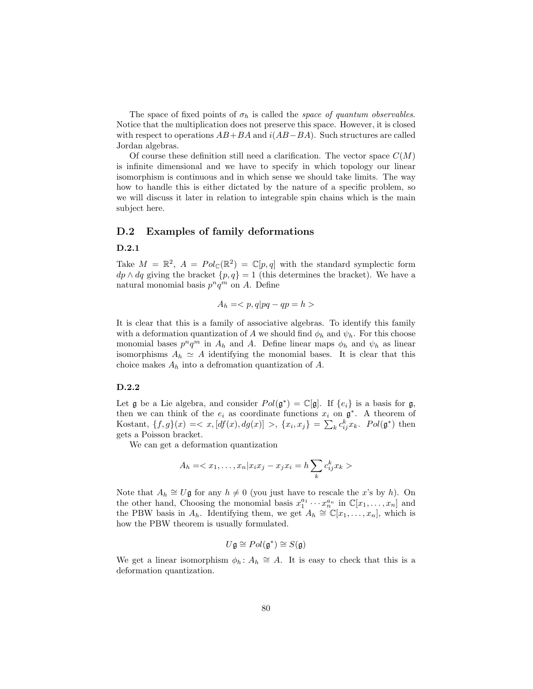The space of fixed points of  $\sigma_h$  is called the *space of quantum observables*. Notice that the multiplication does not preserve this space. However, it is closed with respect to operations  $AB+BA$  and  $i(AB-BA)$ . Such structures are called Jordan algebras.

Of course these definition still need a clarification. The vector space  $C(M)$ is infinite dimensional and we have to specify in which topology our linear isomorphism is continuous and in which sense we should take limits. The way how to handle this is either dictated by the nature of a specific problem, so we will discuss it later in relation to integrable spin chains which is the main subject here.

## D.2 Examples of family deformations

#### D.2.1

Take  $M = \mathbb{R}^2$ ,  $A = Pol_{\mathbb{C}}(\mathbb{R}^2) = \mathbb{C}[p,q]$  with the standard symplectic form  $dp \wedge dq$  giving the bracket  $\{p, q\} = 1$  (this determines the bracket). We have a natural monomial basis  $p^n q^m$  on A. Define

$$
A_h = \langle p, q | pq - qp = h \rangle
$$

It is clear that this is a family of associative algebras. To identify this family with a deformation quantization of A we should find  $\phi_h$  and  $\psi_h$ . For this choose monomial bases  $p^n q^m$  in  $A_h$  and  $A$ . Define linear maps  $\phi_h$  and  $\psi_h$  as linear isomorphisms  $A_h \simeq A$  identifying the monomial bases. It is clear that this choice makes  $A_h$  into a defromation quantization of A.

#### D.2.2

Let  $\mathfrak g$  be a Lie algebra, and consider  $Pol(\mathfrak g^*) = \mathbb C[\mathfrak g]$ . If  $\{e_i\}$  is a basis for  $\mathfrak g$ , then we can think of the  $e_i$  as coordinate functions  $x_i$  on  $\mathfrak{g}^*$ . A theorem of Kostant,  $\{f, g\}(x) = \langle x, [df(x), dg(x)] \rangle, \{x_i, x_j\} = \sum_k c_{ij}^k x_k$ .  $Pol(\mathfrak{g}^*)$  then gets a Poisson bracket.

We can get a deformation quantization

$$
A_h = \langle x_1, \dots, x_n | x_i x_j - x_j x_i = h \sum_k c_{ij}^k x_k \rangle
$$

Note that  $A_h \cong U\mathfrak{g}$  for any  $h \neq 0$  (you just have to rescale the x's by h). On the other hand, Choosing the monomial basis  $x_1^{a_1} \cdots x_n^{a_n}$  in  $\mathbb{C}[x_1,\ldots,x_n]$  and the PBW basis in  $A_h$ . Identifying them, we get  $A_h \cong \mathbb{C}[x_1, \ldots, x_n]$ , which is how the PBW theorem is usually formulated.

$$
U\mathfrak{g}\cong Pol(\mathfrak{g}^*)\cong S(\mathfrak{g})
$$

We get a linear isomorphism  $\phi_h: A_h \cong A$ . It is easy to check that this is a deformation quantization.